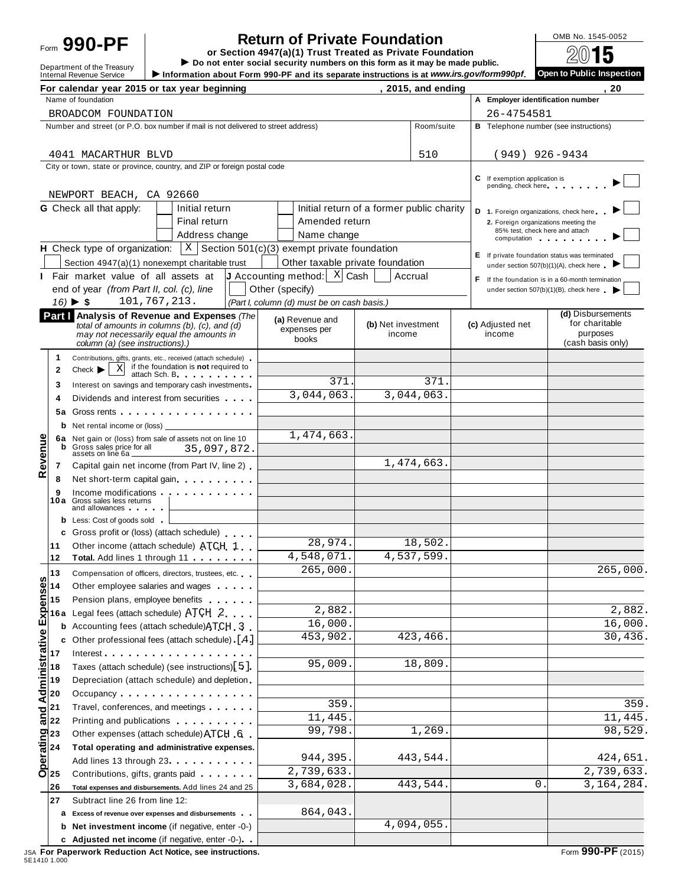# Form **990-PF or Section 4947(a)(1) Trust Treated as Private Foundation**

**Return of Private Foundation**<br> **Return 4947(a)(1)** Trust Treated as Private Foundation<br> **EXECUTE:**  $\frac{0 \text{MB No. 1545-0052}}{2015}$ 

**Department of the Treasury** ▶ Do not enter social security numbers on this form as it may be made public.<br>Internal Revenue Service ▶ Information about Form 990-PF and its separate instructions is at www.irs.gov/form990pf Information about Form 990-PF and its separate instructions is at www.irs.gov/form990pf.

|                       |                                                | For calendar year 2015 or tax year beginning                                                                                                                                                                                         |                                                                        |                                           | $, 2015,$ and ending |                                                                                                                                                  | 20                                                                                      |
|-----------------------|------------------------------------------------|--------------------------------------------------------------------------------------------------------------------------------------------------------------------------------------------------------------------------------------|------------------------------------------------------------------------|-------------------------------------------|----------------------|--------------------------------------------------------------------------------------------------------------------------------------------------|-----------------------------------------------------------------------------------------|
|                       |                                                | Name of foundation                                                                                                                                                                                                                   |                                                                        |                                           |                      | A Employer identification number                                                                                                                 |                                                                                         |
|                       |                                                | BROADCOM FOUNDATION                                                                                                                                                                                                                  |                                                                        |                                           |                      | 26-4754581                                                                                                                                       |                                                                                         |
|                       |                                                | Number and street (or P.O. box number if mail is not delivered to street address)                                                                                                                                                    |                                                                        |                                           | Room/suite           |                                                                                                                                                  | <b>B</b> Telephone number (see instructions)                                            |
|                       |                                                |                                                                                                                                                                                                                                      |                                                                        |                                           |                      |                                                                                                                                                  |                                                                                         |
|                       |                                                | 4041 MACARTHUR BLVD                                                                                                                                                                                                                  |                                                                        |                                           | 510                  | $(949)$ 926-9434                                                                                                                                 |                                                                                         |
|                       |                                                | City or town, state or province, country, and ZIP or foreign postal code                                                                                                                                                             |                                                                        |                                           |                      |                                                                                                                                                  |                                                                                         |
|                       |                                                |                                                                                                                                                                                                                                      |                                                                        |                                           |                      | C If exemption application is<br>pending, check here                                                                                             |                                                                                         |
|                       |                                                | NEWPORT BEACH, CA 92660                                                                                                                                                                                                              |                                                                        |                                           |                      |                                                                                                                                                  |                                                                                         |
|                       |                                                | <b>G</b> Check all that apply:<br>Initial return                                                                                                                                                                                     |                                                                        | Initial return of a former public charity |                      | D 1. Foreign organizations, check here                                                                                                           |                                                                                         |
|                       |                                                | Final return                                                                                                                                                                                                                         | Amended return                                                         |                                           |                      | 2. Foreign organizations meeting the                                                                                                             |                                                                                         |
|                       |                                                | Address change                                                                                                                                                                                                                       | Name change                                                            |                                           |                      | 85% test, check here and attach<br>computation and a series and a series and a series of the series of the series of the series of the series of |                                                                                         |
|                       |                                                | H Check type of organization:                                                                                                                                                                                                        | $\vert$ X Section 501(c)(3) exempt private foundation                  |                                           |                      |                                                                                                                                                  |                                                                                         |
|                       |                                                | Section 4947(a)(1) nonexempt charitable trust                                                                                                                                                                                        | Other taxable private foundation                                       |                                           |                      |                                                                                                                                                  | E If private foundation status was terminated<br>under section 507(b)(1)(A), check here |
|                       |                                                | I Fair market value of all assets at                                                                                                                                                                                                 | <b>J</b> Accounting method: $\begin{bmatrix} X & Z \end{bmatrix}$ Cash | Accrual                                   |                      |                                                                                                                                                  | F If the foundation is in a 60-month termination                                        |
|                       |                                                | end of year (from Part II, col. (c), line                                                                                                                                                                                            | Other (specify)                                                        |                                           |                      |                                                                                                                                                  | under section 507(b)(1)(B), check here                                                  |
|                       |                                                | 101,767,213.<br>$16) \triangleright $ \$                                                                                                                                                                                             | (Part I, column (d) must be on cash basis.)                            |                                           |                      |                                                                                                                                                  |                                                                                         |
|                       |                                                | Part I Analysis of Revenue and Expenses (The                                                                                                                                                                                         |                                                                        |                                           |                      |                                                                                                                                                  | (d) Disbursements                                                                       |
|                       |                                                | total of amounts in columns (b), (c), and (d)                                                                                                                                                                                        | (a) Revenue and<br>expenses per                                        | (b) Net investment                        |                      | (c) Adjusted net                                                                                                                                 | for charitable                                                                          |
|                       |                                                | may not necessarily equal the amounts in<br>column (a) (see instructions).)                                                                                                                                                          | books                                                                  | income                                    |                      | income                                                                                                                                           | purposes<br>(cash basis only)                                                           |
|                       | 1                                              | Contributions, gifts, grants, etc., received (attach schedule)                                                                                                                                                                       |                                                                        |                                           |                      |                                                                                                                                                  |                                                                                         |
|                       | $\mathbf{2}$                                   | if the foundation is not required to<br>Χ<br>Check $\blacktriangleright$                                                                                                                                                             |                                                                        |                                           |                      |                                                                                                                                                  |                                                                                         |
|                       | 3                                              | attach Sch. B. The contract of the state of the state of the state of the state of the state of the state of the<br>Interest on savings and temporary cash investments.                                                              | 371.                                                                   |                                           | 371.                 |                                                                                                                                                  |                                                                                         |
|                       | 4                                              | Dividends and interest from securities                                                                                                                                                                                               | 3,044,063.                                                             |                                           | 3,044,063.           |                                                                                                                                                  |                                                                                         |
|                       | 5а                                             | Gross rents                                                                                                                                                                                                                          |                                                                        |                                           |                      |                                                                                                                                                  |                                                                                         |
|                       | b                                              | Net rental income or (loss)                                                                                                                                                                                                          |                                                                        |                                           |                      |                                                                                                                                                  |                                                                                         |
|                       | 6a                                             | Net gain or (loss) from sale of assets not on line 10                                                                                                                                                                                | 1,474,663.                                                             |                                           |                      |                                                                                                                                                  |                                                                                         |
|                       | b                                              | Gross sales price for all<br>35,097,872.                                                                                                                                                                                             |                                                                        |                                           |                      |                                                                                                                                                  |                                                                                         |
| Revenue               | 7                                              | assets on line 6a _<br>Capital gain net income (from Part IV, line 2).                                                                                                                                                               |                                                                        |                                           | 1,474,663.           |                                                                                                                                                  |                                                                                         |
|                       | 8                                              | Net short-term capital gain                                                                                                                                                                                                          |                                                                        |                                           |                      |                                                                                                                                                  |                                                                                         |
|                       | 9                                              | Income modifications <b>and the control of the control of the control of the control of the control of the control of the control of the control of the control of the control of the control of the control of the control of t</b> |                                                                        |                                           |                      |                                                                                                                                                  |                                                                                         |
|                       | 10a                                            | Gross sales less returns                                                                                                                                                                                                             |                                                                        |                                           |                      |                                                                                                                                                  |                                                                                         |
|                       |                                                | and allowances and the same of the same of the same of the same of the same of the same of the same of the same of the same of the same of the same of the same of the same of the same of the same of the same of the same of       |                                                                        |                                           |                      |                                                                                                                                                  |                                                                                         |
|                       | b<br>c                                         | Less: Cost of goods sold<br>Gross profit or (loss) (attach schedule)                                                                                                                                                                 |                                                                        |                                           |                      |                                                                                                                                                  |                                                                                         |
|                       | 11                                             | Other income (attach schedule) ATCH 1                                                                                                                                                                                                | 28,974.                                                                |                                           | 18,502.              |                                                                                                                                                  |                                                                                         |
|                       | 12                                             | Total. Add lines 1 through 11                                                                                                                                                                                                        | 4,548,071.                                                             |                                           | 4,537,599.           |                                                                                                                                                  |                                                                                         |
|                       | 13                                             | Compensation of officers, directors, trustees, etc.                                                                                                                                                                                  | 265,000.                                                               |                                           |                      |                                                                                                                                                  | 265,000.                                                                                |
| n<br>٥                | 14                                             | Other employee salaries and wages                                                                                                                                                                                                    |                                                                        |                                           |                      |                                                                                                                                                  |                                                                                         |
|                       | 15                                             | Pension plans, employee benefits                                                                                                                                                                                                     |                                                                        |                                           |                      |                                                                                                                                                  |                                                                                         |
|                       | 16 a                                           | Legal fees (attach schedule) ATCH 2                                                                                                                                                                                                  | 2,882.                                                                 |                                           |                      |                                                                                                                                                  | 2,882.                                                                                  |
|                       | b                                              | Accounting fees (attach schedule) ATCH 3                                                                                                                                                                                             | 16,000.                                                                |                                           |                      |                                                                                                                                                  | 16,000.                                                                                 |
|                       | c                                              | Other professional fees (attach schedule) [4]                                                                                                                                                                                        | 453,902.                                                               |                                           | 423,466.             |                                                                                                                                                  | 30,436.                                                                                 |
|                       | 17                                             |                                                                                                                                                                                                                                      |                                                                        |                                           |                      |                                                                                                                                                  |                                                                                         |
|                       | 18                                             | Taxes (attach schedule) (see instructions)[5].                                                                                                                                                                                       | 95,009.                                                                |                                           | 18,809               |                                                                                                                                                  |                                                                                         |
|                       | 19                                             | Depreciation (attach schedule) and depletion                                                                                                                                                                                         |                                                                        |                                           |                      |                                                                                                                                                  |                                                                                         |
| Administrative Expens | 20                                             | Occupancy                                                                                                                                                                                                                            |                                                                        |                                           |                      |                                                                                                                                                  |                                                                                         |
|                       | 21                                             | Travel, conferences, and meetings                                                                                                                                                                                                    | 359.                                                                   |                                           |                      |                                                                                                                                                  | 359.                                                                                    |
|                       | $\frac{1}{16}$ $22$                            | Printing and publications <b>Community</b> Printing and publications                                                                                                                                                                 | 11,445.                                                                |                                           |                      |                                                                                                                                                  | 11,445.                                                                                 |
|                       |                                                | Other expenses (attach schedule) ATCH 6                                                                                                                                                                                              | 99,798.                                                                |                                           | 1,269                |                                                                                                                                                  | 98,529.                                                                                 |
|                       | derating<br>$\frac{23}{24}$<br>$\frac{23}{25}$ | Total operating and administrative expenses.                                                                                                                                                                                         |                                                                        |                                           |                      |                                                                                                                                                  |                                                                                         |
|                       |                                                | Add lines 13 through 23                                                                                                                                                                                                              | 944,395.                                                               |                                           | 443,544              |                                                                                                                                                  | 424,651.                                                                                |
|                       |                                                | Contributions, gifts, grants paid <b>Contributions</b> , and the same of the control of the control of the control of the control of the control of the control of the control of the control of the control of the control of the c | 2,739,633.                                                             |                                           |                      |                                                                                                                                                  | 2,739,633.                                                                              |
|                       | 26                                             | Total expenses and disbursements. Add lines 24 and 25                                                                                                                                                                                | 3,684,028.                                                             |                                           | 443,544.             | 0                                                                                                                                                | 3,164,284.                                                                              |
|                       | 27                                             | Subtract line 26 from line 12:                                                                                                                                                                                                       |                                                                        |                                           |                      |                                                                                                                                                  |                                                                                         |
|                       | а                                              | Excess of revenue over expenses and disbursements                                                                                                                                                                                    | 864,043.                                                               |                                           |                      |                                                                                                                                                  |                                                                                         |
|                       | b                                              | Net investment income (if negative, enter -0-)                                                                                                                                                                                       |                                                                        |                                           | 4,094,055.           |                                                                                                                                                  |                                                                                         |
|                       |                                                | c Adjusted net income (if negative, enter -0-)                                                                                                                                                                                       |                                                                        |                                           |                      |                                                                                                                                                  |                                                                                         |
|                       |                                                |                                                                                                                                                                                                                                      |                                                                        |                                           |                      |                                                                                                                                                  |                                                                                         |

JSA **For Paperwork Reduction Act Notice, see instructions.** Form **990-PF** (2015) 5E1410 1.000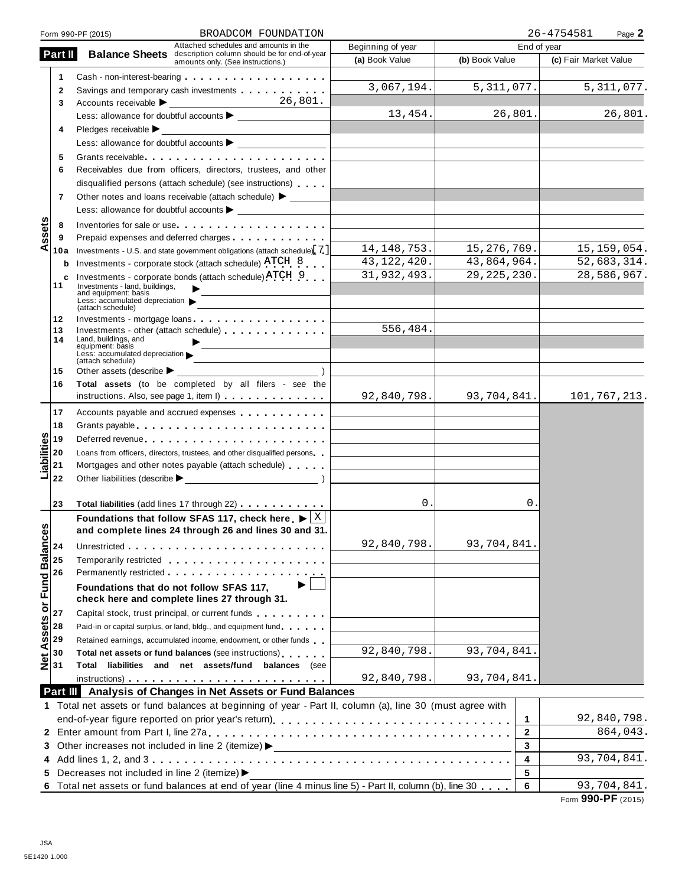|                        |                | BROADCOM FOUNDATION<br>Form 990-PF (2015)                                                                                                                                                                                      |                                                                            |                | 26-4754581<br>Page 2  |
|------------------------|----------------|--------------------------------------------------------------------------------------------------------------------------------------------------------------------------------------------------------------------------------|----------------------------------------------------------------------------|----------------|-----------------------|
|                        |                | Attached schedules and amounts in the                                                                                                                                                                                          | Beginning of year                                                          | End of year    |                       |
|                        | Part II        | <b>Balance Sheets</b> description column should be for end-of-year<br>amounts only. (See instructions.)                                                                                                                        | (a) Book Value                                                             | (b) Book Value | (c) Fair Market Value |
|                        | 1              |                                                                                                                                                                                                                                |                                                                            |                |                       |
|                        | 2              | Savings and temporary cash investments                                                                                                                                                                                         | 3,067,194.                                                                 | 5,311,077.     | 5, 311, 077.          |
|                        | 3              |                                                                                                                                                                                                                                |                                                                            |                |                       |
|                        |                |                                                                                                                                                                                                                                | 13,454.                                                                    | 26,801.        | 26,801.               |
|                        | 4              | Pledges receivable ▶                                                                                                                                                                                                           |                                                                            |                |                       |
|                        |                |                                                                                                                                                                                                                                |                                                                            |                |                       |
|                        | 5              | Grants receivable                                                                                                                                                                                                              |                                                                            |                |                       |
|                        | 6              | Receivables due from officers, directors, trustees, and other                                                                                                                                                                  |                                                                            |                |                       |
|                        |                | disqualified persons (attach schedule) (see instructions)                                                                                                                                                                      |                                                                            |                |                       |
|                        | $\overline{7}$ | Other notes and loans receivable (attach schedule) > _______                                                                                                                                                                   |                                                                            |                |                       |
|                        |                |                                                                                                                                                                                                                                |                                                                            |                |                       |
|                        | 8              | Inventories for sale or use experience of the set of the set of the set of the set of the set of the set of the set of the set of the set of the set of the set of the set of the set of the set of the set of the set of the  |                                                                            |                |                       |
| ssets                  | 9              |                                                                                                                                                                                                                                |                                                                            |                |                       |
| ⋖                      | 10a            | Investments - U.S. and state government obligations (attach schedule) [7]                                                                                                                                                      | 14, 148, 753.                                                              | 15, 276, 769.  | 15, 159, 054.         |
|                        | b              | Investments - corporate stock (attach schedule) ATCH 8                                                                                                                                                                         | 43, 122, 420.                                                              | 43,864,964.    | 52,683,314.           |
|                        | c              | Investments - corporate bonds (attach schedule) ATCH 9                                                                                                                                                                         | 31,932,493.                                                                | 29, 225, 230.  | 28,586,967.           |
|                        | 11             | Investments - land, buildings,                                                                                                                                                                                                 |                                                                            |                |                       |
|                        |                | and equipment: basis<br>Less: $\bar{a}$ ccumulated depreciation                                                                                                                                                                |                                                                            |                |                       |
|                        |                | (attach schedule)                                                                                                                                                                                                              |                                                                            |                |                       |
|                        | 12<br>13       | Investments - mortgage loans<br>Investments - other (attach schedule)                                                                                                                                                          | 556,484.                                                                   |                |                       |
|                        | 14             | Land, buildings, and                                                                                                                                                                                                           |                                                                            |                |                       |
|                        |                | equipment: basis<br>Less: accumulated depreciation                                                                                                                                                                             |                                                                            |                |                       |
|                        | 15             | (attach schedule)<br>Other assets (describe $\blacktriangleright$                                                                                                                                                              |                                                                            |                |                       |
|                        | 16             | Total assets (to be completed by all filers - see the                                                                                                                                                                          |                                                                            |                |                       |
|                        |                | instructions. Also, see page 1, item I)                                                                                                                                                                                        | 92,840,798.                                                                | 93,704,841.    | 101,767,213.          |
|                        |                |                                                                                                                                                                                                                                |                                                                            |                |                       |
|                        | 17             | Accounts payable and accrued expenses                                                                                                                                                                                          |                                                                            |                |                       |
|                        | 18             | Grants payable entering the state of the state of the state of the state of the state of the state of the state of the state of the state of the state of the state of the state of the state of the state of the state of the |                                                                            |                |                       |
|                        | 19             |                                                                                                                                                                                                                                |                                                                            |                |                       |
| Liabilities            | 20<br>21       | Loans from officers, directors, trustees, and other disqualified persons<br>Mortgages and other notes payable (attach schedule)                                                                                                | the control of the control of the control of the control of the control of |                |                       |
|                        | 22             |                                                                                                                                                                                                                                |                                                                            |                |                       |
|                        |                |                                                                                                                                                                                                                                |                                                                            |                |                       |
|                        | 23             | Total liabilities (add lines 17 through 22)                                                                                                                                                                                    | 0.                                                                         | О.             |                       |
|                        |                | Foundations that follow SFAS 117, check here $\blacktriangleright$ $\lfloor \frac{X}{X} \rfloor$                                                                                                                               |                                                                            |                |                       |
| U)                     |                | and complete lines 24 through 26 and lines 30 and 31                                                                                                                                                                           |                                                                            |                |                       |
|                        | 24             |                                                                                                                                                                                                                                | 92,840,798.                                                                | 93,704,841.    |                       |
|                        | 25             | Temporarily restricted entering the state of the state of the state of the state of the state of the state of                                                                                                                  |                                                                            |                |                       |
|                        | 26             |                                                                                                                                                                                                                                |                                                                            |                |                       |
|                        |                | ▶<br>Foundations that do not follow SFAS 117,                                                                                                                                                                                  |                                                                            |                |                       |
| Assets or Fund Balance |                | check here and complete lines 27 through 31.                                                                                                                                                                                   |                                                                            |                |                       |
|                        | 27             | Capital stock, trust principal, or current funds                                                                                                                                                                               |                                                                            |                |                       |
|                        | 28             | Paid-in or capital surplus, or land, bldg., and equipment fund                                                                                                                                                                 |                                                                            |                |                       |
|                        | 29             | Retained earnings, accumulated income, endowment, or other funds                                                                                                                                                               |                                                                            |                |                       |
|                        | 30             | Total net assets or fund balances (see instructions)                                                                                                                                                                           | 92,840,798.                                                                | 93,704,841.    |                       |
| $\frac{1}{2}$          | 31             | Total liabilities and net assets/fund balances (see                                                                                                                                                                            |                                                                            |                |                       |
|                        |                | $instructions)$                                                                                                                                                                                                                | 92,840,798.                                                                | 93,704,841.    |                       |
|                        |                | Part III Analysis of Changes in Net Assets or Fund Balances                                                                                                                                                                    |                                                                            |                |                       |
|                        |                | 1 Total net assets or fund balances at beginning of year - Part II, column (a), line 30 (must agree with                                                                                                                       |                                                                            |                |                       |
|                        |                |                                                                                                                                                                                                                                |                                                                            | 1              | 92,840,798.           |
|                        |                |                                                                                                                                                                                                                                |                                                                            | $\mathbf{2}$   | 864,043.              |
|                        |                | 3 Other increases not included in line 2 (itemize) >                                                                                                                                                                           | <u> 1980 - Johann Stoff, fransk politik (d. 1980)</u>                      | 3              |                       |
|                        |                |                                                                                                                                                                                                                                |                                                                            | 4              | 93,704,841.           |
|                        |                | 5 Decreases not included in line 2 (itemize) >                                                                                                                                                                                 |                                                                            | 5              |                       |
| 6                      |                | Total net assets or fund balances at end of year (line 4 minus line 5) - Part II, column (b), line 30                                                                                                                          |                                                                            | 6              | 93,704,841.           |
|                        |                |                                                                                                                                                                                                                                |                                                                            |                |                       |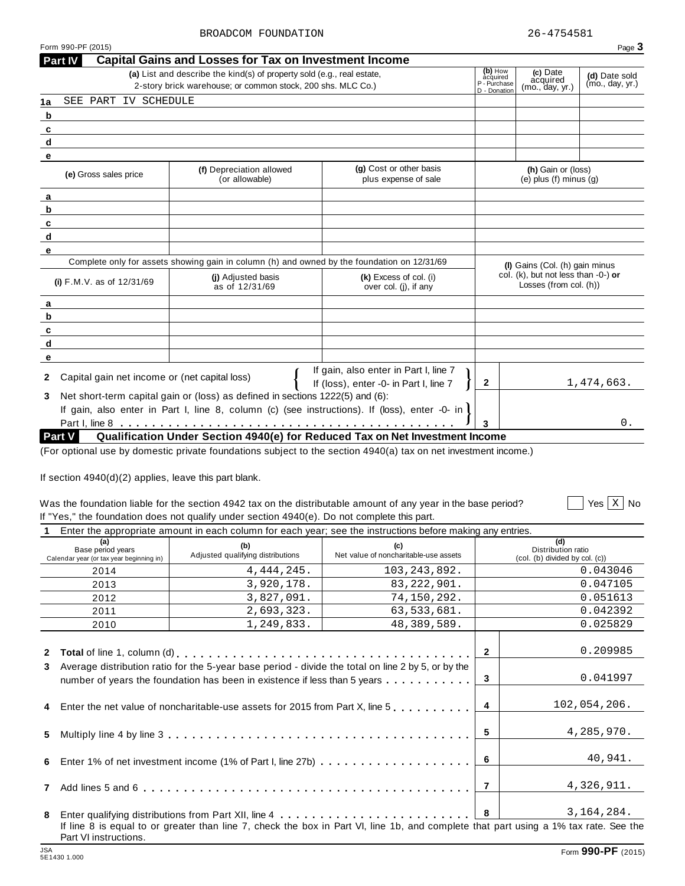**Part IV Capital Gains and Losses for Tax on Investment Income**

|                                                                                                                         | (a) List and describe the kind(s) of property sold (e.g., real estate,<br>2-story brick warehouse: or common stock, 200 shs. MLC Co.)                                          |                                                                                                                                                                                                 | (b) How<br>àcquired<br>P - Purchase | (c) Date<br>acquired<br>(mo., day, yr.)                       | (d) Date sold<br>(mo., day, yr.)  |
|-------------------------------------------------------------------------------------------------------------------------|--------------------------------------------------------------------------------------------------------------------------------------------------------------------------------|-------------------------------------------------------------------------------------------------------------------------------------------------------------------------------------------------|-------------------------------------|---------------------------------------------------------------|-----------------------------------|
| SEE PART IV SCHEDULE<br>1a                                                                                              |                                                                                                                                                                                |                                                                                                                                                                                                 | D - Donation                        |                                                               |                                   |
| b                                                                                                                       |                                                                                                                                                                                |                                                                                                                                                                                                 |                                     |                                                               |                                   |
| c                                                                                                                       |                                                                                                                                                                                |                                                                                                                                                                                                 |                                     |                                                               |                                   |
| d                                                                                                                       |                                                                                                                                                                                |                                                                                                                                                                                                 |                                     |                                                               |                                   |
| е                                                                                                                       |                                                                                                                                                                                |                                                                                                                                                                                                 |                                     |                                                               |                                   |
| (e) Gross sales price                                                                                                   | (f) Depreciation allowed<br>(or allowable)                                                                                                                                     | (g) Cost or other basis<br>plus expense of sale                                                                                                                                                 |                                     | (h) Gain or (loss)<br>$(e)$ plus $(f)$ minus $(q)$            |                                   |
| а                                                                                                                       |                                                                                                                                                                                |                                                                                                                                                                                                 |                                     |                                                               |                                   |
|                                                                                                                         |                                                                                                                                                                                |                                                                                                                                                                                                 |                                     |                                                               |                                   |
|                                                                                                                         |                                                                                                                                                                                |                                                                                                                                                                                                 |                                     |                                                               |                                   |
|                                                                                                                         |                                                                                                                                                                                |                                                                                                                                                                                                 |                                     |                                                               |                                   |
|                                                                                                                         |                                                                                                                                                                                |                                                                                                                                                                                                 |                                     |                                                               |                                   |
|                                                                                                                         | Complete only for assets showing gain in column (h) and owned by the foundation on 12/31/69                                                                                    |                                                                                                                                                                                                 |                                     | (I) Gains (Col. (h) gain minus                                |                                   |
| (i) F.M.V. as of 12/31/69                                                                                               | (i) Adjusted basis<br>as of 12/31/69                                                                                                                                           | (k) Excess of col. (i)<br>over col. (j), if any                                                                                                                                                 |                                     | col. (k), but not less than -0-) or<br>Losses (from col. (h)) |                                   |
|                                                                                                                         |                                                                                                                                                                                |                                                                                                                                                                                                 |                                     |                                                               |                                   |
|                                                                                                                         |                                                                                                                                                                                |                                                                                                                                                                                                 |                                     |                                                               |                                   |
|                                                                                                                         |                                                                                                                                                                                |                                                                                                                                                                                                 |                                     |                                                               |                                   |
|                                                                                                                         |                                                                                                                                                                                |                                                                                                                                                                                                 |                                     |                                                               |                                   |
|                                                                                                                         |                                                                                                                                                                                |                                                                                                                                                                                                 |                                     |                                                               |                                   |
| Capital gain net income or (net capital loss)                                                                           |                                                                                                                                                                                | If gain, also enter in Part I, line 7                                                                                                                                                           |                                     |                                                               |                                   |
|                                                                                                                         |                                                                                                                                                                                | If (loss), enter -0- in Part I, line 7                                                                                                                                                          | $\mathbf{2}$                        |                                                               | 1,474,663.                        |
|                                                                                                                         | Net short-term capital gain or (loss) as defined in sections 1222(5) and (6):<br>If gain, also enter in Part I, line 8, column (c) (see instructions). If (loss), enter -0- in |                                                                                                                                                                                                 |                                     |                                                               |                                   |
|                                                                                                                         |                                                                                                                                                                                |                                                                                                                                                                                                 |                                     |                                                               |                                   |
|                                                                                                                         |                                                                                                                                                                                |                                                                                                                                                                                                 |                                     |                                                               |                                   |
|                                                                                                                         |                                                                                                                                                                                | Qualification Under Section 4940(e) for Reduced Tax on Net Investment Income<br>(For optional use by domestic private foundations subject to the section 4940(a) tax on net investment income.) |                                     |                                                               | 0.                                |
|                                                                                                                         |                                                                                                                                                                                | Was the foundation liable for the section 4942 tax on the distributable amount of any year in the base period?                                                                                  |                                     |                                                               |                                   |
|                                                                                                                         | If "Yes," the foundation does not qualify under section 4940(e). Do not complete this part.                                                                                    |                                                                                                                                                                                                 |                                     |                                                               |                                   |
|                                                                                                                         |                                                                                                                                                                                | Enter the appropriate amount in each column for each year; see the instructions before making any entries.                                                                                      |                                     |                                                               |                                   |
| (a)<br>Base period years                                                                                                | (b)<br>Adjusted qualifying distributions                                                                                                                                       | (c)<br>Net value of noncharitable-use assets                                                                                                                                                    |                                     | (d)<br>Distribution ratio<br>(col. (b) divided by col. (c))   |                                   |
| 2014                                                                                                                    | 4, 444, 245.                                                                                                                                                                   | 103, 243, 892.                                                                                                                                                                                  |                                     |                                                               | 0.043046                          |
| 2013                                                                                                                    | 3,920,178.                                                                                                                                                                     | 83, 222, 901.                                                                                                                                                                                   |                                     |                                                               | 0.047105                          |
| 2012                                                                                                                    | 3,827,091.                                                                                                                                                                     | 74,150,292.                                                                                                                                                                                     |                                     |                                                               | 0.051613                          |
| 2011                                                                                                                    | 2,693,323.                                                                                                                                                                     | 63,533,681.                                                                                                                                                                                     |                                     |                                                               | 0.042392                          |
| 2010                                                                                                                    | 1,249,833.                                                                                                                                                                     | 48,389,589.                                                                                                                                                                                     |                                     |                                                               | 0.025829                          |
|                                                                                                                         |                                                                                                                                                                                |                                                                                                                                                                                                 |                                     |                                                               |                                   |
|                                                                                                                         |                                                                                                                                                                                |                                                                                                                                                                                                 | $\mathbf{2}$                        |                                                               | 0.209985                          |
|                                                                                                                         | Average distribution ratio for the 5-year base period - divide the total on line 2 by 5, or by the                                                                             |                                                                                                                                                                                                 |                                     |                                                               |                                   |
|                                                                                                                         | number of years the foundation has been in existence if less than 5 years                                                                                                      |                                                                                                                                                                                                 | 3                                   |                                                               | 0.041997                          |
|                                                                                                                         | Enter the net value of noncharitable-use assets for 2015 from Part X, line 5                                                                                                   |                                                                                                                                                                                                 | 4                                   |                                                               | 102,054,206.                      |
|                                                                                                                         |                                                                                                                                                                                |                                                                                                                                                                                                 | 5                                   |                                                               | 4,285,970.                        |
|                                                                                                                         |                                                                                                                                                                                |                                                                                                                                                                                                 | 6                                   |                                                               | Yes $x \mid \text{No}$<br>40,941. |
|                                                                                                                         |                                                                                                                                                                                |                                                                                                                                                                                                 | $\overline{7}$                      |                                                               | 4,326,911.                        |
| Part V<br>If section $4940(d)(2)$ applies, leave this part blank.<br>Calendar year (or tax year beginning in)<br>3<br>7 |                                                                                                                                                                                |                                                                                                                                                                                                 | 8                                   |                                                               | 3, 164, 284.                      |

Form 990-PF (2015)  $P_{\text{e}}$   $\sim$   $P_{\text{e}}$   $\sim$   $P_{\text{e}}$   $\sim$   $P_{\text{e}}$   $\sim$   $P_{\text{e}}$   $\sim$   $P_{\text{e}}$   $\sim$   $P_{\text{e}}$   $\sim$   $P_{\text{e}}$   $\sim$   $P_{\text{e}}$   $\sim$   $P_{\text{e}}$   $\sim$   $P_{\text{e}}$   $\sim$   $P_{\text{e}}$   $\sim$   $P_{\text{e}}$   $\sim$   $P_{\text{e$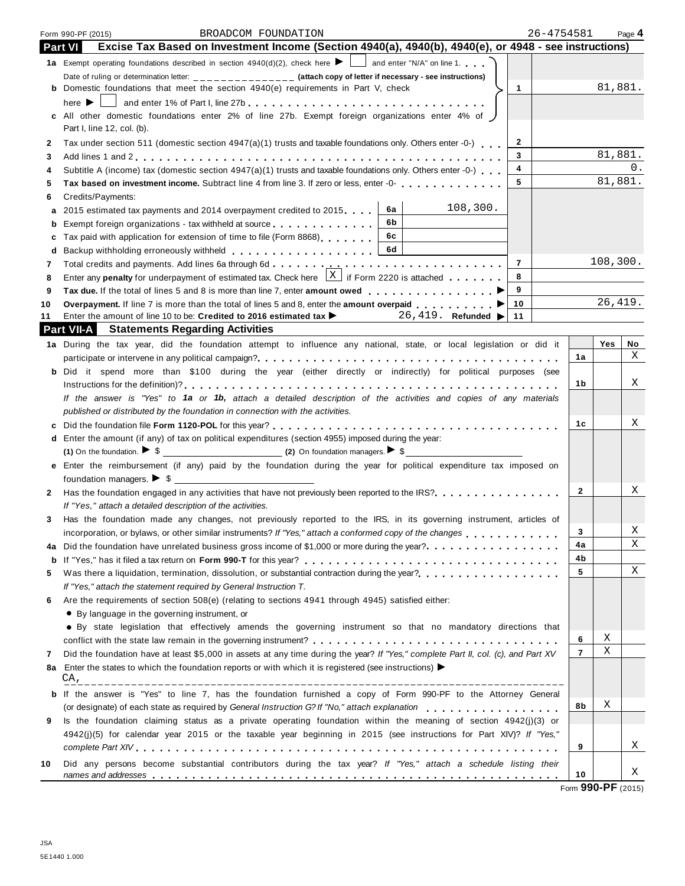|                | 26-4754581<br>BROADCOM FOUNDATION<br>Form 990-PF (2015)                                                                                                                                                                              |                |           | Page 4 |
|----------------|--------------------------------------------------------------------------------------------------------------------------------------------------------------------------------------------------------------------------------------|----------------|-----------|--------|
| <b>Part VI</b> | Excise Tax Based on Investment Income (Section 4940(a), 4940(b), 4940(e), or 4948 - see instructions)                                                                                                                                |                |           |        |
|                | 1a Exempt operating foundations described in section $4940(d)(2)$ , check here $\blacktriangleright$ and enter "N/A" on line 1.                                                                                                      |                |           |        |
|                | Date of ruling or determination letter: ______________ (attach copy of letter if necessary - see instructions)                                                                                                                       |                |           |        |
|                | $\mathbf{1}$<br><b>b</b> Domestic foundations that meet the section 4940(e) requirements in Part V, check                                                                                                                            |                | 81,881.   |        |
|                | here $\blacktriangleright$    <br>and enter 1% of Part I, line 27b                                                                                                                                                                   |                |           |        |
|                | c All other domestic foundations enter 2% of line 27b. Exempt foreign organizations enter 4% of                                                                                                                                      |                |           |        |
|                | Part I, line 12, col. (b).                                                                                                                                                                                                           |                |           |        |
| 2              | $\mathbf{2}$<br>Tax under section 511 (domestic section 4947(a)(1) trusts and taxable foundations only. Others enter -0-)                                                                                                            |                | 81,881.   |        |
| 3              | 3<br>4                                                                                                                                                                                                                               |                |           | 0.     |
| 4              | Subtitle A (income) tax (domestic section 4947(a)(1) trusts and taxable foundations only. Others enter -0-)<br>5                                                                                                                     |                | 81,881.   |        |
| 5              |                                                                                                                                                                                                                                      |                |           |        |
| 6<br>a         | Credits/Payments:<br>108,300.<br>6a<br>2015 estimated tax payments and 2014 overpayment credited to 2015                                                                                                                             |                |           |        |
| b              | 6b.<br>Exempt foreign organizations - tax withheld at source exercise and solution of the set of the set of the set of the set of the set of the set of the set of the set of the set of the set of the set of the set of the set of |                |           |        |
| c              | 6c<br>Tax paid with application for extension of time to file (Form 8868)                                                                                                                                                            |                |           |        |
| d              | 6d<br>Backup withholding erroneously withheld entitled and an arrangement of the set of the set of the set of the set of the set of the set of the set of the set of the set of the set of the set of the set of the set of the set  |                |           |        |
| 7              | $\overline{7}$                                                                                                                                                                                                                       |                | 108, 300. |        |
| 8              | Enter any <b>penalty</b> for underpayment of estimated tax. Check here $\frac{X}{X}$ if Form 2220 is attached<br>8                                                                                                                   |                |           |        |
| 9              | 9                                                                                                                                                                                                                                    |                |           |        |
| 10             | 10<br>Overpayment. If line 7 is more than the total of lines 5 and 8, enter the amount overpaid ▶                                                                                                                                    |                | 26, 419.  |        |
| 11             | Enter the amount of line 10 to be: Credited to 2016 estimated tax $\blacktriangleright$ 26, 419. Refunded $\blacktriangleright$<br>11                                                                                                |                |           |        |
|                | <b>Part VII-A</b> Statements Regarding Activities                                                                                                                                                                                    |                |           |        |
|                | 1a During the tax year, did the foundation attempt to influence any national, state, or local legislation or did it                                                                                                                  |                | Yes       | No     |
|                |                                                                                                                                                                                                                                      | 1a             |           | Χ      |
|                | b Did it spend more than \$100 during the year (either directly or indirectly) for political purposes (see                                                                                                                           |                |           |        |
|                |                                                                                                                                                                                                                                      | 1b.            |           | Χ      |
|                | If the answer is "Yes" to 1a or 1b, attach a detailed description of the activities and copies of any materials                                                                                                                      |                |           |        |
|                | published or distributed by the foundation in connection with the activities.                                                                                                                                                        |                |           | Χ      |
|                |                                                                                                                                                                                                                                      | 1c             |           |        |
|                | d Enter the amount (if any) of tax on political expenditures (section 4955) imposed during the year:<br>(1) On the foundation. $\triangleright$ \$                                                                                   |                |           |        |
|                | e Enter the reimbursement (if any) paid by the foundation during the year for political expenditure tax imposed on                                                                                                                   |                |           |        |
|                | foundation managers. $\triangleright$ \$                                                                                                                                                                                             |                |           |        |
| 2              | Has the foundation engaged in any activities that have not previously been reported to the IRS?                                                                                                                                      | $\mathbf{2}$   |           | Χ      |
|                | If "Yes," attach a detailed description of the activities.                                                                                                                                                                           |                |           |        |
| 3              | Has the foundation made any changes, not previously reported to the IRS, in its governing instrument, articles of                                                                                                                    |                |           |        |
|                |                                                                                                                                                                                                                                      | 3              |           | Χ      |
| 4a             |                                                                                                                                                                                                                                      | 4a             |           | Χ      |
| b              |                                                                                                                                                                                                                                      | 4b             |           |        |
| 5              |                                                                                                                                                                                                                                      | 5              |           | Χ      |
|                | If "Yes," attach the statement required by General Instruction T.                                                                                                                                                                    |                |           |        |
| 6              | Are the requirements of section 508(e) (relating to sections 4941 through 4945) satisfied either:                                                                                                                                    |                |           |        |
|                | • By language in the governing instrument, or                                                                                                                                                                                        |                |           |        |
|                | • By state legislation that effectively amends the governing instrument so that no mandatory directions that                                                                                                                         |                |           |        |
|                |                                                                                                                                                                                                                                      | 6              | Χ<br>Χ    |        |
| 7              | Did the foundation have at least \$5,000 in assets at any time during the year? If "Yes," complete Part II, col. (c), and Part XV                                                                                                    | $\overline{7}$ |           |        |
| 8a             | Enter the states to which the foundation reports or with which it is registered (see instructions) $\blacktriangleright$<br>CA,                                                                                                      |                |           |        |
| b              | If the answer is "Yes" to line 7, has the foundation furnished a copy of Form 990-PF to the Attorney General                                                                                                                         |                |           |        |
|                | (or designate) of each state as required by General Instruction G? If "No," attach explanation enterprise view of each state as required by General Instruction G? If "No," attach explanation                                       | 8b             | Χ         |        |
| 9              | Is the foundation claiming status as a private operating foundation within the meaning of section 4942(j)(3) or                                                                                                                      |                |           |        |
|                | 4942(j)(5) for calendar year 2015 or the taxable year beginning in 2015 (see instructions for Part XIV)? If "Yes,"                                                                                                                   |                |           |        |
|                |                                                                                                                                                                                                                                      | 9              |           | Χ      |
| 10             | Did any persons become substantial contributors during the tax year? If "Yes," attach a schedule listing their                                                                                                                       |                |           |        |
|                |                                                                                                                                                                                                                                      | 10             |           | Χ      |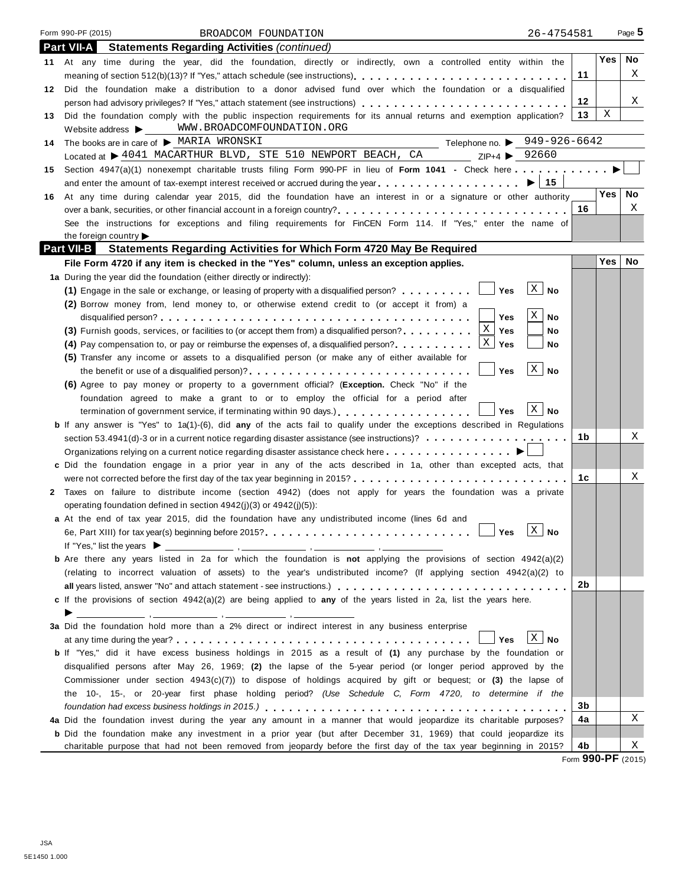|    | Form 990-PF (2015)<br>26-4754581<br>BROADCOM FOUNDATION                                                                                                                                                                          |        |            | Page 5    |
|----|----------------------------------------------------------------------------------------------------------------------------------------------------------------------------------------------------------------------------------|--------|------------|-----------|
|    | <b>Part VII-A</b><br><b>Statements Regarding Activities (continued)</b>                                                                                                                                                          |        |            |           |
|    | 11 At any time during the year, did the foundation, directly or indirectly, own a controlled entity within the                                                                                                                   |        | <b>Yes</b> | No.       |
|    |                                                                                                                                                                                                                                  | 11     |            | X         |
|    | 12 Did the foundation make a distribution to a donor advised fund over which the foundation or a disqualified                                                                                                                    |        |            |           |
|    | person had advisory privileges? If "Yes," attach statement (see instructions)                                                                                                                                                    | 12     |            | X         |
| 13 | Did the foundation comply with the public inspection requirements for its annual returns and exemption application?                                                                                                              | 13     | Χ          |           |
|    | Website address > WWW.BROADCOMFOUNDATION.ORG                                                                                                                                                                                     |        |            |           |
| 14 | Telephone no. $\triangleright$ 949-926-6642<br>The books are in care of $\blacktriangleright$ MARIA WRONSKI                                                                                                                      |        |            |           |
|    | Located at $\triangleright$ 4041 MACARTHUR BLVD, STE 510 NEWPORT BEACH, CA ZIP+4 $\triangleright$ 92660                                                                                                                          |        |            |           |
| 15 | Section 4947(a)(1) nonexempt charitable trusts filing Form 990-PF in lieu of Form 1041 - Check here                                                                                                                              |        |            |           |
|    |                                                                                                                                                                                                                                  |        |            |           |
|    | 16 At any time during calendar year 2015, did the foundation have an interest in or a signature or other authority                                                                                                               |        | <b>Yes</b> | <b>No</b> |
|    |                                                                                                                                                                                                                                  | 16     |            | Χ         |
|    | See the instructions for exceptions and filing requirements for FinCEN Form 114. If "Yes," enter the name of                                                                                                                     |        |            |           |
|    | the foreign country                                                                                                                                                                                                              |        |            |           |
|    | <b>Part VII-B</b> Statements Regarding Activities for Which Form 4720 May Be Required                                                                                                                                            |        |            |           |
|    | File Form 4720 if any item is checked in the "Yes" column, unless an exception applies.                                                                                                                                          |        | Yes        | No        |
|    | 1a During the year did the foundation (either directly or indirectly):                                                                                                                                                           |        |            |           |
|    | X <br>(1) Engage in the sale or exchange, or leasing of property with a disqualified person? $\ldots \ldots$<br><b>No</b>                                                                                                        |        |            |           |
|    | (2) Borrow money from, lend money to, or otherwise extend credit to (or accept it from) a                                                                                                                                        |        |            |           |
|    | X<br><b>No</b><br>Yes                                                                                                                                                                                                            |        |            |           |
|    | X<br>(3) Furnish goods, services, or facilities to (or accept them from) a disqualified person?<br>Yes<br>No                                                                                                                     |        |            |           |
|    | $X \mathbf{y}$ Yes<br>No                                                                                                                                                                                                         |        |            |           |
|    | (5) Transfer any income or assets to a disqualified person (or make any of either available for<br>$\mathbf{x}$                                                                                                                  |        |            |           |
|    | <b>No</b><br>the benefit or use of a disqualified person)?<br><br>Yes                                                                                                                                                            |        |            |           |
|    | (6) Agree to pay money or property to a government official? (Exception. Check "No" if the                                                                                                                                       |        |            |           |
|    | foundation agreed to make a grant to or to employ the official for a period after<br>$\mathbf{X} \mid \mathbf{N}$ o                                                                                                              |        |            |           |
|    | termination of government service, if terminating within 90 days.)<br>Yes                                                                                                                                                        |        |            |           |
|    | <b>b</b> If any answer is "Yes" to 1a(1)-(6), did any of the acts fail to qualify under the exceptions described in Regulations<br>section 53.4941(d)-3 or in a current notice regarding disaster assistance (see instructions)? | 1b     |            | Χ         |
|    |                                                                                                                                                                                                                                  |        |            |           |
|    | c Did the foundation engage in a prior year in any of the acts described in 1a, other than excepted acts, that                                                                                                                   |        |            |           |
|    |                                                                                                                                                                                                                                  | 1c     |            | Χ         |
|    | 2 Taxes on failure to distribute income (section 4942) (does not apply for years the foundation was a private                                                                                                                    |        |            |           |
|    | operating foundation defined in section $4942(i)(3)$ or $4942(i)(5)$ :                                                                                                                                                           |        |            |           |
|    | a At the end of tax year 2015, did the foundation have any undistributed income (lines 6d and                                                                                                                                    |        |            |           |
|    | $\Box$<br>$X \mid No$<br>Yes                                                                                                                                                                                                     |        |            |           |
|    | If "Yes," list the years $\blacktriangleright$                                                                                                                                                                                   |        |            |           |
|    | <b>b</b> Are there any years listed in 2a for which the foundation is not applying the provisions of section 4942(a)(2)                                                                                                          |        |            |           |
|    | (relating to incorrect valuation of assets) to the year's undistributed income? (If applying section 4942(a)(2) to                                                                                                               |        |            |           |
|    |                                                                                                                                                                                                                                  | 2b     |            |           |
|    | c If the provisions of section 4942(a)(2) are being applied to any of the years listed in 2a, list the years here.                                                                                                               |        |            |           |
|    | ▶                                                                                                                                                                                                                                |        |            |           |
|    | 3a Did the foundation hold more than a 2% direct or indirect interest in any business enterprise                                                                                                                                 |        |            |           |
|    | $\mathbf{X}$<br>No<br>Yes                                                                                                                                                                                                        |        |            |           |
|    | <b>b</b> If "Yes," did it have excess business holdings in 2015 as a result of (1) any purchase by the foundation or                                                                                                             |        |            |           |
|    | disqualified persons after May 26, 1969; (2) the lapse of the 5-year period (or longer period approved by the                                                                                                                    |        |            |           |
|    | Commissioner under section $4943(c)(7)$ ) to dispose of holdings acquired by gift or bequest; or (3) the lapse of                                                                                                                |        |            |           |
|    | the 10-, 15-, or 20-year first phase holding period? (Use Schedule C, Form 4720, to determine if the                                                                                                                             |        |            |           |
|    |                                                                                                                                                                                                                                  | 3b     |            |           |
|    | 4a Did the foundation invest during the year any amount in a manner that would jeopardize its charitable purposes?                                                                                                               | 4a     |            | Χ         |
|    | b Did the foundation make any investment in a prior year (but after December 31, 1969) that could jeopardize its                                                                                                                 |        |            |           |
|    | charitable purpose that had not been removed from jeopardy before the first day of the tax year beginning in 2015?                                                                                                               | 4b<br> |            | Χ         |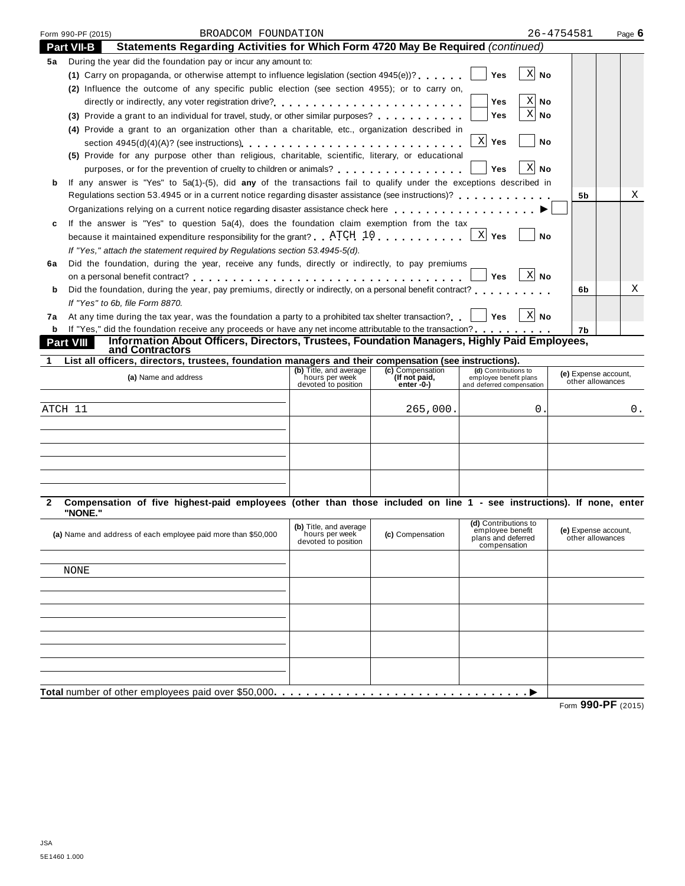|    | Form 990-PF (2015)              | BROADCOM FOUNDATION                                                                                                                                                                                              |                                          |                                   |                                                | 26-4754581                               | Page $6$ |
|----|---------------------------------|------------------------------------------------------------------------------------------------------------------------------------------------------------------------------------------------------------------|------------------------------------------|-----------------------------------|------------------------------------------------|------------------------------------------|----------|
|    | <b>Part VII-B</b>               | Statements Regarding Activities for Which Form 4720 May Be Required (continued)                                                                                                                                  |                                          |                                   |                                                |                                          |          |
| 5а |                                 | During the year did the foundation pay or incur any amount to:                                                                                                                                                   |                                          |                                   |                                                |                                          |          |
|    |                                 | (1) Carry on propaganda, or otherwise attempt to influence legislation (section $4945(e)$ )?                                                                                                                     |                                          |                                   | $X$ No<br><b>Yes</b>                           |                                          |          |
|    |                                 | (2) Influence the outcome of any specific public election (see section 4955); or to carry on,                                                                                                                    |                                          |                                   |                                                |                                          |          |
|    |                                 | directly or indirectly, any voter registration drive?                                                                                                                                                            |                                          |                                   | $X$ No<br>Yes                                  |                                          |          |
|    |                                 | (3) Provide a grant to an individual for travel, study, or other similar purposes?                                                                                                                               |                                          |                                   | $X $ No<br>Yes                                 |                                          |          |
|    |                                 | (4) Provide a grant to an organization other than a charitable, etc., organization described in                                                                                                                  |                                          |                                   |                                                |                                          |          |
|    |                                 |                                                                                                                                                                                                                  |                                          |                                   | X Yes<br>No                                    |                                          |          |
|    |                                 | (5) Provide for any purpose other than religious, charitable, scientific, literary, or educational                                                                                                               |                                          |                                   |                                                |                                          |          |
|    |                                 | purposes, or for the prevention of cruelty to children or animals?                                                                                                                                               |                                          |                                   | $X$ No<br><b>Yes</b>                           |                                          |          |
| b  |                                 | If any answer is "Yes" to 5a(1)-(5), did any of the transactions fail to qualify under the exceptions described in                                                                                               |                                          |                                   |                                                |                                          |          |
|    |                                 | Regulations section 53.4945 or in a current notice regarding disaster assistance (see instructions)?                                                                                                             |                                          |                                   |                                                | 5b                                       | Χ        |
|    |                                 | Organizations relying on a current notice regarding disaster assistance check here entitled as a controller or an analyzing on a current notice regarding disaster assistance check here $\ldots$ , and $\ldots$ |                                          |                                   |                                                |                                          |          |
| c  |                                 | If the answer is "Yes" to question $5a(4)$ , does the foundation claim exemption from the tax                                                                                                                    |                                          |                                   |                                                |                                          |          |
|    |                                 | because it maintained expenditure responsibility for the grant? $\frac{ATCH}{10}$ , ,,,,,,,                                                                                                                      |                                          |                                   | X Yes<br><b>No</b>                             |                                          |          |
|    |                                 | If "Yes," attach the statement required by Regulations section 53.4945-5(d).                                                                                                                                     |                                          |                                   |                                                |                                          |          |
| 6a |                                 | Did the foundation, during the year, receive any funds, directly or indirectly, to pay premiums                                                                                                                  |                                          |                                   |                                                |                                          |          |
|    |                                 |                                                                                                                                                                                                                  |                                          |                                   | $X$ No<br>Yes                                  |                                          |          |
| b  |                                 | Did the foundation, during the year, pay premiums, directly or indirectly, on a personal benefit contract?                                                                                                       |                                          |                                   |                                                | 6b                                       | х        |
|    | If "Yes" to 6b, file Form 8870. |                                                                                                                                                                                                                  |                                          |                                   |                                                |                                          |          |
| 7a |                                 | At any time during the tax year, was the foundation a party to a prohibited tax shelter transaction? $ \cdot $ Yes $ X $ No                                                                                      |                                          |                                   |                                                |                                          |          |
|    |                                 | <b>b</b> If "Yes," did the foundation receive any proceeds or have any net income attributable to the transaction?                                                                                               |                                          |                                   |                                                | 7b                                       |          |
|    | Part VIII                       | Information About Officers, Directors, Trustees, Foundation Managers, Highly Paid Employees,<br>and Contractors                                                                                                  |                                          |                                   |                                                |                                          |          |
| 1  |                                 | List all officers, directors, trustees, foundation managers and their compensation (see instructions).                                                                                                           |                                          |                                   |                                                |                                          |          |
|    |                                 | (a) Name and address                                                                                                                                                                                             | (b) Title, and average<br>hours per week | (c) Compensation<br>(If not paid, | (d) Contributions to<br>employee benefit plans | (e) Expense account,                     |          |
|    |                                 |                                                                                                                                                                                                                  | devoted to position                      | enter -0-)                        | and deferred compensation                      | other allowances                         |          |
|    |                                 |                                                                                                                                                                                                                  |                                          |                                   |                                                |                                          |          |
|    | ATCH 11                         |                                                                                                                                                                                                                  |                                          | 265,000.                          | 0.                                             |                                          | 0.       |
|    |                                 |                                                                                                                                                                                                                  |                                          |                                   |                                                |                                          |          |
|    |                                 |                                                                                                                                                                                                                  |                                          |                                   |                                                |                                          |          |
|    |                                 |                                                                                                                                                                                                                  |                                          |                                   |                                                |                                          |          |
|    |                                 |                                                                                                                                                                                                                  |                                          |                                   |                                                |                                          |          |
|    |                                 |                                                                                                                                                                                                                  |                                          |                                   |                                                |                                          |          |
|    |                                 |                                                                                                                                                                                                                  |                                          |                                   |                                                |                                          |          |
|    |                                 |                                                                                                                                                                                                                  |                                          |                                   |                                                |                                          |          |
| 2  |                                 | Compensation of five highest-paid employees (other than those included on line 1 - see instructions). If none, enter                                                                                             |                                          |                                   |                                                |                                          |          |
|    | "NONE."                         |                                                                                                                                                                                                                  |                                          |                                   | (d) Contributions to                           |                                          |          |
|    |                                 | (a) Name and address of each employee paid more than \$50,000                                                                                                                                                    | (b) Title, and average<br>hours per week | (c) Compensation                  | employee benefit<br>plans and deferred         | (e) Expense account,<br>other allowances |          |
|    |                                 |                                                                                                                                                                                                                  | devoted to position                      |                                   | compensation                                   |                                          |          |
|    |                                 |                                                                                                                                                                                                                  |                                          |                                   |                                                |                                          |          |
|    | <b>NONE</b>                     |                                                                                                                                                                                                                  |                                          |                                   |                                                |                                          |          |
|    |                                 |                                                                                                                                                                                                                  |                                          |                                   |                                                |                                          |          |
|    |                                 |                                                                                                                                                                                                                  |                                          |                                   |                                                |                                          |          |
|    |                                 |                                                                                                                                                                                                                  |                                          |                                   |                                                |                                          |          |
|    |                                 |                                                                                                                                                                                                                  |                                          |                                   |                                                |                                          |          |
|    |                                 |                                                                                                                                                                                                                  |                                          |                                   |                                                |                                          |          |
|    |                                 |                                                                                                                                                                                                                  |                                          |                                   |                                                |                                          |          |
|    |                                 |                                                                                                                                                                                                                  |                                          |                                   |                                                |                                          |          |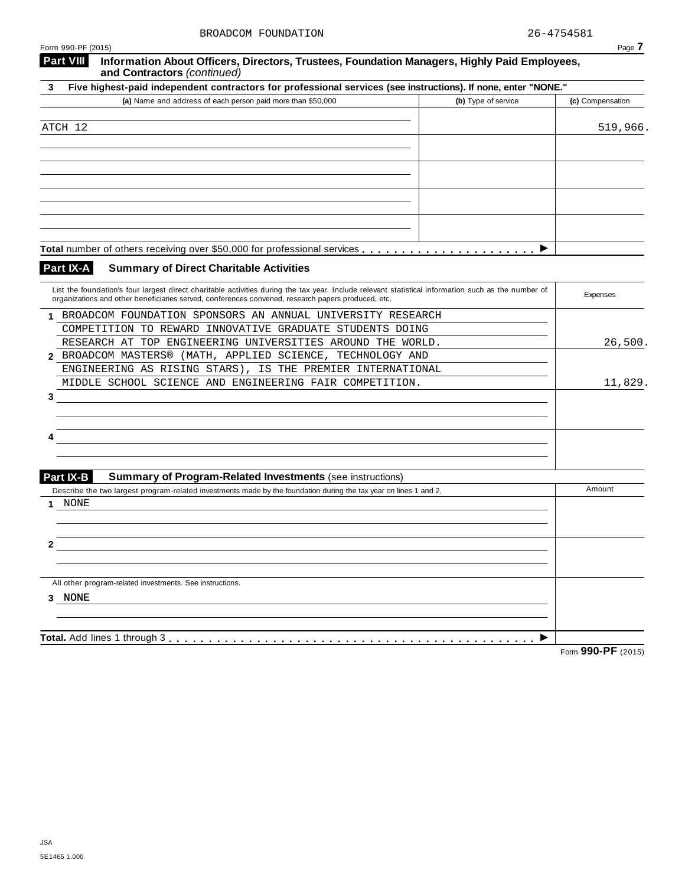| Form 990-PF (2015)                                                                                                                                                                                                                                        | Page 7                                  |
|-----------------------------------------------------------------------------------------------------------------------------------------------------------------------------------------------------------------------------------------------------------|-----------------------------------------|
| <b>Part VIII</b><br>Information About Officers, Directors, Trustees, Foundation Managers, Highly Paid Employees,<br>and Contractors (continued)                                                                                                           |                                         |
| Five highest-paid independent contractors for professional services (see instructions). If none, enter "NONE."<br>3                                                                                                                                       |                                         |
| (a) Name and address of each person paid more than \$50,000                                                                                                                                                                                               | (b) Type of service<br>(c) Compensation |
| ATCH 12                                                                                                                                                                                                                                                   | 519,966.                                |
|                                                                                                                                                                                                                                                           |                                         |
|                                                                                                                                                                                                                                                           |                                         |
|                                                                                                                                                                                                                                                           |                                         |
|                                                                                                                                                                                                                                                           |                                         |
|                                                                                                                                                                                                                                                           |                                         |
|                                                                                                                                                                                                                                                           |                                         |
|                                                                                                                                                                                                                                                           | ▶                                       |
| Part IX-A<br><b>Summary of Direct Charitable Activities</b>                                                                                                                                                                                               |                                         |
| List the foundation's four largest direct charitable activities during the tax year. Include relevant statistical information such as the number of<br>organizations and other beneficiaries served, conferences convened, research papers produced, etc. | Expenses                                |
| BROADCOM FOUNDATION SPONSORS AN ANNUAL UNIVERSITY RESEARCH<br>1.                                                                                                                                                                                          |                                         |
| COMPETITION TO REWARD INNOVATIVE GRADUATE STUDENTS DOING                                                                                                                                                                                                  |                                         |
| RESEARCH AT TOP ENGINEERING UNIVERSITIES AROUND THE WORLD.<br>BROADCOM MASTERS® (MATH, APPLIED SCIENCE, TECHNOLOGY AND<br>2                                                                                                                               | 26,500.                                 |
| ENGINEERING AS RISING STARS), IS THE PREMIER INTERNATIONAL                                                                                                                                                                                                |                                         |
| MIDDLE SCHOOL SCIENCE AND ENGINEERING FAIR COMPETITION.                                                                                                                                                                                                   | 11,829.                                 |
| 3                                                                                                                                                                                                                                                         |                                         |
|                                                                                                                                                                                                                                                           |                                         |
|                                                                                                                                                                                                                                                           |                                         |
|                                                                                                                                                                                                                                                           |                                         |
|                                                                                                                                                                                                                                                           |                                         |
| Part IX-B<br><b>Summary of Program-Related Investments (see instructions)</b><br>Describe the two largest program-related investments made by the foundation during the tax year on lines 1 and 2.                                                        | Amount                                  |
| NONE<br>1                                                                                                                                                                                                                                                 |                                         |
|                                                                                                                                                                                                                                                           |                                         |
|                                                                                                                                                                                                                                                           |                                         |
|                                                                                                                                                                                                                                                           |                                         |
|                                                                                                                                                                                                                                                           |                                         |
| All other program-related investments. See instructions.                                                                                                                                                                                                  |                                         |
| 3 NONE                                                                                                                                                                                                                                                    |                                         |
|                                                                                                                                                                                                                                                           |                                         |
|                                                                                                                                                                                                                                                           |                                         |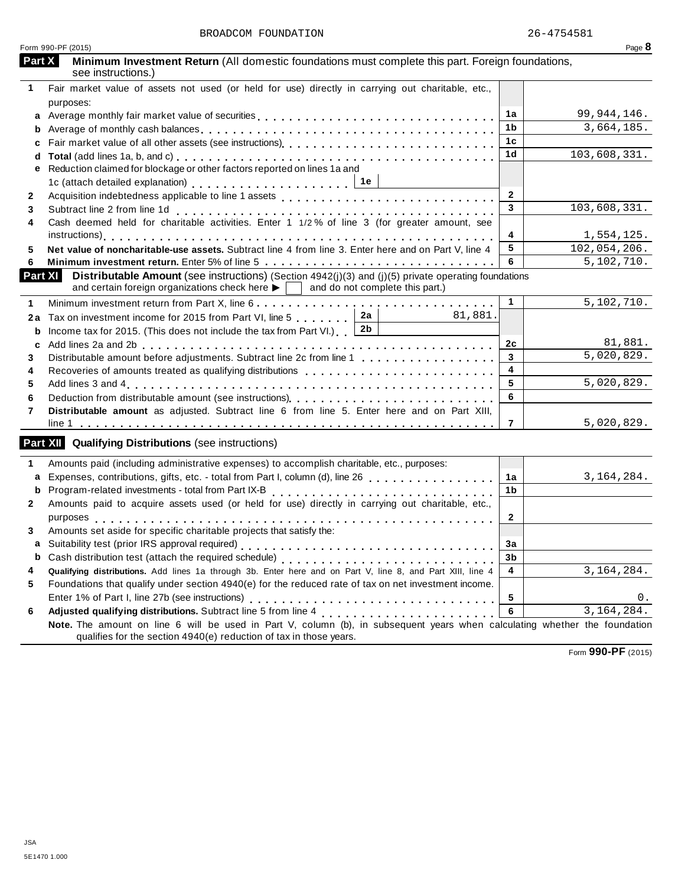|              | Form 990-PF (2015)                                                                                                                                                                                                                           |                | Page 8        |
|--------------|----------------------------------------------------------------------------------------------------------------------------------------------------------------------------------------------------------------------------------------------|----------------|---------------|
| Part X       | Minimum Investment Return (All domestic foundations must complete this part. Foreign foundations,<br>see instructions.)                                                                                                                      |                |               |
| 1            | Fair market value of assets not used (or held for use) directly in carrying out charitable, etc.,                                                                                                                                            |                |               |
|              | purposes:                                                                                                                                                                                                                                    |                |               |
| a            | Average monthly fair market value of securities                                                                                                                                                                                              | 1a             | 99, 944, 146. |
| b            |                                                                                                                                                                                                                                              | 1b             | 3,664,185.    |
| C            |                                                                                                                                                                                                                                              | 1c             |               |
| d            |                                                                                                                                                                                                                                              | 1 <sub>d</sub> | 103,608,331.  |
| е            | Reduction claimed for blockage or other factors reported on lines 1a and                                                                                                                                                                     |                |               |
|              |                                                                                                                                                                                                                                              |                |               |
| $\mathbf{2}$ |                                                                                                                                                                                                                                              | $\overline{2}$ |               |
| 3            |                                                                                                                                                                                                                                              | 3              | 103,608,331.  |
| 4            | Subtract line 2 from line 1d<br>Cash deemed held for charitable activities. Enter 1 1/2% of line 3 (for greater amount, see                                                                                                                  |                |               |
|              |                                                                                                                                                                                                                                              | 4              | 1,554,125.    |
| 5            | Net value of noncharitable-use assets. Subtract line 4 from line 3. Enter here and on Part V, line 4                                                                                                                                         | 5              | 102,054,206.  |
| 6            |                                                                                                                                                                                                                                              | 6              | 5,102,710.    |
|              | <b>Part XI</b><br>Distributable Amount (see instructions) (Section 4942(j)(3) and (j)(5) private operating foundations<br>and certain foreign organizations check here $\blacktriangleright$ $\vert \ \vert$ and do not complete this part.) |                |               |
|              |                                                                                                                                                                                                                                              |                |               |
| 1            |                                                                                                                                                                                                                                              | $\mathbf{1}$   | 5,102,710.    |
| 2a           | 2a<br>81,881.<br>Tax on investment income for 2015 from Part VI, line 5                                                                                                                                                                      |                |               |
| b            | 2 <sub>b</sub><br>Income tax for 2015. (This does not include the tax from Part VI.) [                                                                                                                                                       |                |               |
| c            |                                                                                                                                                                                                                                              | 2c             | 81,881.       |
| 3            | Distributable amount before adjustments. Subtract line 2c from line 1                                                                                                                                                                        | $\mathbf{3}$   | 5,020,829.    |
| 4            | Recoveries of amounts treated as qualifying distributions <b>Fig. 1.1.1.1.1.1.1.1.1.1.1.1.1.1.1.1.1.1.</b>                                                                                                                                   | 4              |               |
| 5            |                                                                                                                                                                                                                                              | 5              | 5,020,829.    |
| 6            |                                                                                                                                                                                                                                              | 6              |               |
| 7            | Distributable amount as adjusted. Subtract line 6 from line 5. Enter here and on Part XIII,                                                                                                                                                  |                |               |
|              |                                                                                                                                                                                                                                              | $\overline{7}$ | 5,020,829.    |
|              | <b>Part XII</b> Qualifying Distributions (see instructions)                                                                                                                                                                                  |                |               |
| 1            | Amounts paid (including administrative expenses) to accomplish charitable, etc., purposes:                                                                                                                                                   |                |               |
| a            | Expenses, contributions, gifts, etc. - total from Part I, column (d), line 26 [1] [1] [1] [1] [1] [1] [1] [1]                                                                                                                                | 1a             | 3, 164, 284.  |
| b            |                                                                                                                                                                                                                                              | 1 <sub>b</sub> |               |
| $\mathbf{2}$ | Amounts paid to acquire assets used (or held for use) directly in carrying out charitable, etc.,                                                                                                                                             |                |               |
|              |                                                                                                                                                                                                                                              | $\mathbf{2}$   |               |
| 3.           | Amounts set aside for specific charitable projects that satisfy the:                                                                                                                                                                         |                |               |
|              |                                                                                                                                                                                                                                              | 3a             |               |
| b            |                                                                                                                                                                                                                                              | 3b             |               |
| 4            | Qualifying distributions. Add lines 1a through 3b. Enter here and on Part V, line 8, and Part XIII, line 4                                                                                                                                   | 4              | 3, 164, 284.  |
| 5            | Foundations that qualify under section 4940(e) for the reduced rate of tax on net investment income.                                                                                                                                         |                |               |
|              |                                                                                                                                                                                                                                              | 5              | 0.            |
|              |                                                                                                                                                                                                                                              | 6              | 3, 164, 284.  |
| 6            |                                                                                                                                                                                                                                              |                |               |
|              | Note. The amount on line 6 will be used in Part V, column (b), in subsequent years when calculating whether the foundation<br>qualifies for the section 4940(e) reduction of tax in those years.                                             |                |               |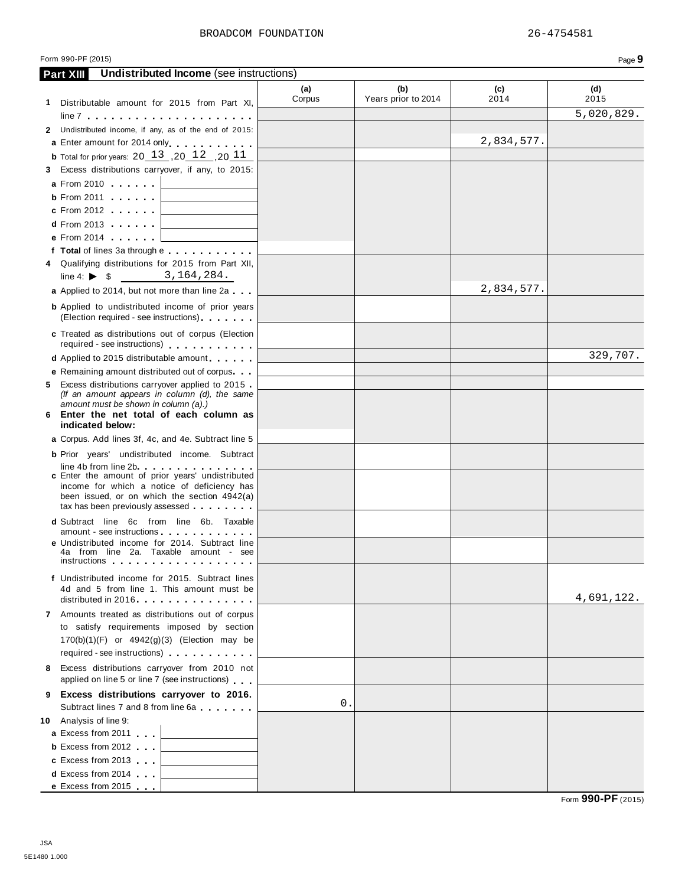#### Form 990-PF (2015) Page **9**

| Undistributed Income (see instructions)<br><b>Part XIII</b>                                                                                                                                                                    |               |                            |             |             |
|--------------------------------------------------------------------------------------------------------------------------------------------------------------------------------------------------------------------------------|---------------|----------------------------|-------------|-------------|
|                                                                                                                                                                                                                                | (a)<br>Corpus | (b)<br>Years prior to 2014 | (c)<br>2014 | (d)<br>2015 |
| 1 Distributable amount for 2015 from Part XI,                                                                                                                                                                                  |               |                            |             | 5,020,829.  |
|                                                                                                                                                                                                                                |               |                            |             |             |
| 2 Undistributed income, if any, as of the end of 2015:                                                                                                                                                                         |               |                            |             |             |
| a Enter amount for 2014 only entertainment                                                                                                                                                                                     |               |                            | 2,834,577.  |             |
| <b>b</b> Total for prior years: $20 \, 13 \, 0.2 \, 12 \, 0.2 \, 11$                                                                                                                                                           |               |                            |             |             |
| 3 Excess distributions carryover, if any, to 2015:                                                                                                                                                                             |               |                            |             |             |
| <b>a</b> From 2010                                                                                                                                                                                                             |               |                            |             |             |
| $b$ From 2011                                                                                                                                                                                                                  |               |                            |             |             |
| $c$ From 2012                                                                                                                                                                                                                  |               |                            |             |             |
| $d$ From 2013<br>the company of the company of the                                                                                                                                                                             |               |                            |             |             |
| <b>e</b> From 2014                                                                                                                                                                                                             |               |                            |             |             |
| f Total of lines 3a through e                                                                                                                                                                                                  |               |                            |             |             |
| 4 Qualifying distributions for 2015 from Part XII,<br>line 4: $\triangleright$ \$ 3, 164, 284.                                                                                                                                 |               |                            |             |             |
| a Applied to 2014, but not more than line 2a                                                                                                                                                                                   |               |                            | 2,834,577.  |             |
| <b>b</b> Applied to undistributed income of prior years<br>(Election required - see instructions)                                                                                                                              |               |                            |             |             |
| c Treated as distributions out of corpus (Election                                                                                                                                                                             |               |                            |             |             |
| required - see instructions)                                                                                                                                                                                                   |               |                            |             |             |
| <b>d</b> Applied to 2015 distributable amount                                                                                                                                                                                  |               |                            |             | 329,707.    |
| <b>e</b> Remaining amount distributed out of corpus                                                                                                                                                                            |               |                            |             |             |
| 5 Excess distributions carryover applied to 2015                                                                                                                                                                               |               |                            |             |             |
| (If an amount appears in column (d), the same                                                                                                                                                                                  |               |                            |             |             |
| amount must be shown in column (a).)<br>6 Enter the net total of each column as                                                                                                                                                |               |                            |             |             |
| indicated below:                                                                                                                                                                                                               |               |                            |             |             |
| a Corpus. Add lines 3f, 4c, and 4e. Subtract line 5                                                                                                                                                                            |               |                            |             |             |
| <b>b</b> Prior years' undistributed income. Subtract                                                                                                                                                                           |               |                            |             |             |
| line 4b from line 2b. The contract of the state of the state of the state of the state of the state of the state of the state of the state of the state of the state of the state of the state of the state of the state of th |               |                            |             |             |
| <b>c</b> Enter the amount of prior years' undistributed                                                                                                                                                                        |               |                            |             |             |
| income for which a notice of deficiency has<br>been issued, or on which the section 4942(a)                                                                                                                                    |               |                            |             |             |
| tax has been previously assessed                                                                                                                                                                                               |               |                            |             |             |
| <b>d</b> Subtract line 6c from line 6b. Taxable                                                                                                                                                                                |               |                            |             |             |
| amount - see instructions                                                                                                                                                                                                      |               |                            |             |             |
| e Undistributed income for 2014. Subtract line<br>4a from line 2a. Taxable amount - see                                                                                                                                        |               |                            |             |             |
| instructions                                                                                                                                                                                                                   |               |                            |             |             |
| f Undistributed income for 2015. Subtract lines                                                                                                                                                                                |               |                            |             |             |
| 4d and 5 from line 1. This amount must be                                                                                                                                                                                      |               |                            |             |             |
| distributed in 2016                                                                                                                                                                                                            |               |                            |             | 4,691,122.  |
| 7 Amounts treated as distributions out of corpus                                                                                                                                                                               |               |                            |             |             |
| to satisfy requirements imposed by section                                                                                                                                                                                     |               |                            |             |             |
| $170(b)(1)(F)$ or $4942(g)(3)$ (Election may be                                                                                                                                                                                |               |                            |             |             |
| required - see instructions)                                                                                                                                                                                                   |               |                            |             |             |
| 8 Excess distributions carryover from 2010 not                                                                                                                                                                                 |               |                            |             |             |
| applied on line 5 or line 7 (see instructions)                                                                                                                                                                                 |               |                            |             |             |
| 9 Excess distributions carryover to 2016.<br>Subtract lines 7 and 8 from line 6a                                                                                                                                               | 0.            |                            |             |             |
| 10 Analysis of line 9:                                                                                                                                                                                                         |               |                            |             |             |
| <b>a</b> Excess from 2011                                                                                                                                                                                                      |               |                            |             |             |
| <b>b</b> Excess from 2012                                                                                                                                                                                                      |               |                            |             |             |
| c Excess from 2013                                                                                                                                                                                                             |               |                            |             |             |
| <b>d</b> Excess from 2014                                                                                                                                                                                                      |               |                            |             |             |
| e Excess from 2015                                                                                                                                                                                                             |               |                            |             |             |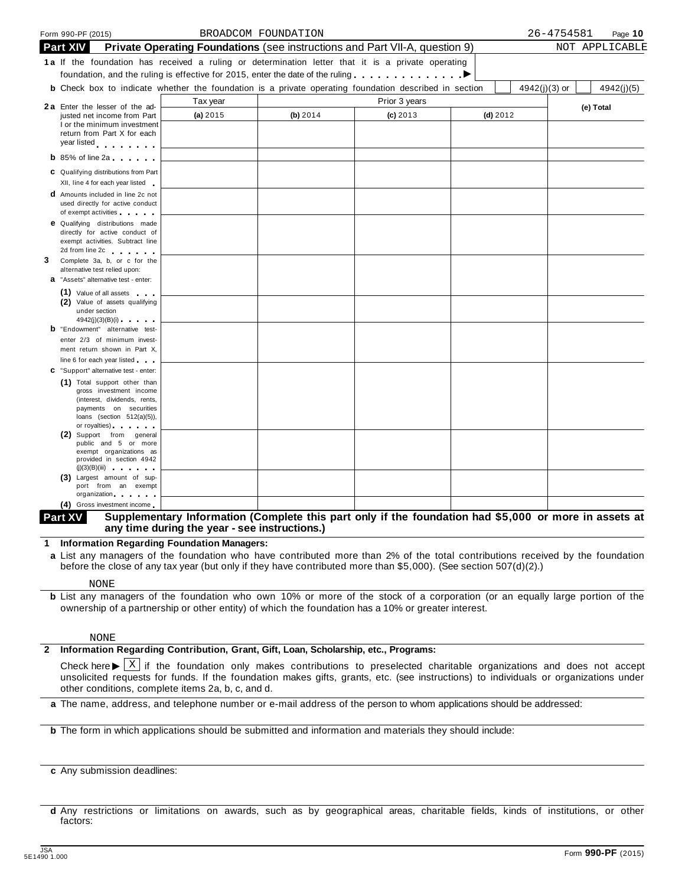|   |                 | Form 990-PF (2015)                                                                                                                                  |                                                                                                              | BROADCOM FOUNDATION |               |            | 26-4754581<br>Page 10         |
|---|-----------------|-----------------------------------------------------------------------------------------------------------------------------------------------------|--------------------------------------------------------------------------------------------------------------|---------------------|---------------|------------|-------------------------------|
|   | <b>Part XIV</b> |                                                                                                                                                     | Private Operating Foundations (see instructions and Part VII-A, question 9)                                  |                     |               |            | NOT APPLICABLE                |
|   |                 |                                                                                                                                                     | 1a If the foundation has received a ruling or determination letter that it is a private operating            |                     |               |            |                               |
|   |                 |                                                                                                                                                     | foundation, and the ruling is effective for 2015, enter the date of the ruling $\ldots \ldots \ldots$        |                     |               |            |                               |
|   |                 |                                                                                                                                                     | <b>b</b> Check box to indicate whether the foundation is a private operating foundation described in section |                     |               |            | $4942(j)(3)$ or<br>4942(j)(5) |
|   |                 | 2a Enter the lesser of the ad-                                                                                                                      | Tax year                                                                                                     |                     | Prior 3 years |            | (e) Total                     |
|   |                 | justed net income from Part                                                                                                                         | (a) 2015                                                                                                     | (b) 2014            | $(c)$ 2013    | $(d)$ 2012 |                               |
|   |                 | I or the minimum investment<br>return from Part X for each                                                                                          |                                                                                                              |                     |               |            |                               |
|   |                 | year listed experience                                                                                                                              |                                                                                                              |                     |               |            |                               |
|   |                 | $\mathbf b$ 85% of line 2a $\mathbf b$                                                                                                              |                                                                                                              |                     |               |            |                               |
|   |                 | C Qualifying distributions from Part                                                                                                                |                                                                                                              |                     |               |            |                               |
|   |                 | XII, line 4 for each year listed                                                                                                                    |                                                                                                              |                     |               |            |                               |
|   |                 | <b>d</b> Amounts included in line 2c not                                                                                                            |                                                                                                              |                     |               |            |                               |
|   |                 | used directly for active conduct<br>of exempt activities                                                                                            |                                                                                                              |                     |               |            |                               |
|   |                 | <b>e</b> Qualifying distributions made                                                                                                              |                                                                                                              |                     |               |            |                               |
|   |                 | directly for active conduct of                                                                                                                      |                                                                                                              |                     |               |            |                               |
|   |                 | exempt activities. Subtract line<br>2d from line 2c and the set of the set of the set of the set of the set of the set of the set of the set of the |                                                                                                              |                     |               |            |                               |
| 3 |                 | Complete 3a, b, or c for the                                                                                                                        |                                                                                                              |                     |               |            |                               |
|   |                 | alternative test relied upon:<br><b>a</b> "Assets" alternative test - enter:                                                                        |                                                                                                              |                     |               |            |                               |
|   |                 | (1) Value of all assets                                                                                                                             |                                                                                                              |                     |               |            |                               |
|   |                 | (2) Value of assets qualifying                                                                                                                      |                                                                                                              |                     |               |            |                               |
|   |                 | under section<br>4942(j)(3)(B)(i)                                                                                                                   |                                                                                                              |                     |               |            |                               |
|   |                 | <b>b</b> "Endowment" alternative test-                                                                                                              |                                                                                                              |                     |               |            |                               |
|   |                 | enter 2/3 of minimum invest-                                                                                                                        |                                                                                                              |                     |               |            |                               |
|   |                 | ment return shown in Part X,                                                                                                                        |                                                                                                              |                     |               |            |                               |
|   |                 | line 6 for each year listed<br>C "Support" alternative test - enter:                                                                                |                                                                                                              |                     |               |            |                               |
|   |                 | (1) Total support other than                                                                                                                        |                                                                                                              |                     |               |            |                               |
|   |                 | gross investment income                                                                                                                             |                                                                                                              |                     |               |            |                               |
|   |                 | (interest, dividends, rents,<br>payments on securities                                                                                              |                                                                                                              |                     |               |            |                               |
|   |                 | loans (section $512(a)(5)$ ),                                                                                                                       |                                                                                                              |                     |               |            |                               |
|   |                 | or royalties) and the control of the control of<br>(2) Support from general                                                                         |                                                                                                              |                     |               |            |                               |
|   |                 | public and 5 or more<br>exempt organizations as                                                                                                     |                                                                                                              |                     |               |            |                               |
|   |                 | provided in section 4942                                                                                                                            |                                                                                                              |                     |               |            |                               |
|   |                 | (j)(3)(B)(iii)<br>(3) Largest amount of sup-                                                                                                        |                                                                                                              |                     |               |            |                               |
|   |                 | port from an exempt                                                                                                                                 |                                                                                                              |                     |               |            |                               |
|   |                 | organization<br>O(1)                                                                                                                                |                                                                                                              |                     |               |            |                               |

#### Supplementary Information (Complete this part only if the foundation had \$5,000 or more in assets at **any time during the year - see instructions.) Part XV**

**1 Information Regarding Foundation Managers:**

**a** List any managers of the foundation who have contributed more than 2% of the total contributions received by the foundation before the close of any tax year (but only if they have contributed more than \$5,000). (See section 507(d)(2).)

NONE

**b** List any managers of the foundation who own 10% or more of the stock of a corporation (or an equally large portion of the ownership of a partnership or other entity) of which the foundation has a 10% or greater interest.

#### NONE

#### **2 Information Regarding Contribution, Grant, Gift, Loan, Scholarship, etc., Programs:**

Check here  $\blacktriangleright \overline{X}$  if the foundation only makes contributions to preselected charitable organizations and does not accept unsolicited requests for funds if the foundation makes gifts graphs at  $\zeta$  (see instruction unsolicited requests for funds. If the foundation makes gifts, grants, etc. (see instructions) to individuals or organizations under other conditions, complete items 2a, b, c, and d.

**a** The name, address, and telephone number or e-mail address of the person to whom applications should be addressed:

**b** The form in which applications should be submitted and information and materials they should include:

**c** Any submission deadlines:

**d** Any restrictions or limitations on awards, such as by geographical areas, charitable fields, kinds of institutions, or other factors: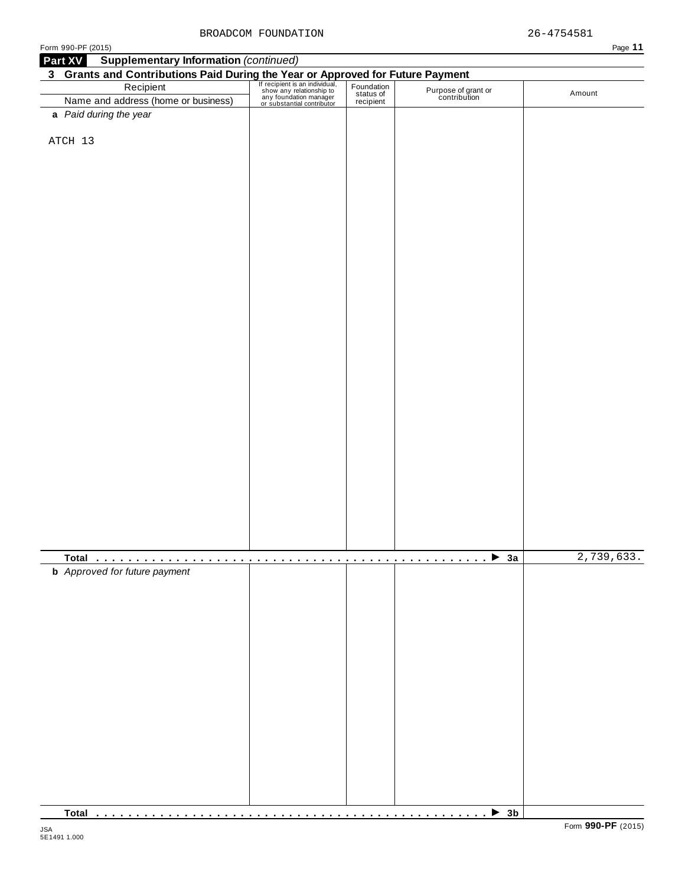| Form 990-PF (2015)                                                                                                                                                                                                                        |  |                                     | Page 11    |
|-------------------------------------------------------------------------------------------------------------------------------------------------------------------------------------------------------------------------------------------|--|-------------------------------------|------------|
| <b>Supplementary Information (continued)</b><br>Part XV                                                                                                                                                                                   |  |                                     |            |
| <b>3 Grants and Contributions Paid During the Year or Approved for Future Payment</b><br>Recipient Fecipient Stan individual, Foundation<br>Name and address (home or business) any foundation manager<br>or substantial contributor expr |  |                                     |            |
|                                                                                                                                                                                                                                           |  | Purpose of grant or<br>contribution | Amount     |
|                                                                                                                                                                                                                                           |  |                                     |            |
| a Paid during the year                                                                                                                                                                                                                    |  |                                     |            |
|                                                                                                                                                                                                                                           |  |                                     |            |
| ATCH 13                                                                                                                                                                                                                                   |  |                                     |            |
|                                                                                                                                                                                                                                           |  |                                     |            |
|                                                                                                                                                                                                                                           |  |                                     |            |
|                                                                                                                                                                                                                                           |  |                                     |            |
|                                                                                                                                                                                                                                           |  |                                     |            |
|                                                                                                                                                                                                                                           |  |                                     |            |
|                                                                                                                                                                                                                                           |  |                                     |            |
|                                                                                                                                                                                                                                           |  |                                     |            |
|                                                                                                                                                                                                                                           |  |                                     |            |
|                                                                                                                                                                                                                                           |  |                                     |            |
|                                                                                                                                                                                                                                           |  |                                     |            |
|                                                                                                                                                                                                                                           |  |                                     |            |
|                                                                                                                                                                                                                                           |  |                                     |            |
|                                                                                                                                                                                                                                           |  |                                     |            |
|                                                                                                                                                                                                                                           |  |                                     |            |
|                                                                                                                                                                                                                                           |  |                                     |            |
|                                                                                                                                                                                                                                           |  |                                     |            |
|                                                                                                                                                                                                                                           |  |                                     |            |
|                                                                                                                                                                                                                                           |  |                                     |            |
|                                                                                                                                                                                                                                           |  |                                     |            |
|                                                                                                                                                                                                                                           |  |                                     |            |
|                                                                                                                                                                                                                                           |  |                                     |            |
|                                                                                                                                                                                                                                           |  |                                     |            |
|                                                                                                                                                                                                                                           |  |                                     |            |
|                                                                                                                                                                                                                                           |  |                                     |            |
|                                                                                                                                                                                                                                           |  |                                     |            |
|                                                                                                                                                                                                                                           |  |                                     |            |
|                                                                                                                                                                                                                                           |  |                                     |            |
|                                                                                                                                                                                                                                           |  |                                     |            |
|                                                                                                                                                                                                                                           |  |                                     |            |
|                                                                                                                                                                                                                                           |  |                                     |            |
|                                                                                                                                                                                                                                           |  |                                     |            |
|                                                                                                                                                                                                                                           |  | $\rightarrow$ 3a                    | 2,739,633. |
| <b>b</b> Approved for future payment                                                                                                                                                                                                      |  | .                                   |            |
|                                                                                                                                                                                                                                           |  |                                     |            |
|                                                                                                                                                                                                                                           |  |                                     |            |
|                                                                                                                                                                                                                                           |  |                                     |            |
|                                                                                                                                                                                                                                           |  |                                     |            |
|                                                                                                                                                                                                                                           |  |                                     |            |
|                                                                                                                                                                                                                                           |  |                                     |            |
|                                                                                                                                                                                                                                           |  |                                     |            |
|                                                                                                                                                                                                                                           |  |                                     |            |
|                                                                                                                                                                                                                                           |  |                                     |            |
|                                                                                                                                                                                                                                           |  |                                     |            |
|                                                                                                                                                                                                                                           |  |                                     |            |
|                                                                                                                                                                                                                                           |  |                                     |            |
|                                                                                                                                                                                                                                           |  |                                     |            |
|                                                                                                                                                                                                                                           |  |                                     |            |
|                                                                                                                                                                                                                                           |  |                                     |            |
|                                                                                                                                                                                                                                           |  |                                     |            |
|                                                                                                                                                                                                                                           |  |                                     |            |
|                                                                                                                                                                                                                                           |  |                                     |            |

**Total** m m m m m m m m m m m m m m m m m m m m m m m m m m m m m m m m m m m m m m m m m m m m m m m m m I **3b**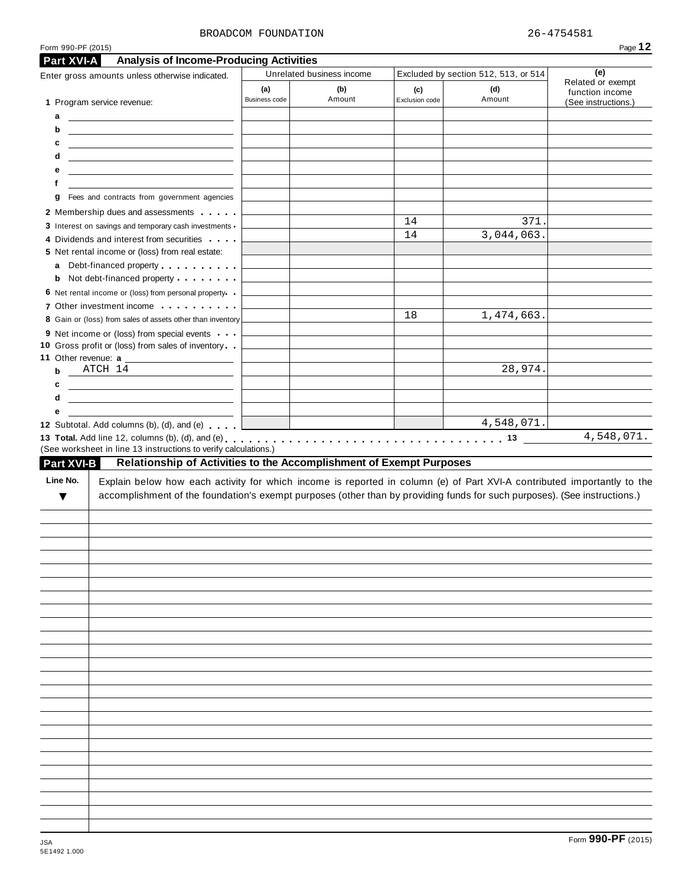#### BROADCOM FOUNDATION 26-4754581

| Form 990-PF (2015)     |                                                                                                                                                                                                                                                      |                      |                                  |                |                                             | Page 12                                     |
|------------------------|------------------------------------------------------------------------------------------------------------------------------------------------------------------------------------------------------------------------------------------------------|----------------------|----------------------------------|----------------|---------------------------------------------|---------------------------------------------|
| Part XVI-A             | <b>Analysis of Income-Producing Activities</b>                                                                                                                                                                                                       |                      |                                  |                |                                             |                                             |
|                        | Enter gross amounts unless otherwise indicated.                                                                                                                                                                                                      | (a)                  | Unrelated business income<br>(b) | (c)            | Excluded by section 512, 513, or 514<br>(d) | (e)<br>Related or exempt<br>function income |
|                        | 1 Program service revenue:                                                                                                                                                                                                                           | <b>Business code</b> | Amount                           | Exclusion code | Amount                                      | (See instructions.)                         |
| a                      | <u> The Communication of the Communication</u>                                                                                                                                                                                                       |                      |                                  |                |                                             |                                             |
| b<br>c                 | <u> 1989 - Johann John Stone, markin f</u>                                                                                                                                                                                                           |                      |                                  |                |                                             |                                             |
| d                      | <u> 1980 - Andrea Andrew Maria (h. 1980).</u><br><u> Alexandria de la contexta de la contexta de la contexta de la contexta de la contexta de la contexta de la c</u>                                                                                |                      |                                  |                |                                             |                                             |
| е                      |                                                                                                                                                                                                                                                      |                      |                                  |                |                                             |                                             |
| f                      |                                                                                                                                                                                                                                                      |                      |                                  |                |                                             |                                             |
| g                      | Fees and contracts from government agencies                                                                                                                                                                                                          |                      |                                  |                |                                             |                                             |
|                        | 2 Membership dues and assessments                                                                                                                                                                                                                    |                      |                                  |                |                                             |                                             |
|                        | 3 Interest on savings and temporary cash investments                                                                                                                                                                                                 |                      |                                  | 14<br>14       | 371.<br>3,044,063.                          |                                             |
|                        | 4 Dividends and interest from securities                                                                                                                                                                                                             |                      |                                  |                |                                             |                                             |
|                        | 5 Net rental income or (loss) from real estate:                                                                                                                                                                                                      |                      |                                  |                |                                             |                                             |
| a                      | Debt-financed property entering the set of<br><b>b</b> Not debt-financed property                                                                                                                                                                    |                      |                                  |                |                                             |                                             |
|                        | 6 Net rental income or (loss) from personal property.                                                                                                                                                                                                |                      |                                  |                |                                             |                                             |
|                        | 7 Other investment income                                                                                                                                                                                                                            |                      |                                  |                |                                             |                                             |
|                        | 8 Gain or (loss) from sales of assets other than inventory                                                                                                                                                                                           |                      |                                  | 18             | 1,474,663.                                  |                                             |
|                        | 9 Net income or (loss) from special events                                                                                                                                                                                                           |                      |                                  |                |                                             |                                             |
|                        | 10 Gross profit or (loss) from sales of inventory                                                                                                                                                                                                    |                      |                                  |                |                                             |                                             |
|                        | ATCH 14                                                                                                                                                                                                                                              |                      |                                  |                | 28,974.                                     |                                             |
| b                      | <u> 1989 - Andrea Station, amerikansk politik (</u>                                                                                                                                                                                                  |                      |                                  |                |                                             |                                             |
| c                      |                                                                                                                                                                                                                                                      |                      |                                  |                |                                             |                                             |
|                        |                                                                                                                                                                                                                                                      |                      |                                  |                |                                             |                                             |
| d                      | <u> 1999 - Johann Marie Barn, mars eta inperiodo</u>                                                                                                                                                                                                 |                      |                                  |                |                                             |                                             |
| е<br><b>Part XVI-B</b> | 12 Subtotal. Add columns (b), (d), and (e)<br>(See worksheet in line 13 instructions to verify calculations.)<br>Relationship of Activities to the Accomplishment of Exempt Purposes                                                                 |                      |                                  |                | 4,548,071.                                  |                                             |
| Line No.<br>▼          | Explain below how each activity for which income is reported in column (e) of Part XVI-A contributed importantly to the<br>accomplishment of the foundation's exempt purposes (other than by providing funds for such purposes). (See instructions.) |                      |                                  |                |                                             | 4,548,071.                                  |
|                        |                                                                                                                                                                                                                                                      |                      |                                  |                |                                             |                                             |
|                        |                                                                                                                                                                                                                                                      |                      |                                  |                |                                             |                                             |
|                        |                                                                                                                                                                                                                                                      |                      |                                  |                |                                             |                                             |
|                        |                                                                                                                                                                                                                                                      |                      |                                  |                |                                             |                                             |
|                        |                                                                                                                                                                                                                                                      |                      |                                  |                |                                             |                                             |
|                        |                                                                                                                                                                                                                                                      |                      |                                  |                |                                             |                                             |
|                        |                                                                                                                                                                                                                                                      |                      |                                  |                |                                             |                                             |
|                        |                                                                                                                                                                                                                                                      |                      |                                  |                |                                             |                                             |
|                        |                                                                                                                                                                                                                                                      |                      |                                  |                |                                             |                                             |
|                        |                                                                                                                                                                                                                                                      |                      |                                  |                |                                             |                                             |
|                        |                                                                                                                                                                                                                                                      |                      |                                  |                |                                             |                                             |
|                        |                                                                                                                                                                                                                                                      |                      |                                  |                |                                             |                                             |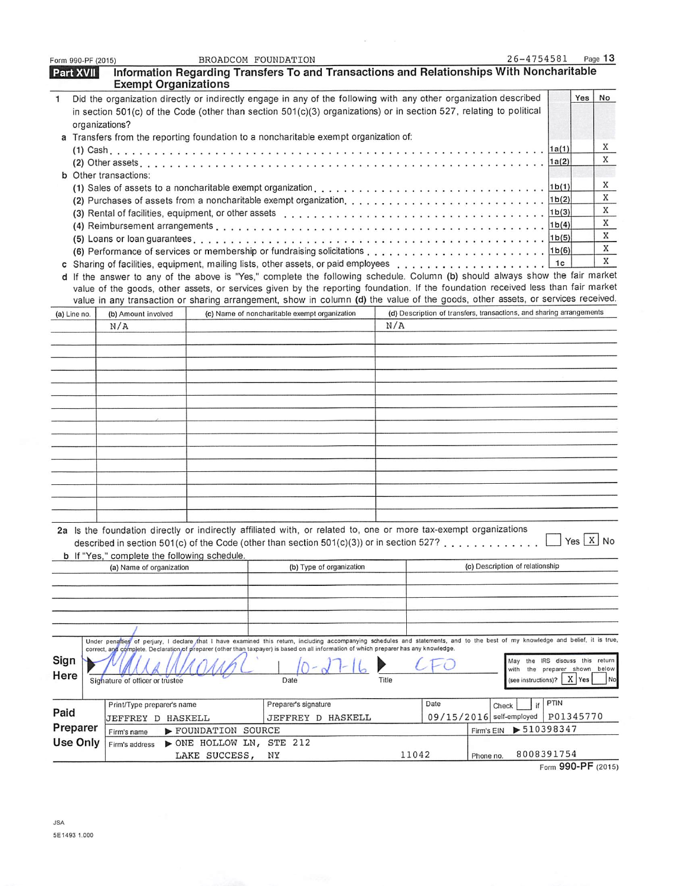| Form 990-PF (2015)                                                                   |  |                                                                                                                                                                                                                                                                                                                           |                          | BROADCOM FOUNDATION                           |                          |       |      |                                                                      | 26-4754581                      |                      | Page 13 |
|--------------------------------------------------------------------------------------|--|---------------------------------------------------------------------------------------------------------------------------------------------------------------------------------------------------------------------------------------------------------------------------------------------------------------------------|--------------------------|-----------------------------------------------|--------------------------|-------|------|----------------------------------------------------------------------|---------------------------------|----------------------|---------|
| Part XVII                                                                            |  | Information Regarding Transfers To and Transactions and Relationships With Noncharitable                                                                                                                                                                                                                                  |                          |                                               |                          |       |      |                                                                      |                                 |                      |         |
| $\mathbf{1}$                                                                         |  | <b>Exempt Organizations</b><br>Did the organization directly or indirectly engage in any of the following with any other organization described                                                                                                                                                                           |                          |                                               |                          |       |      |                                                                      |                                 | Yes                  | No      |
|                                                                                      |  | in section 501(c) of the Code (other than section 501(c)(3) organizations) or in section 527, relating to political                                                                                                                                                                                                       |                          |                                               |                          |       |      |                                                                      |                                 |                      |         |
|                                                                                      |  | organizations?                                                                                                                                                                                                                                                                                                            |                          |                                               |                          |       |      |                                                                      |                                 |                      |         |
| a Transfers from the reporting foundation to a noncharitable exempt organization of: |  |                                                                                                                                                                                                                                                                                                                           |                          |                                               |                          |       |      |                                                                      |                                 |                      |         |
|                                                                                      |  |                                                                                                                                                                                                                                                                                                                           |                          |                                               |                          |       |      |                                                                      |                                 |                      | X       |
|                                                                                      |  |                                                                                                                                                                                                                                                                                                                           |                          |                                               |                          |       |      |                                                                      |                                 |                      | X       |
|                                                                                      |  | <b>b</b> Other transactions:                                                                                                                                                                                                                                                                                              |                          |                                               |                          |       |      |                                                                      |                                 |                      |         |
|                                                                                      |  |                                                                                                                                                                                                                                                                                                                           |                          |                                               |                          |       |      |                                                                      |                                 |                      | X<br>X  |
|                                                                                      |  | (3) Rental of facilities, equipment, or other assets et all contacts of the contact of the state of the state of the state of the state of the state of the state of the state of the state of the state of the state of the s                                                                                            |                          |                                               |                          |       |      |                                                                      | 1 <sub>b</sub> (2)              |                      | X       |
|                                                                                      |  |                                                                                                                                                                                                                                                                                                                           |                          |                                               |                          |       |      |                                                                      |                                 |                      | X       |
|                                                                                      |  |                                                                                                                                                                                                                                                                                                                           |                          |                                               |                          |       |      |                                                                      |                                 |                      | X       |
|                                                                                      |  |                                                                                                                                                                                                                                                                                                                           |                          |                                               |                          |       |      |                                                                      |                                 |                      | X       |
|                                                                                      |  |                                                                                                                                                                                                                                                                                                                           |                          |                                               |                          |       |      |                                                                      | 1c                              |                      | X       |
|                                                                                      |  | d If the answer to any of the above is "Yes," complete the following schedule. Column (b) should always show the fair market                                                                                                                                                                                              |                          |                                               |                          |       |      |                                                                      |                                 |                      |         |
|                                                                                      |  | value of the goods, other assets, or services given by the reporting foundation. If the foundation received less than fair market<br>value in any transaction or sharing arrangement, show in column (d) the value of the goods, other assets, or services received.                                                      |                          |                                               |                          |       |      |                                                                      |                                 |                      |         |
| (a) Line no.                                                                         |  | (b) Amount involved                                                                                                                                                                                                                                                                                                       |                          | (c) Name of noncharitable exempt organization |                          |       |      | (d) Description of transfers, transactions, and sharing arrangements |                                 |                      |         |
|                                                                                      |  | N/A                                                                                                                                                                                                                                                                                                                       |                          |                                               |                          | N/A   |      |                                                                      |                                 |                      |         |
|                                                                                      |  |                                                                                                                                                                                                                                                                                                                           |                          |                                               |                          |       |      |                                                                      |                                 |                      |         |
|                                                                                      |  |                                                                                                                                                                                                                                                                                                                           |                          |                                               |                          |       |      |                                                                      |                                 |                      |         |
|                                                                                      |  |                                                                                                                                                                                                                                                                                                                           |                          |                                               |                          |       |      |                                                                      |                                 |                      |         |
|                                                                                      |  |                                                                                                                                                                                                                                                                                                                           |                          |                                               |                          |       |      |                                                                      |                                 |                      |         |
|                                                                                      |  |                                                                                                                                                                                                                                                                                                                           |                          |                                               |                          |       |      |                                                                      |                                 |                      |         |
|                                                                                      |  |                                                                                                                                                                                                                                                                                                                           |                          |                                               |                          |       |      |                                                                      |                                 |                      |         |
|                                                                                      |  |                                                                                                                                                                                                                                                                                                                           |                          |                                               |                          |       |      |                                                                      |                                 |                      |         |
|                                                                                      |  |                                                                                                                                                                                                                                                                                                                           |                          |                                               |                          |       |      |                                                                      |                                 |                      |         |
|                                                                                      |  |                                                                                                                                                                                                                                                                                                                           |                          |                                               |                          |       |      |                                                                      |                                 |                      |         |
|                                                                                      |  |                                                                                                                                                                                                                                                                                                                           |                          |                                               |                          |       |      |                                                                      |                                 |                      |         |
|                                                                                      |  |                                                                                                                                                                                                                                                                                                                           |                          |                                               |                          |       |      |                                                                      |                                 |                      |         |
|                                                                                      |  |                                                                                                                                                                                                                                                                                                                           |                          |                                               |                          |       |      |                                                                      |                                 |                      |         |
|                                                                                      |  |                                                                                                                                                                                                                                                                                                                           |                          |                                               |                          |       |      |                                                                      |                                 |                      |         |
|                                                                                      |  | 2a Is the foundation directly or indirectly affiliated with, or related to, one or more tax-exempt organizations                                                                                                                                                                                                          |                          |                                               |                          |       |      |                                                                      |                                 |                      |         |
|                                                                                      |  | described in section 501(c) of the Code (other than section 501(c)(3)) or in section 527?                                                                                                                                                                                                                                 |                          |                                               |                          |       |      |                                                                      |                                 | $Yes \mid X \mid No$ |         |
|                                                                                      |  | b If "Yes," complete the following schedule.                                                                                                                                                                                                                                                                              |                          |                                               |                          |       |      |                                                                      |                                 |                      |         |
|                                                                                      |  | (a) Name of organization                                                                                                                                                                                                                                                                                                  |                          |                                               | (b) Type of organization |       |      | (c) Description of relationship                                      |                                 |                      |         |
|                                                                                      |  |                                                                                                                                                                                                                                                                                                                           |                          |                                               |                          |       |      |                                                                      |                                 |                      |         |
|                                                                                      |  |                                                                                                                                                                                                                                                                                                                           |                          |                                               |                          |       |      |                                                                      |                                 |                      |         |
|                                                                                      |  |                                                                                                                                                                                                                                                                                                                           |                          |                                               |                          |       |      |                                                                      |                                 |                      |         |
|                                                                                      |  |                                                                                                                                                                                                                                                                                                                           |                          |                                               |                          |       |      |                                                                      |                                 |                      |         |
|                                                                                      |  | Under penalties of perjury, I declare that I have examined this return, including accompanying schedules and statements, and to the best of my knowledge and belief, it is true,<br>correct, and complete. Declaration of preparer (other than taxpayer) is based on all information of which preparer has any knowledge. |                          |                                               |                          |       |      |                                                                      |                                 |                      |         |
| Sign                                                                                 |  |                                                                                                                                                                                                                                                                                                                           |                          |                                               |                          |       |      |                                                                      | May the IRS discuss this return |                      |         |
| Here                                                                                 |  |                                                                                                                                                                                                                                                                                                                           |                          |                                               |                          |       |      | with                                                                 | the preparer shown below        | X Yes                | No      |
|                                                                                      |  | Signature of officer or trustee                                                                                                                                                                                                                                                                                           |                          | Date                                          |                          | Title |      |                                                                      | (see instructions)?             |                      |         |
|                                                                                      |  | Print/Type preparer's name                                                                                                                                                                                                                                                                                                |                          | Preparer's signature                          |                          |       | Date | Check                                                                | PTIN<br>if                      |                      |         |
| Paid                                                                                 |  | JEFFREY D HASKELL                                                                                                                                                                                                                                                                                                         |                          | JEFFREY D HASKELL                             |                          |       |      | 09/15/2016 self-employed                                             |                                 | P01345770            |         |
| Preparer                                                                             |  | Firm's name                                                                                                                                                                                                                                                                                                               | FOUNDATION SOURCE        |                                               |                          |       |      | Firm's EIN                                                           | $\blacktriangleright$ 510398347 |                      |         |
| <b>Use Only</b>                                                                      |  | Firm's address                                                                                                                                                                                                                                                                                                            | > ONE HOLLOW LN, STE 212 |                                               |                          |       |      |                                                                      | 8008391754                      |                      |         |
|                                                                                      |  |                                                                                                                                                                                                                                                                                                                           | LAKE SUCCESS,            | ΝY                                            |                          | 11042 |      | Phone no.                                                            |                                 |                      |         |

 $\hat{\mathcal{L}}$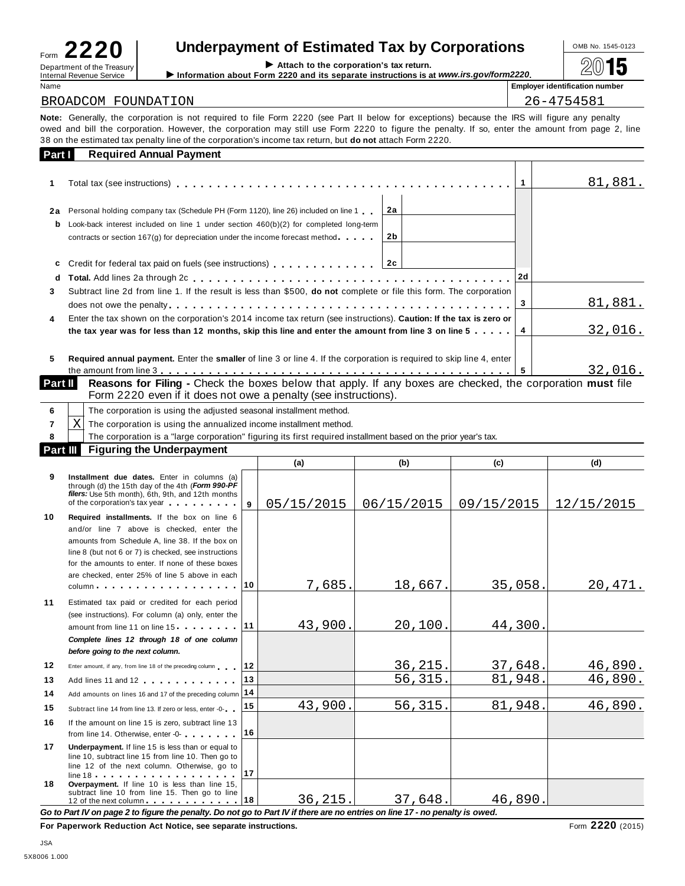| Form<br>$\leftarrow$                                          |  |
|---------------------------------------------------------------|--|
| Department of the Treasury<br><b>Internal Revenue Service</b> |  |

## **Underpayment of Estimated Tax by Corporations**  $\frac{1}{2}$  OMB No. 1545-0123

<sup>D</sup> I **Attach to the corporation's tax return.** epartment of the Treasury Internal Revenue Service I**Information about Form <sup>2220</sup> and its separate instructions is at** *www.irs.gov/form2220***.** À¾µ¹

| Name                                                                                                                                         | <b>Employer identification number</b> |
|----------------------------------------------------------------------------------------------------------------------------------------------|---------------------------------------|
| BROADCOM FOUNDATION                                                                                                                          | 26-4754581                            |
| Note: Generally the cornoration is not required to file Form 2220 (see Part II helow for exceptions) hecause the IRS will figure any penalty |                                       |

**Note:** Generally, the corporation is not required to file Form 2220 (see Part II below for exceptions) because the IRS will figure any penalty owed and bill the corporation. However, the corporation may still use Form 2220 to figure the penalty. If so, enter the amount from page 2, line 38 on the estimated tax penalty line of the corporation's income tax return, but **do not** attach Form 2220. **Part I Required Annual Payment**

| Part I    | Regulied Annual Favillent                                                                                                                                                  |    |    |         |
|-----------|----------------------------------------------------------------------------------------------------------------------------------------------------------------------------|----|----|---------|
|           |                                                                                                                                                                            |    |    | 81,881. |
| 2a        | Personal holding company tax (Schedule PH (Form 1120), line 26) included on line 1.                                                                                        | 2a |    |         |
| b         | Look-back interest included on line 1 under section $460(b)(2)$ for completed long-term<br>contracts or section $167(g)$ for depreciation under the income forecast method | 2b |    |         |
| c         |                                                                                                                                                                            |    |    |         |
| d         |                                                                                                                                                                            |    | 2d |         |
| 3         | Subtract line 2d from line 1. If the result is less than \$500, do not complete or file this form. The corporation                                                         |    |    |         |
|           |                                                                                                                                                                            |    |    | 81,881. |
| 4         | Enter the tax shown on the corporation's 2014 income tax return (see instructions). Caution: If the tax is zero or                                                         |    |    |         |
|           | the tax year was for less than 12 months, skip this line and enter the amount from line 3 on line 5 $\ldots$ .                                                             |    |    | 32,016. |
| 5         | Required annual payment. Enter the smaller of line 3 or line 4. If the corporation is required to skip line 4, enter                                                       |    |    |         |
|           |                                                                                                                                                                            |    | -5 | 32,016. |
| Part II I | <b>Reasons for Filing -</b> Check the boxes below that apply. If any boxes are checked, the corporation must file                                                          |    |    |         |

| Form 2220 even if it does not owe a penalty (see instructions). |  |
|-----------------------------------------------------------------|--|

|                 |   | The corporation is using the adjusted seasonal installment method.                                              |                 |          |          |
|-----------------|---|-----------------------------------------------------------------------------------------------------------------|-----------------|----------|----------|
|                 | Χ | The corporation is using the annualized income installment method.                                              |                 |          |          |
|                 |   | The corporation is a "large corporation" figuring its first required installment based on the prior year's tax. |                 |          |          |
| <b>Part III</b> |   | <b>Figuring the Underpayment</b>                                                                                |                 |          |          |
|                 |   |                                                                                                                 | $\cdot$ $\cdot$ | $\cdots$ | $\cdots$ |

|          |                                                                                                                                                                                                                                                                                                                                                           |    | (a)        | (b)        | (c)        | (d)        |
|----------|-----------------------------------------------------------------------------------------------------------------------------------------------------------------------------------------------------------------------------------------------------------------------------------------------------------------------------------------------------------|----|------------|------------|------------|------------|
| 9        | Installment due dates. Enter in columns (a)<br>through (d) the 15th day of the 4th (Form 990-PF<br>filers: Use 5th month), 6th, 9th, and 12th months<br>of the corporation's tax year                                                                                                                                                                     | 9  | 05/15/2015 | 06/15/2015 | 09/15/2015 | 12/15/2015 |
| 10       | Required installments. If the box on line 6<br>and/or line 7 above is checked, enter the<br>amounts from Schedule A, line 38. If the box on<br>line 8 (but not 6 or 7) is checked, see instructions<br>for the amounts to enter. If none of these boxes<br>are checked, enter 25% of line 5 above in each<br>$column \dots \dots \dots \dots \dots \dots$ | 10 | 7,685.     | 18,667.    | 35,058.    | 20,471.    |
| 11       | Estimated tax paid or credited for each period<br>(see instructions). For column (a) only, enter the<br>amount from line 11 on line 15 11<br>Complete lines 12 through 18 of one column<br>before going to the next column.                                                                                                                               |    | 43,900.    | 20,100.    | 44,300.    |            |
| 12       | Enter amount, if any, from line 18 of the preceding column                                                                                                                                                                                                                                                                                                | 12 |            | 36, 215.   | 37,648.    | 46,890.    |
| 13       | Add lines 11 and 12                                                                                                                                                                                                                                                                                                                                       | 13 |            | 56,315.    | 81,948.    | 46,890.    |
| 14       | Add amounts on lines 16 and 17 of the preceding column 14                                                                                                                                                                                                                                                                                                 |    |            |            |            |            |
| 15       | Subtract line 14 from line 13. If zero or less, enter -0-                                                                                                                                                                                                                                                                                                 | 15 | 43,900.    | 56,315.    | 81,948.    | 46,890.    |
| 16       | If the amount on line 15 is zero, subtract line 13<br>from line 14. Otherwise, enter -0-                                                                                                                                                                                                                                                                  | 16 |            |            |            |            |
| 17<br>18 | Underpayment. If line 15 is less than or equal to<br>line 10, subtract line 15 from line 10. Then go to<br>line 12 of the next column. Otherwise, go to<br>$line 18 + 18 + 12 + 12 + 12 + 12 + 12 + 12$<br>Overpayment. If line 10 is less than line 15,<br>subtract line 10 from line 15. Then go to line                                                | 17 |            |            |            |            |
|          | 12 of the next column 18                                                                                                                                                                                                                                                                                                                                  |    | 36, 215.   | 37,648.    | 46,890.    |            |

Go to Part IV on page 2 to figure the penalty. Do not go to Part IV if there are no entries on line 17 - no penalty is owed.

**For Paperwork Reduction Act Notice, see separate instructions.** Form **2220** (2015)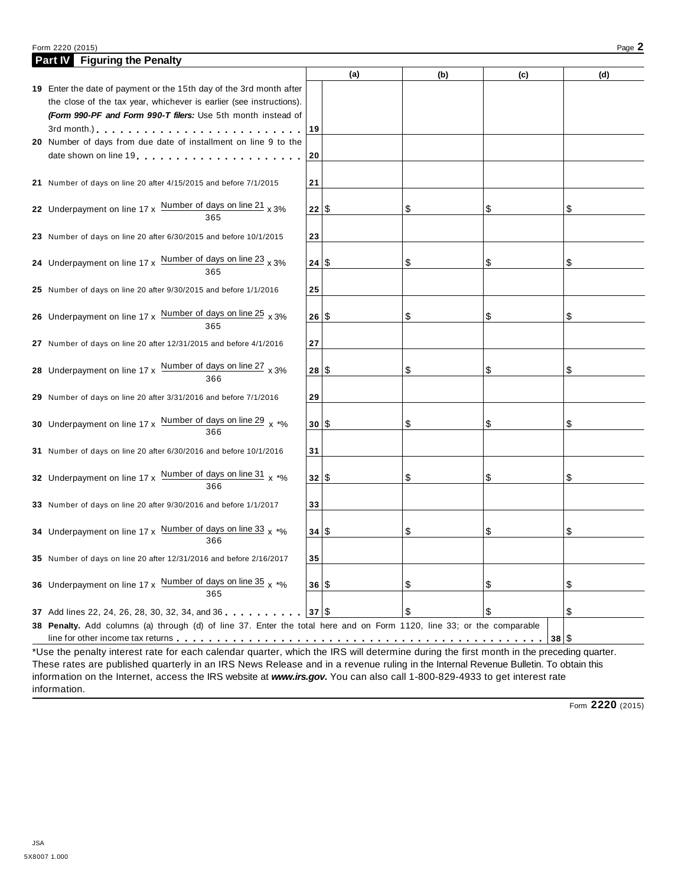#### Form <sup>2220</sup> (2015) Page **2**

| (a)<br>(d)<br>(b)<br>(c)<br>19 Enter the date of payment or the 15th day of the 3rd month after<br>the close of the tax year, whichever is earlier (see instructions).<br>(Form 990-PF and Form 990-T filers: Use 5th month instead of<br>19<br>3rd month.) Contact the Contract of the Contract of the Contract of the Contract of the Contract of the Contract of the Contract of the Contract of the Contract of the Contract of the Contract of the Contract of the Contra<br>20 Number of days from due date of installment on line 9 to the<br>date shown on line 19<br>20<br>21<br>21 Number of days on line 20 after 4/15/2015 and before 7/1/2015<br>22 Underpayment on line 17 x $\frac{\text{Number of days on line 21}}{365}$ x 3%<br>22 S<br>\$<br>\$<br>S<br>23<br>23 Number of days on line 20 after 6/30/2015 and before 10/1/2015<br>24 Underpayment on line $17 \times \frac{\text{Number of days on line 23}}{365} \times 3\%$<br>24 S<br>\$<br>\$<br>S<br>25<br>25 Number of days on line 20 after 9/30/2015 and before 1/1/2016<br>26 Underpayment on line $17 \times \frac{\text{Number of days on line } 25}{365} \times 3\%$<br>26 S<br>\$<br>\$<br>S<br>27 Number of days on line 20 after 12/31/2015 and before 4/1/2016<br>27<br>28 Underpayment on line $17 \times \frac{\text{Number of days on line } 27}{366} \times 3\%$<br>28 S<br>\$<br>\$<br>S<br>29<br>29 Number of days on line 20 after 3/31/2016 and before 7/1/2016<br>30 Underpayment on line 17 x $\frac{\text{Number of days on line 29}}{366}$ x *%<br>30 S<br>\$<br>\$<br>\$ | <b>Figuring the Penalty</b><br><b>Part IV</b> |  |  |  |
|---------------------------------------------------------------------------------------------------------------------------------------------------------------------------------------------------------------------------------------------------------------------------------------------------------------------------------------------------------------------------------------------------------------------------------------------------------------------------------------------------------------------------------------------------------------------------------------------------------------------------------------------------------------------------------------------------------------------------------------------------------------------------------------------------------------------------------------------------------------------------------------------------------------------------------------------------------------------------------------------------------------------------------------------------------------------------------------------------------------------------------------------------------------------------------------------------------------------------------------------------------------------------------------------------------------------------------------------------------------------------------------------------------------------------------------------------------------------------------------------------------------------------------------------------------------------------|-----------------------------------------------|--|--|--|
|                                                                                                                                                                                                                                                                                                                                                                                                                                                                                                                                                                                                                                                                                                                                                                                                                                                                                                                                                                                                                                                                                                                                                                                                                                                                                                                                                                                                                                                                                                                                                                           |                                               |  |  |  |
|                                                                                                                                                                                                                                                                                                                                                                                                                                                                                                                                                                                                                                                                                                                                                                                                                                                                                                                                                                                                                                                                                                                                                                                                                                                                                                                                                                                                                                                                                                                                                                           |                                               |  |  |  |
|                                                                                                                                                                                                                                                                                                                                                                                                                                                                                                                                                                                                                                                                                                                                                                                                                                                                                                                                                                                                                                                                                                                                                                                                                                                                                                                                                                                                                                                                                                                                                                           |                                               |  |  |  |
|                                                                                                                                                                                                                                                                                                                                                                                                                                                                                                                                                                                                                                                                                                                                                                                                                                                                                                                                                                                                                                                                                                                                                                                                                                                                                                                                                                                                                                                                                                                                                                           |                                               |  |  |  |
|                                                                                                                                                                                                                                                                                                                                                                                                                                                                                                                                                                                                                                                                                                                                                                                                                                                                                                                                                                                                                                                                                                                                                                                                                                                                                                                                                                                                                                                                                                                                                                           |                                               |  |  |  |
|                                                                                                                                                                                                                                                                                                                                                                                                                                                                                                                                                                                                                                                                                                                                                                                                                                                                                                                                                                                                                                                                                                                                                                                                                                                                                                                                                                                                                                                                                                                                                                           |                                               |  |  |  |
|                                                                                                                                                                                                                                                                                                                                                                                                                                                                                                                                                                                                                                                                                                                                                                                                                                                                                                                                                                                                                                                                                                                                                                                                                                                                                                                                                                                                                                                                                                                                                                           |                                               |  |  |  |
|                                                                                                                                                                                                                                                                                                                                                                                                                                                                                                                                                                                                                                                                                                                                                                                                                                                                                                                                                                                                                                                                                                                                                                                                                                                                                                                                                                                                                                                                                                                                                                           |                                               |  |  |  |
|                                                                                                                                                                                                                                                                                                                                                                                                                                                                                                                                                                                                                                                                                                                                                                                                                                                                                                                                                                                                                                                                                                                                                                                                                                                                                                                                                                                                                                                                                                                                                                           |                                               |  |  |  |
|                                                                                                                                                                                                                                                                                                                                                                                                                                                                                                                                                                                                                                                                                                                                                                                                                                                                                                                                                                                                                                                                                                                                                                                                                                                                                                                                                                                                                                                                                                                                                                           |                                               |  |  |  |
|                                                                                                                                                                                                                                                                                                                                                                                                                                                                                                                                                                                                                                                                                                                                                                                                                                                                                                                                                                                                                                                                                                                                                                                                                                                                                                                                                                                                                                                                                                                                                                           |                                               |  |  |  |
|                                                                                                                                                                                                                                                                                                                                                                                                                                                                                                                                                                                                                                                                                                                                                                                                                                                                                                                                                                                                                                                                                                                                                                                                                                                                                                                                                                                                                                                                                                                                                                           |                                               |  |  |  |
|                                                                                                                                                                                                                                                                                                                                                                                                                                                                                                                                                                                                                                                                                                                                                                                                                                                                                                                                                                                                                                                                                                                                                                                                                                                                                                                                                                                                                                                                                                                                                                           |                                               |  |  |  |
|                                                                                                                                                                                                                                                                                                                                                                                                                                                                                                                                                                                                                                                                                                                                                                                                                                                                                                                                                                                                                                                                                                                                                                                                                                                                                                                                                                                                                                                                                                                                                                           |                                               |  |  |  |
|                                                                                                                                                                                                                                                                                                                                                                                                                                                                                                                                                                                                                                                                                                                                                                                                                                                                                                                                                                                                                                                                                                                                                                                                                                                                                                                                                                                                                                                                                                                                                                           |                                               |  |  |  |
|                                                                                                                                                                                                                                                                                                                                                                                                                                                                                                                                                                                                                                                                                                                                                                                                                                                                                                                                                                                                                                                                                                                                                                                                                                                                                                                                                                                                                                                                                                                                                                           |                                               |  |  |  |
|                                                                                                                                                                                                                                                                                                                                                                                                                                                                                                                                                                                                                                                                                                                                                                                                                                                                                                                                                                                                                                                                                                                                                                                                                                                                                                                                                                                                                                                                                                                                                                           |                                               |  |  |  |
|                                                                                                                                                                                                                                                                                                                                                                                                                                                                                                                                                                                                                                                                                                                                                                                                                                                                                                                                                                                                                                                                                                                                                                                                                                                                                                                                                                                                                                                                                                                                                                           |                                               |  |  |  |
|                                                                                                                                                                                                                                                                                                                                                                                                                                                                                                                                                                                                                                                                                                                                                                                                                                                                                                                                                                                                                                                                                                                                                                                                                                                                                                                                                                                                                                                                                                                                                                           |                                               |  |  |  |
|                                                                                                                                                                                                                                                                                                                                                                                                                                                                                                                                                                                                                                                                                                                                                                                                                                                                                                                                                                                                                                                                                                                                                                                                                                                                                                                                                                                                                                                                                                                                                                           |                                               |  |  |  |
|                                                                                                                                                                                                                                                                                                                                                                                                                                                                                                                                                                                                                                                                                                                                                                                                                                                                                                                                                                                                                                                                                                                                                                                                                                                                                                                                                                                                                                                                                                                                                                           |                                               |  |  |  |
|                                                                                                                                                                                                                                                                                                                                                                                                                                                                                                                                                                                                                                                                                                                                                                                                                                                                                                                                                                                                                                                                                                                                                                                                                                                                                                                                                                                                                                                                                                                                                                           |                                               |  |  |  |
|                                                                                                                                                                                                                                                                                                                                                                                                                                                                                                                                                                                                                                                                                                                                                                                                                                                                                                                                                                                                                                                                                                                                                                                                                                                                                                                                                                                                                                                                                                                                                                           |                                               |  |  |  |
|                                                                                                                                                                                                                                                                                                                                                                                                                                                                                                                                                                                                                                                                                                                                                                                                                                                                                                                                                                                                                                                                                                                                                                                                                                                                                                                                                                                                                                                                                                                                                                           |                                               |  |  |  |
|                                                                                                                                                                                                                                                                                                                                                                                                                                                                                                                                                                                                                                                                                                                                                                                                                                                                                                                                                                                                                                                                                                                                                                                                                                                                                                                                                                                                                                                                                                                                                                           |                                               |  |  |  |
|                                                                                                                                                                                                                                                                                                                                                                                                                                                                                                                                                                                                                                                                                                                                                                                                                                                                                                                                                                                                                                                                                                                                                                                                                                                                                                                                                                                                                                                                                                                                                                           |                                               |  |  |  |
|                                                                                                                                                                                                                                                                                                                                                                                                                                                                                                                                                                                                                                                                                                                                                                                                                                                                                                                                                                                                                                                                                                                                                                                                                                                                                                                                                                                                                                                                                                                                                                           |                                               |  |  |  |
| 31 Number of days on line 20 after 6/30/2016 and before 10/1/2016<br>31                                                                                                                                                                                                                                                                                                                                                                                                                                                                                                                                                                                                                                                                                                                                                                                                                                                                                                                                                                                                                                                                                                                                                                                                                                                                                                                                                                                                                                                                                                   |                                               |  |  |  |
|                                                                                                                                                                                                                                                                                                                                                                                                                                                                                                                                                                                                                                                                                                                                                                                                                                                                                                                                                                                                                                                                                                                                                                                                                                                                                                                                                                                                                                                                                                                                                                           |                                               |  |  |  |
| 32 Underpayment on line $17 \times \frac{\text{Number of days on line 31}}{366} \times \frac{1}{100}$<br>32 S<br>\$<br>\$<br>\$                                                                                                                                                                                                                                                                                                                                                                                                                                                                                                                                                                                                                                                                                                                                                                                                                                                                                                                                                                                                                                                                                                                                                                                                                                                                                                                                                                                                                                           |                                               |  |  |  |
|                                                                                                                                                                                                                                                                                                                                                                                                                                                                                                                                                                                                                                                                                                                                                                                                                                                                                                                                                                                                                                                                                                                                                                                                                                                                                                                                                                                                                                                                                                                                                                           |                                               |  |  |  |
| 33 Number of days on line 20 after 9/30/2016 and before 1/1/2017<br>33                                                                                                                                                                                                                                                                                                                                                                                                                                                                                                                                                                                                                                                                                                                                                                                                                                                                                                                                                                                                                                                                                                                                                                                                                                                                                                                                                                                                                                                                                                    |                                               |  |  |  |
|                                                                                                                                                                                                                                                                                                                                                                                                                                                                                                                                                                                                                                                                                                                                                                                                                                                                                                                                                                                                                                                                                                                                                                                                                                                                                                                                                                                                                                                                                                                                                                           |                                               |  |  |  |
| 34 Underpayment on line 17 x Number of days on line 33 $x *$ %<br>34   \$<br>\$<br>\$<br>\$                                                                                                                                                                                                                                                                                                                                                                                                                                                                                                                                                                                                                                                                                                                                                                                                                                                                                                                                                                                                                                                                                                                                                                                                                                                                                                                                                                                                                                                                               |                                               |  |  |  |
| 366                                                                                                                                                                                                                                                                                                                                                                                                                                                                                                                                                                                                                                                                                                                                                                                                                                                                                                                                                                                                                                                                                                                                                                                                                                                                                                                                                                                                                                                                                                                                                                       |                                               |  |  |  |
| 35<br>35 Number of days on line 20 after 12/31/2016 and before 2/16/2017                                                                                                                                                                                                                                                                                                                                                                                                                                                                                                                                                                                                                                                                                                                                                                                                                                                                                                                                                                                                                                                                                                                                                                                                                                                                                                                                                                                                                                                                                                  |                                               |  |  |  |
|                                                                                                                                                                                                                                                                                                                                                                                                                                                                                                                                                                                                                                                                                                                                                                                                                                                                                                                                                                                                                                                                                                                                                                                                                                                                                                                                                                                                                                                                                                                                                                           |                                               |  |  |  |
| 36 Underpayment on line 17 x $\frac{Number\ of\ days\ on\ line\ 35}{x\ *w\ }$<br>\$<br>\$<br>36 \$<br>\$                                                                                                                                                                                                                                                                                                                                                                                                                                                                                                                                                                                                                                                                                                                                                                                                                                                                                                                                                                                                                                                                                                                                                                                                                                                                                                                                                                                                                                                                  |                                               |  |  |  |
| 365                                                                                                                                                                                                                                                                                                                                                                                                                                                                                                                                                                                                                                                                                                                                                                                                                                                                                                                                                                                                                                                                                                                                                                                                                                                                                                                                                                                                                                                                                                                                                                       |                                               |  |  |  |
| \$<br>\$<br>\$<br>37 Add lines 22, 24, 26, 28, 30, 32, 34, and 36 37 37 \$                                                                                                                                                                                                                                                                                                                                                                                                                                                                                                                                                                                                                                                                                                                                                                                                                                                                                                                                                                                                                                                                                                                                                                                                                                                                                                                                                                                                                                                                                                |                                               |  |  |  |
| 38 Penalty. Add columns (a) through (d) of line 37. Enter the total here and on Form 1120, line 33; or the comparable                                                                                                                                                                                                                                                                                                                                                                                                                                                                                                                                                                                                                                                                                                                                                                                                                                                                                                                                                                                                                                                                                                                                                                                                                                                                                                                                                                                                                                                     |                                               |  |  |  |
| 38 S                                                                                                                                                                                                                                                                                                                                                                                                                                                                                                                                                                                                                                                                                                                                                                                                                                                                                                                                                                                                                                                                                                                                                                                                                                                                                                                                                                                                                                                                                                                                                                      |                                               |  |  |  |

\*Use the penalty interest rate for each calendar quarter, which the IRS will determine during the first month in the preceding quarter. These rates are published quarterly in an IRS News Release and in a revenue ruling in the Internal Revenue Bulletin. To obtain this information on the Internet, access the IRS website at *www.irs.gov***.** You can also call 1-800-829-4933 to get interest rate information.

Form **2220** (2015)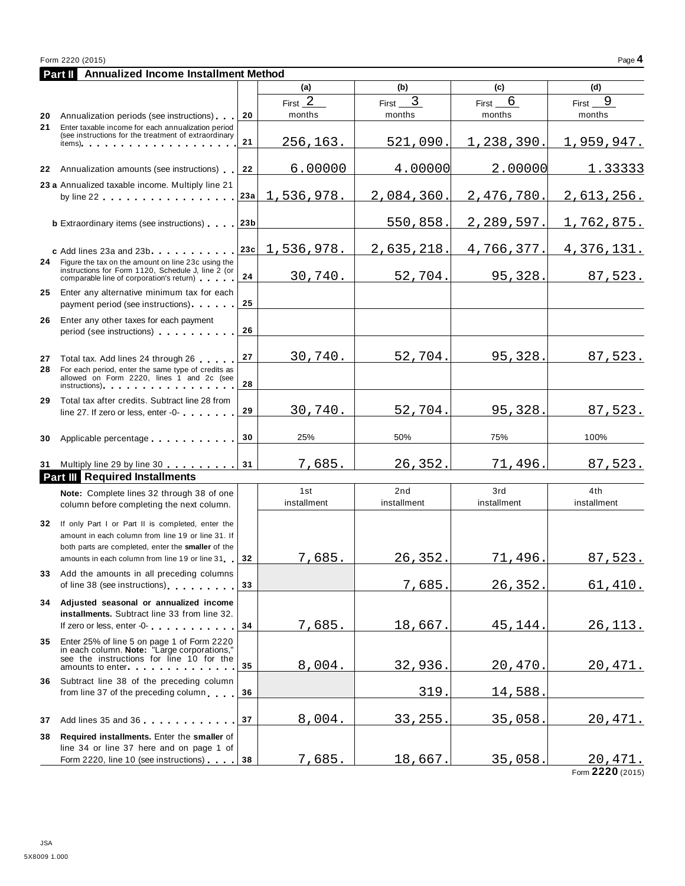|     | Form 2220 (2015)                                                                                                                                                                                                                                                                                                                                                              |     |                     |                      |                      | Page 4                      |
|-----|-------------------------------------------------------------------------------------------------------------------------------------------------------------------------------------------------------------------------------------------------------------------------------------------------------------------------------------------------------------------------------|-----|---------------------|----------------------|----------------------|-----------------------------|
|     | Annualized Income Installment Method<br>Part II                                                                                                                                                                                                                                                                                                                               |     |                     |                      |                      |                             |
|     |                                                                                                                                                                                                                                                                                                                                                                               |     | (a)                 | (b)                  | (c)                  | (d)                         |
| 20  | Annualization periods (see instructions)                                                                                                                                                                                                                                                                                                                                      | 20  | First $2$<br>months | 3<br>First<br>months | 6<br>First<br>months | 9<br>First<br>months        |
| 21  | Enter taxable income for each annualization period<br>(see instructions for the treatment of extraordinary<br>$items)$ , $\cdots$ , $\cdots$ , $\cdots$                                                                                                                                                                                                                       | 21  | 256,163.            | 521,090.             | 1,238,390.           | 1,959,947.                  |
| 22  | Annualization amounts (see instructions)                                                                                                                                                                                                                                                                                                                                      | 22  | 6.00000             | 4.00000              | 2.00000              | 1.33333                     |
|     | 23 a Annualized taxable income. Multiply line 21<br>by line $22$                                                                                                                                                                                                                                                                                                              | 23а | 1,536,978.          | 2,084,360.           | 2,476,780.           | 2,613,256.                  |
|     | <b>b</b> Extraordinary items (see instructions)                                                                                                                                                                                                                                                                                                                               | 23b |                     | 550,858.             | 2,289,597.           | 1,762,875.                  |
| 24  | c Add lines 23a and 23b<br>Figure the tax on the amount on line 23c using the                                                                                                                                                                                                                                                                                                 | 23c | 1,536,978.          | 2,635,218.           | 4,766,377.           | 4,376,131.                  |
| 25  | instructions for Form 1120, Schedule J, line 2 (or<br>comparable line of corporation's return)<br>Enter any alternative minimum tax for each                                                                                                                                                                                                                                  | 24  | 30,740.             | 52,704.              | 95,328.              | 87,523.                     |
|     | payment period (see instructions)                                                                                                                                                                                                                                                                                                                                             | 25  |                     |                      |                      |                             |
| 26  | Enter any other taxes for each payment<br>period (see instructions)                                                                                                                                                                                                                                                                                                           | 26  |                     |                      |                      |                             |
| 27  | Total tax. Add lines 24 through 26                                                                                                                                                                                                                                                                                                                                            | 27  | 30,740.             | 52,704.              | 95,328.              | 87,523.                     |
| 28  | For each period, enter the same type of credits as<br>allowed on Form 2220, lines 1 and 2c (see<br>instructions) and the set of the set of the set of the set of the set of the set of the set of the set of the                                                                                                                                                              | 28  |                     |                      |                      |                             |
| 29  | Total tax after credits. Subtract line 28 from<br>line 27. If zero or less, enter -0-                                                                                                                                                                                                                                                                                         | 29  | 30,740.             | 52,704.              | 95,328.              | 87,523.                     |
| 30  | Applicable percentage                                                                                                                                                                                                                                                                                                                                                         | 30  | 25%                 | 50%                  | 75%                  | 100%                        |
|     | 31 Multiply line 29 by line 30                                                                                                                                                                                                                                                                                                                                                | 31  | 7,685.              | 26,352.              | 71,496.              | 87,523.                     |
|     | <b>Part III</b> Required Installments                                                                                                                                                                                                                                                                                                                                         |     |                     |                      |                      |                             |
|     | Note: Complete lines 32 through 38 of one<br>column before completing the next column.                                                                                                                                                                                                                                                                                        |     | 1st<br>installment  | 2nd<br>installment   | 3rd<br>installment   | 4th<br>installment          |
| 32  | If only Part I or Part II is completed, enter the<br>amount in each column from line 19 or line 31. If<br>both parts are completed, enter the smaller of the                                                                                                                                                                                                                  |     |                     |                      |                      |                             |
|     | amounts in each column from line 19 or line 31                                                                                                                                                                                                                                                                                                                                | 32  | <u>7,685.</u>       | <u>26,352.</u>       | <u>71,496.</u>       | <u>87,523.</u>              |
| 33  | Add the amounts in all preceding columns<br>of line 38 (see instructions)                                                                                                                                                                                                                                                                                                     | 33  |                     | 7,685.               | <u>26,352</u>        | 61,410.                     |
| 34  | Adjusted seasonal or annualized income<br>installments. Subtract line 33 from line 32.<br>If zero or less, enter -0-                                                                                                                                                                                                                                                          | 34  | 7,685.              | 18,667.              | 45,144.              | <u>26,113.</u>              |
| 35  | Enter 25% of line 5 on page 1 of Form 2220<br>in each column. Note: "Large corporations,"<br>see the instructions for line 10 for the<br>amounts to enter <b>and the state of the state of the state of the state of the state of the state of the state of the state of the state of the state of the state of the state of the state of the state of the state of the s</b> | 35  | 8,004.              | 32,936.              | 20,470.              | 20,471.                     |
| 36. | Subtract line 38 of the preceding column<br>from line 37 of the preceding column                                                                                                                                                                                                                                                                                              | 36  |                     | 319.                 | 14,588               |                             |
| 37  | Add lines 35 and 36                                                                                                                                                                                                                                                                                                                                                           | 37  | 8,004.              | 33,255               | 35,058               | 20,471.                     |
| 38  | Required installments. Enter the smaller of<br>line 34 or line 37 here and on page 1 of                                                                                                                                                                                                                                                                                       |     |                     |                      |                      |                             |
|     | Form 2220, line 10 (see instructions)                                                                                                                                                                                                                                                                                                                                         | 38  | 7,685.              | <u>18,667.</u>       | 35,058.              | 20,471.<br>Form 2220 (2015) |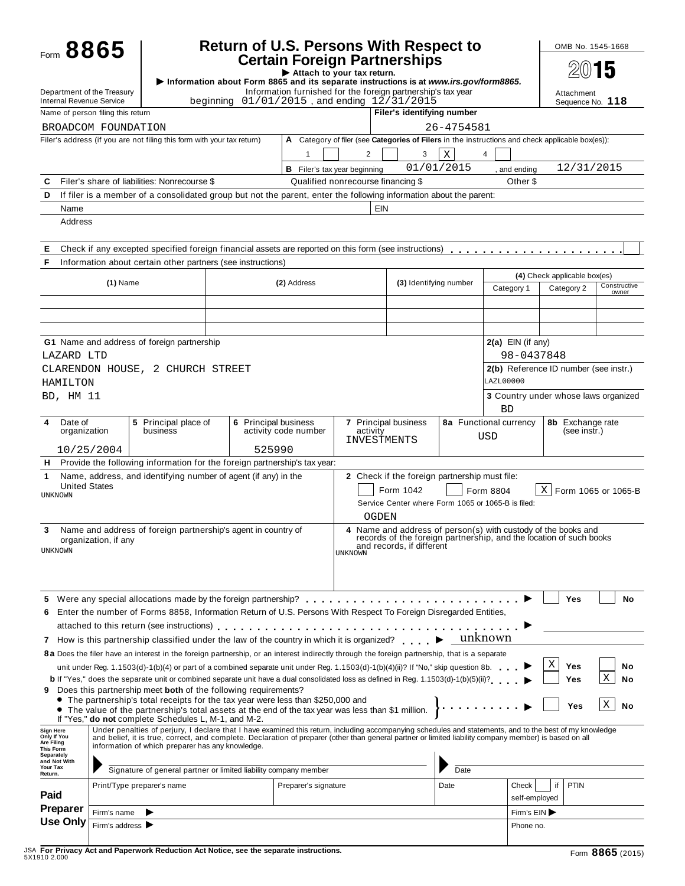| Form 8865                                                                                                                                                                               |                                                     |                                                                                                                                                                                                                                                                                                                     | <b>Return of U.S. Persons With Respect to</b> |                                                                                                   |                                                               |                                               |             |                                                    | OMB No. 1545-1668                                                                                |                       |
|-----------------------------------------------------------------------------------------------------------------------------------------------------------------------------------------|-----------------------------------------------------|---------------------------------------------------------------------------------------------------------------------------------------------------------------------------------------------------------------------------------------------------------------------------------------------------------------------|-----------------------------------------------|---------------------------------------------------------------------------------------------------|---------------------------------------------------------------|-----------------------------------------------|-------------|----------------------------------------------------|--------------------------------------------------------------------------------------------------|-----------------------|
|                                                                                                                                                                                         |                                                     | Information about Form 8865 and its separate instructions is at www.irs.gov/form8865.                                                                                                                                                                                                                               |                                               | <b>Certain Foreign Partnerships</b><br>Attach to your tax return.                                 |                                                               |                                               |             |                                                    | 2015                                                                                             |                       |
| Department of the Treasury<br>Internal Revenue Service                                                                                                                                  |                                                     | beginning                                                                                                                                                                                                                                                                                                           |                                               | Information furnished for the foreign partnership's tax year<br>01/01/2015, and ending 12/31/2015 |                                                               |                                               |             |                                                    | Attachment<br>Sequence No. 118                                                                   |                       |
| Name of person filing this return                                                                                                                                                       |                                                     |                                                                                                                                                                                                                                                                                                                     |                                               |                                                                                                   |                                                               | Filer's identifying number                    |             |                                                    |                                                                                                  |                       |
| BROADCOM FOUNDATION                                                                                                                                                                     |                                                     |                                                                                                                                                                                                                                                                                                                     |                                               |                                                                                                   |                                                               |                                               | 26-4754581  |                                                    |                                                                                                  |                       |
|                                                                                                                                                                                         |                                                     | Filer's address (if you are not filing this form with your tax return)                                                                                                                                                                                                                                              |                                               |                                                                                                   |                                                               |                                               |             |                                                    | A Category of filer (see Categories of Filers in the instructions and check applicable box(es)): |                       |
|                                                                                                                                                                                         |                                                     |                                                                                                                                                                                                                                                                                                                     |                                               | $\mathbf{1}$                                                                                      | 2                                                             | 3                                             | $\mathbf x$ | 4                                                  |                                                                                                  |                       |
|                                                                                                                                                                                         |                                                     |                                                                                                                                                                                                                                                                                                                     |                                               |                                                                                                   | <b>B</b> Filer's tax year beginning                           |                                               | 01/01/2015  | , and ending                                       | 12/31/2015                                                                                       |                       |
| C                                                                                                                                                                                       |                                                     | Filer's share of liabilities: Nonrecourse \$                                                                                                                                                                                                                                                                        |                                               |                                                                                                   | Qualified nonrecourse financing \$                            |                                               |             | Other \$                                           |                                                                                                  |                       |
| D<br>Name                                                                                                                                                                               |                                                     | If filer is a member of a consolidated group but not the parent, enter the following information about the parent:                                                                                                                                                                                                  |                                               |                                                                                                   | EIN                                                           |                                               |             |                                                    |                                                                                                  |                       |
| Address                                                                                                                                                                                 |                                                     |                                                                                                                                                                                                                                                                                                                     |                                               |                                                                                                   |                                                               |                                               |             |                                                    |                                                                                                  |                       |
|                                                                                                                                                                                         |                                                     |                                                                                                                                                                                                                                                                                                                     |                                               |                                                                                                   |                                                               |                                               |             |                                                    |                                                                                                  |                       |
| Е                                                                                                                                                                                       |                                                     | Check if any excepted specified foreign financial assets are reported on this form (see instructions)                                                                                                                                                                                                               |                                               |                                                                                                   |                                                               |                                               |             |                                                    |                                                                                                  |                       |
| F                                                                                                                                                                                       |                                                     | Information about certain other partners (see instructions)                                                                                                                                                                                                                                                         |                                               |                                                                                                   |                                                               |                                               |             |                                                    |                                                                                                  |                       |
|                                                                                                                                                                                         |                                                     |                                                                                                                                                                                                                                                                                                                     |                                               |                                                                                                   |                                                               |                                               |             |                                                    | (4) Check applicable box(es)                                                                     |                       |
|                                                                                                                                                                                         | $(1)$ Name                                          |                                                                                                                                                                                                                                                                                                                     |                                               | (2) Address                                                                                       |                                                               | (3) Identifying number                        |             | Category 1                                         | Category 2                                                                                       | Constructive<br>owner |
|                                                                                                                                                                                         |                                                     |                                                                                                                                                                                                                                                                                                                     |                                               |                                                                                                   |                                                               |                                               |             |                                                    |                                                                                                  |                       |
|                                                                                                                                                                                         |                                                     |                                                                                                                                                                                                                                                                                                                     |                                               |                                                                                                   |                                                               |                                               |             |                                                    |                                                                                                  |                       |
|                                                                                                                                                                                         |                                                     |                                                                                                                                                                                                                                                                                                                     |                                               |                                                                                                   |                                                               |                                               |             |                                                    |                                                                                                  |                       |
|                                                                                                                                                                                         |                                                     | G1 Name and address of foreign partnership                                                                                                                                                                                                                                                                          |                                               |                                                                                                   |                                                               |                                               |             | 2(a) EIN (if any)                                  |                                                                                                  |                       |
| LAZARD LTD                                                                                                                                                                              |                                                     |                                                                                                                                                                                                                                                                                                                     |                                               |                                                                                                   |                                                               |                                               |             | 98-0437848                                         | 2(b) Reference ID number (see instr.)                                                            |                       |
| HAMILTON                                                                                                                                                                                |                                                     | CLARENDON HOUSE, 2 CHURCH STREET                                                                                                                                                                                                                                                                                    |                                               |                                                                                                   |                                                               |                                               |             | LAZL00000                                          |                                                                                                  |                       |
| BD, HM 11                                                                                                                                                                               |                                                     |                                                                                                                                                                                                                                                                                                                     |                                               |                                                                                                   |                                                               |                                               |             |                                                    | 3 Country under whose laws organized                                                             |                       |
|                                                                                                                                                                                         |                                                     |                                                                                                                                                                                                                                                                                                                     |                                               |                                                                                                   |                                                               |                                               |             | <b>BD</b>                                          |                                                                                                  |                       |
| Date of<br>4<br>organization                                                                                                                                                            |                                                     | 5 Principal place of<br>business                                                                                                                                                                                                                                                                                    | 6 Principal business                          | activity code number                                                                              | 7 Principal business<br>activity                              |                                               |             | 8a Functional currency<br>USD                      | 8b Exchange rate<br>(see instr.)                                                                 |                       |
| 10/25/2004                                                                                                                                                                              |                                                     |                                                                                                                                                                                                                                                                                                                     | 525990                                        |                                                                                                   | INVESTMENTS                                                   |                                               |             |                                                    |                                                                                                  |                       |
|                                                                                                                                                                                         |                                                     | H Provide the following information for the foreign partnership's tax year:                                                                                                                                                                                                                                         |                                               |                                                                                                   |                                                               |                                               |             |                                                    |                                                                                                  |                       |
| 1.                                                                                                                                                                                      |                                                     | Name, address, and identifying number of agent (if any) in the                                                                                                                                                                                                                                                      |                                               |                                                                                                   |                                                               | 2 Check if the foreign partnership must file: |             |                                                    |                                                                                                  |                       |
| <b>United States</b><br><b>UNKNOWN</b>                                                                                                                                                  |                                                     |                                                                                                                                                                                                                                                                                                                     |                                               |                                                                                                   |                                                               | Form 1042                                     |             | Form 8804                                          | $\mathbf X$                                                                                      | Form 1065 or 1065-B   |
|                                                                                                                                                                                         |                                                     |                                                                                                                                                                                                                                                                                                                     |                                               |                                                                                                   |                                                               |                                               |             | Service Center where Form 1065 or 1065-B is filed: |                                                                                                  |                       |
|                                                                                                                                                                                         |                                                     |                                                                                                                                                                                                                                                                                                                     |                                               |                                                                                                   | OGDEN                                                         |                                               |             |                                                    |                                                                                                  |                       |
|                                                                                                                                                                                         |                                                     |                                                                                                                                                                                                                                                                                                                     |                                               |                                                                                                   |                                                               |                                               |             |                                                    |                                                                                                  |                       |
|                                                                                                                                                                                         |                                                     | Name and address of foreign partnership's agent in country of                                                                                                                                                                                                                                                       |                                               |                                                                                                   | 4 Name and address of person(s) with custody of the books and |                                               |             |                                                    |                                                                                                  |                       |
|                                                                                                                                                                                         | organization, if any                                |                                                                                                                                                                                                                                                                                                                     |                                               |                                                                                                   | UNKNOWN                                                       | and records, if different                     |             |                                                    | records of the foreign partnership, and the location of such books                               |                       |
|                                                                                                                                                                                         |                                                     |                                                                                                                                                                                                                                                                                                                     |                                               |                                                                                                   |                                                               |                                               |             |                                                    |                                                                                                  |                       |
|                                                                                                                                                                                         |                                                     |                                                                                                                                                                                                                                                                                                                     |                                               |                                                                                                   |                                                               |                                               |             |                                                    |                                                                                                  |                       |
|                                                                                                                                                                                         |                                                     |                                                                                                                                                                                                                                                                                                                     |                                               |                                                                                                   |                                                               |                                               |             |                                                    |                                                                                                  |                       |
|                                                                                                                                                                                         |                                                     |                                                                                                                                                                                                                                                                                                                     |                                               |                                                                                                   |                                                               |                                               |             |                                                    | Yes                                                                                              | No                    |
|                                                                                                                                                                                         |                                                     | Enter the number of Forms 8858, Information Return of U.S. Persons With Respect To Foreign Disregarded Entities,                                                                                                                                                                                                    |                                               |                                                                                                   |                                                               |                                               |             |                                                    |                                                                                                  |                       |
|                                                                                                                                                                                         |                                                     | attached to this return (see instructions) enterpretation of the state of the state of the state of the state of the state of the state of the state of the state of the state of the state of the state of the state of the s                                                                                      |                                               |                                                                                                   |                                                               |                                               |             | unknown                                            |                                                                                                  |                       |
|                                                                                                                                                                                         |                                                     | 7 How is this partnership classified under the law of the country in which it is organized?<br>8a Does the filer have an interest in the foreign partnership, or an interest indirectly through the foreign partnership, that is a separate                                                                         |                                               |                                                                                                   |                                                               |                                               |             |                                                    |                                                                                                  |                       |
|                                                                                                                                                                                         |                                                     | unit under Reg. 1.1503(d)-1(b)(4) or part of a combined separate unit under Reg. 1.1503(d)-1(b)(4)(ii)? If "No," skip question 8b.                                                                                                                                                                                  |                                               |                                                                                                   |                                                               |                                               |             |                                                    | Χ<br>Yes                                                                                         | No                    |
|                                                                                                                                                                                         |                                                     | <b>b</b> If "Yes," does the separate unit or combined separate unit have a dual consolidated loss as defined in Reg. 1.1503(d)-1(b)(5)(ii)?                                                                                                                                                                         |                                               |                                                                                                   |                                                               |                                               |             |                                                    | Yes                                                                                              | Χ<br>No               |
|                                                                                                                                                                                         |                                                     | Does this partnership meet both of the following requirements?                                                                                                                                                                                                                                                      |                                               |                                                                                                   |                                                               |                                               |             |                                                    |                                                                                                  |                       |
|                                                                                                                                                                                         |                                                     | • The partnership's total receipts for the tax year were less than \$250,000 and<br>• The value of the partnership's total assets at the end of the tax year was less than \$1 million.                                                                                                                             |                                               |                                                                                                   |                                                               |                                               |             |                                                    | Yes                                                                                              | Χ<br>No               |
|                                                                                                                                                                                         |                                                     | If "Yes," do not complete Schedules L, M-1, and M-2.                                                                                                                                                                                                                                                                |                                               |                                                                                                   |                                                               |                                               |             |                                                    |                                                                                                  |                       |
|                                                                                                                                                                                         |                                                     | Under penalties of perjury, I declare that I have examined this return, including accompanying schedules and statements, and to the best of my knowledge<br>and belief, it is true, correct, and complete. Declaration of preparer (other than general partner or limited liability company member) is based on all |                                               |                                                                                                   |                                                               |                                               |             |                                                    |                                                                                                  |                       |
|                                                                                                                                                                                         |                                                     | information of which preparer has any knowledge.                                                                                                                                                                                                                                                                    |                                               |                                                                                                   |                                                               |                                               |             |                                                    |                                                                                                  |                       |
|                                                                                                                                                                                         |                                                     |                                                                                                                                                                                                                                                                                                                     |                                               |                                                                                                   |                                                               |                                               |             |                                                    |                                                                                                  |                       |
|                                                                                                                                                                                         |                                                     | Signature of general partner or limited liability company member                                                                                                                                                                                                                                                    |                                               |                                                                                                   |                                                               |                                               | Date        |                                                    |                                                                                                  |                       |
|                                                                                                                                                                                         |                                                     | Print/Type preparer's name                                                                                                                                                                                                                                                                                          |                                               | Preparer's signature                                                                              |                                                               |                                               | Date        | Check                                              | PTIN<br>if                                                                                       |                       |
|                                                                                                                                                                                         |                                                     |                                                                                                                                                                                                                                                                                                                     |                                               |                                                                                                   |                                                               |                                               |             | self-employed                                      |                                                                                                  |                       |
| 3<br><b>UNKNOWN</b><br>6<br>9<br>Sign Here<br>Only If You<br>Are Filing<br>This Form<br>Separately<br>and Not With<br>Your Tax<br>Return.<br>Paid<br><b>Preparer</b><br><b>Use Only</b> | Firm's name<br>Firm's address $\blacktriangleright$ |                                                                                                                                                                                                                                                                                                                     |                                               |                                                                                                   |                                                               |                                               |             | Firm's $EIN$<br>Phone no.                          |                                                                                                  |                       |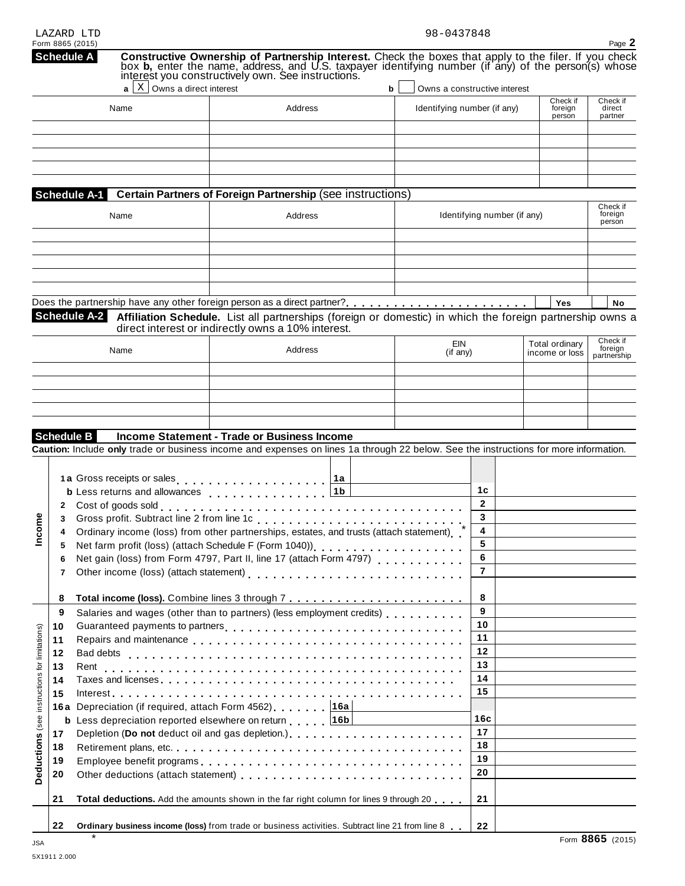| LAZARD LTD       |  |
|------------------|--|
| Form 8865 (2015) |  |

| Form 8865 (2015)<br><b>Schedule A</b>               |                                   | <b>Constructive Ownership of Partnership Interest.</b> Check the boxes that apply to the filer. If you check box <b>b</b> , enter the name, address, and U.S. taxpayer identifying number (if any) of the person(s) whose interest you co  |    |                              |                   |                             |                                  | Page 2                             |
|-----------------------------------------------------|-----------------------------------|--------------------------------------------------------------------------------------------------------------------------------------------------------------------------------------------------------------------------------------------|----|------------------------------|-------------------|-----------------------------|----------------------------------|------------------------------------|
|                                                     | $X$ Owns a direct interest<br>a l |                                                                                                                                                                                                                                            | b  | Owns a constructive interest |                   |                             |                                  |                                    |
|                                                     | Name                              | Address                                                                                                                                                                                                                                    |    | Identifying number (if any)  |                   |                             | Check if<br>foreign<br>person    | Check if<br>direct<br>partner      |
|                                                     |                                   |                                                                                                                                                                                                                                            |    |                              |                   |                             |                                  |                                    |
| Schedule A-1                                        |                                   | Certain Partners of Foreign Partnership (see instructions)                                                                                                                                                                                 |    |                              |                   |                             |                                  |                                    |
|                                                     | Name                              | Address                                                                                                                                                                                                                                    |    |                              |                   | Identifying number (if any) |                                  | Check if<br>foreign<br>person      |
|                                                     |                                   |                                                                                                                                                                                                                                            |    |                              |                   |                             |                                  |                                    |
| <b>Schedule A-2</b>                                 |                                   | Does the partnership have any other foreign person as a direct partner?<br>Affiliation Schedule. List all partnerships (foreign or domestic) in which the foreign partnership owns a<br>direct interest or indirectly owns a 10% interest. |    |                              |                   |                             | Yes                              | <b>No</b>                          |
|                                                     | Name                              | Address                                                                                                                                                                                                                                    |    | EIN<br>$($ if any $)$        |                   |                             | Total ordinary<br>income or loss | Check if<br>foreign<br>partnership |
|                                                     |                                   |                                                                                                                                                                                                                                            |    |                              |                   |                             |                                  |                                    |
|                                                     |                                   |                                                                                                                                                                                                                                            |    |                              |                   |                             |                                  |                                    |
|                                                     |                                   |                                                                                                                                                                                                                                            |    |                              |                   |                             |                                  |                                    |
| <b>Schedule B</b>                                   |                                   | Income Statement - Trade or Business Income                                                                                                                                                                                                |    |                              |                   |                             |                                  |                                    |
|                                                     |                                   | Caution: Include only trade or business income and expenses on lines 1a through 22 below. See the instructions for more information.                                                                                                       |    |                              |                   |                             |                                  |                                    |
|                                                     |                                   |                                                                                                                                                                                                                                            |    |                              |                   |                             |                                  |                                    |
|                                                     |                                   | 1a Gross receipts or sales                                                                                                                                                                                                                 | 1a |                              | 1 <sub>c</sub>    |                             |                                  |                                    |
|                                                     |                                   | <b>b</b> Less returns and allowances entitled as a set of the label                                                                                                                                                                        |    |                              |                   |                             |                                  |                                    |
|                                                     |                                   |                                                                                                                                                                                                                                            |    |                              | $\mathbf{2}$<br>3 |                             |                                  |                                    |
| 3                                                   |                                   |                                                                                                                                                                                                                                            |    |                              | 4                 |                             |                                  |                                    |
| 4                                                   |                                   | Ordinary income (loss) from other partnerships, estates, and trusts (attach statement)                                                                                                                                                     |    |                              | 5                 |                             |                                  |                                    |
| 5                                                   |                                   | Net farm profit (loss) (attach Schedule F (Form 1040))                                                                                                                                                                                     |    |                              | 6                 |                             |                                  |                                    |
| 6<br>7                                              |                                   |                                                                                                                                                                                                                                            |    |                              | $\overline{7}$    |                             |                                  |                                    |
| 8                                                   |                                   |                                                                                                                                                                                                                                            |    |                              | 8                 |                             |                                  |                                    |
| 9                                                   |                                   | Salaries and wages (other than to partners) (less employment credits)                                                                                                                                                                      |    |                              | 9                 |                             |                                  |                                    |
| 10                                                  |                                   | Guaranteed payments to partners<br>included: interactional contraction of the payments of partners in the contraction of the contraction of the contraction of the contraction of the contraction of the contraction of the cont           |    |                              | 10                |                             |                                  |                                    |
| 11                                                  |                                   |                                                                                                                                                                                                                                            |    |                              | 11                |                             |                                  |                                    |
| 12                                                  |                                   |                                                                                                                                                                                                                                            |    |                              | 12                |                             |                                  |                                    |
| 13                                                  |                                   |                                                                                                                                                                                                                                            |    |                              | 13                |                             |                                  |                                    |
| 14                                                  |                                   |                                                                                                                                                                                                                                            |    |                              | 14                |                             |                                  |                                    |
| 15                                                  |                                   |                                                                                                                                                                                                                                            |    |                              | 15                |                             |                                  |                                    |
|                                                     |                                   | 16a Depreciation (if required, attach Form 4562) [16a]                                                                                                                                                                                     |    |                              |                   |                             |                                  |                                    |
|                                                     |                                   | <b>b</b> Less depreciation reported elsewhere on return 16b                                                                                                                                                                                |    |                              | 16c               |                             |                                  |                                    |
| 17                                                  |                                   |                                                                                                                                                                                                                                            |    |                              | 17                |                             |                                  |                                    |
| 18                                                  |                                   |                                                                                                                                                                                                                                            |    |                              | 18                |                             |                                  |                                    |
| 19                                                  |                                   |                                                                                                                                                                                                                                            |    |                              | 19                |                             |                                  |                                    |
| Deductions (see instructions for limitations)<br>20 |                                   |                                                                                                                                                                                                                                            |    |                              | 20                |                             |                                  |                                    |
| 21                                                  |                                   | Total deductions. Add the amounts shown in the far right column for lines 9 through 20                                                                                                                                                     |    |                              | 21                |                             |                                  |                                    |
| 22                                                  |                                   | Ordinary business income (loss) from trade or business activities. Subtract line 21 from line 8                                                                                                                                            |    |                              | 22                |                             |                                  |                                    |

\*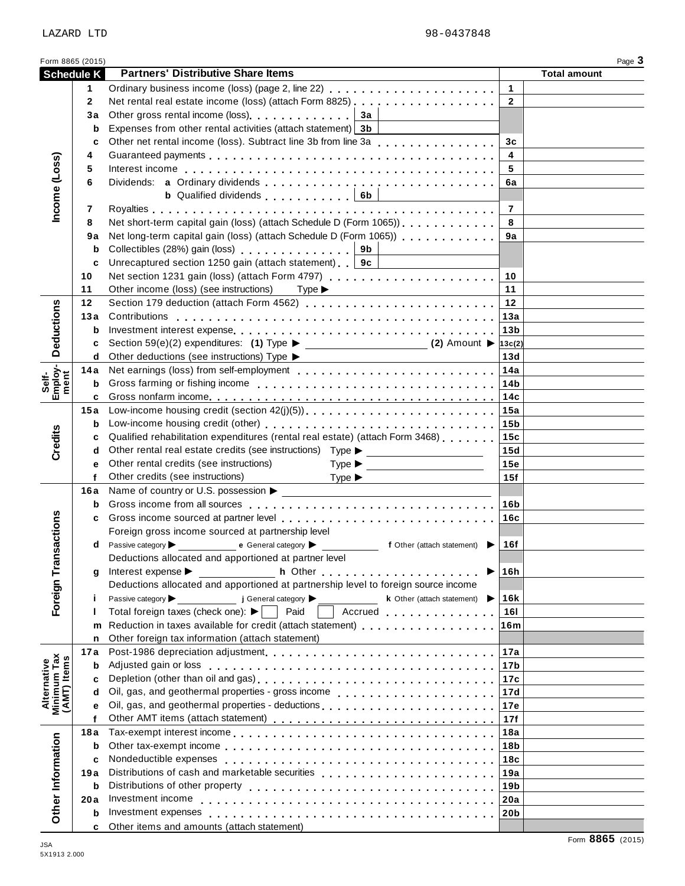## Form 8865 (2015)<br> **Schedule K** Partners' Distributive Share Items<br> **Example 2** Total amount **Partners' Distributive Share Items** m m m m m m m m m m m m m m m m m m m m m m m m m m m m m m m m m m m m m m m **3a 3b** )ss) (attach Form 8825)<br>. . . . . . . . . . . . . . . . . m m m m m m m m m m m m m m m m m m m m m m m m m m m m m m m m m m m m m m m m m m m m m m m m m m m m m m m m m m m m m m m m m m m m m m m m m m m m m m m m m m m m m m m m m m m **6b** m m m m m m m m m m m m

| LAZARD LTD  |  | 98-0437848 |
|-------------|--|------------|
|             |  |            |
| $\sim$<br>. |  |            |

|                                           | <b>OUTEDRE</b> IV | <b>I altrets Distributive Origie Refils</b>                                                                                                                                                                                    |                         |                  |
|-------------------------------------------|-------------------|--------------------------------------------------------------------------------------------------------------------------------------------------------------------------------------------------------------------------------|-------------------------|------------------|
|                                           | 1                 | Ordinary business income (loss) (page 2, line 22)                                                                                                                                                                              | $\mathbf{1}$            |                  |
|                                           | $\mathbf{2}$      |                                                                                                                                                                                                                                | $\overline{2}$          |                  |
|                                           | 3a                | Other gross rental income (loss) example and a set of the state of the state of the state of the state of the state of the state of the state of the state of the state of the state of the state of the state of the state of |                         |                  |
|                                           |                   |                                                                                                                                                                                                                                |                         |                  |
|                                           | b                 | Expenses from other rental activities (attach statement) 3b                                                                                                                                                                    |                         |                  |
|                                           | C                 | Other net rental income (loss). Subtract line 3b from line 3a                                                                                                                                                                  | 3 <sub>c</sub>          |                  |
|                                           | 4                 |                                                                                                                                                                                                                                | $\overline{\mathbf{4}}$ |                  |
| Income (Loss)                             | 5                 | Interest income enterpresent resources in the contract to the contract to the contract of the contract of the contract of the contract of the contract of the contract of the contract of the contract of the contract of the  | 5                       |                  |
|                                           | 6                 |                                                                                                                                                                                                                                | 6a                      |                  |
|                                           |                   | <b>b</b> Qualified dividends $\begin{bmatrix} 1 & 1 & 1 \\ 0 & 1 & 1 \end{bmatrix}$ 6b<br><u> 1990 - Andrea Station Books, amerikansk politik (</u>                                                                            |                         |                  |
|                                           | 7                 |                                                                                                                                                                                                                                | $\overline{7}$          |                  |
|                                           | 8                 |                                                                                                                                                                                                                                | 8                       |                  |
|                                           |                   |                                                                                                                                                                                                                                |                         |                  |
|                                           | 9а                | Net long-term capital gain (loss) (attach Schedule D (Form 1065))                                                                                                                                                              | 9a                      |                  |
|                                           | b                 | Collectibles (28%) gain (loss) collectibles (28%) gain (loss)                                                                                                                                                                  |                         |                  |
|                                           | c                 | Unrecaptured section 1250 gain (attach statement)   9c                                                                                                                                                                         |                         |                  |
|                                           | 10                |                                                                                                                                                                                                                                | 10                      |                  |
|                                           | 11                | Other income (loss) (see instructions) Type ▶<br><u> 1989 - Johann Barn, mars ann an t-Amhain ann an t-Amhain an t-Amhain an t-Amhain an t-Amhain an t-Amhain an t-</u>                                                        | 11                      |                  |
|                                           | 12                |                                                                                                                                                                                                                                | 12                      |                  |
|                                           |                   |                                                                                                                                                                                                                                | 13a                     |                  |
| <b>Deductions</b>                         |                   |                                                                                                                                                                                                                                | 13 <sub>b</sub>         |                  |
|                                           |                   |                                                                                                                                                                                                                                |                         |                  |
|                                           | c                 |                                                                                                                                                                                                                                |                         |                  |
|                                           |                   | d Other deductions (see instructions) Type ▶<br><u> 1980 - Johann Barbara, martxa alemaniar amerikan baratzaren 1980an (h. 1980).</u>                                                                                          | 13d                     |                  |
| Employ-                                   |                   |                                                                                                                                                                                                                                | 14a                     |                  |
| Self-                                     |                   |                                                                                                                                                                                                                                | 14b                     |                  |
|                                           |                   |                                                                                                                                                                                                                                |                         |                  |
|                                           |                   | <b>15a</b> Low-income housing credit (section $42(j)(5)$ )                                                                                                                                                                     | 15a                     |                  |
| Credits                                   |                   |                                                                                                                                                                                                                                | 15 <sub>b</sub>         |                  |
|                                           | c                 | Qualified rehabilitation expenditures (rental real estate) (attach Form 3468)                                                                                                                                                  | 15c                     |                  |
|                                           |                   | d Other rental real estate credits (see instructions) Type ▶ ___________________                                                                                                                                               | 15d                     |                  |
|                                           |                   | Other rental credits (see instructions)                                                                                                                                                                                        | 15e                     |                  |
|                                           | е                 | $Type \triangleright$                                                                                                                                                                                                          | 15f                     |                  |
|                                           | f                 | Other credits (see instructions)<br>Type                                                                                                                                                                                       |                         |                  |
|                                           |                   |                                                                                                                                                                                                                                |                         |                  |
|                                           |                   |                                                                                                                                                                                                                                | 16b                     |                  |
|                                           |                   |                                                                                                                                                                                                                                | 16c                     |                  |
| Transactions                              |                   | Foreign gross income sourced at partnership level                                                                                                                                                                              |                         |                  |
|                                           |                   | d Passive category be entitled by the Ceneral category be entitled by the Central category of Other (attach statement)                                                                                                         | 16f                     |                  |
|                                           |                   | Deductions allocated and apportioned at partner level                                                                                                                                                                          |                         |                  |
|                                           | q                 | Interest expense > _______________<br>▶                                                                                                                                                                                        | 16h                     |                  |
|                                           |                   | Deductions allocated and apportioned at partnership level to foreign source income                                                                                                                                             |                         |                  |
|                                           |                   |                                                                                                                                                                                                                                |                         |                  |
| Foreign                                   | i                 | Passive category<br>j General category<br><b>k</b> Other (attach statement) $\blacktriangleright$                                                                                                                              | 16k                     |                  |
|                                           | ı                 | Total foreign taxes (check one): $\blacktriangleright$   Paid<br>Accrued                                                                                                                                                       | <b>16I</b>              |                  |
|                                           |                   | m Reduction in taxes available for credit (attach statement)                                                                                                                                                                   | 16m                     |                  |
|                                           | n.                | Other foreign tax information (attach statement)<br><u> 1989 - Johann Barn, mars et al. 1989 - Anna ann an t-Anna ann an t-Anna ann an t-Anna ann an t-Anna ann an t-</u>                                                      |                         |                  |
|                                           | 17a               |                                                                                                                                                                                                                                | 17a                     |                  |
| Alternative<br>Minimum Tax<br>(AMT) Items |                   |                                                                                                                                                                                                                                | 17 <sub>b</sub>         |                  |
|                                           | c                 |                                                                                                                                                                                                                                | 17c                     |                  |
|                                           | d                 |                                                                                                                                                                                                                                | 17d                     |                  |
|                                           | е                 | Oil, gas, and geothermal properties - deductions [1] [1] $\ldots$ [1] $\ldots$ [1] $\ldots$ [1] $\ldots$ [1] $\ldots$ [1]                                                                                                      | 17e                     |                  |
|                                           | f                 |                                                                                                                                                                                                                                | 17f                     |                  |
|                                           |                   |                                                                                                                                                                                                                                |                         |                  |
|                                           | 18 a              |                                                                                                                                                                                                                                | 18a                     |                  |
|                                           | b                 |                                                                                                                                                                                                                                | 18b                     |                  |
|                                           | c                 |                                                                                                                                                                                                                                | 18c                     |                  |
|                                           | 19 a              | Distributions of cash and marketable securities                                                                                                                                                                                | 19a                     |                  |
|                                           | b                 |                                                                                                                                                                                                                                | 19 <sub>b</sub>         |                  |
| Other Information                         | 20a               |                                                                                                                                                                                                                                | 20a                     |                  |
|                                           | b                 |                                                                                                                                                                                                                                | 20b                     |                  |
|                                           | c                 | Other items and amounts (attach statement)                                                                                                                                                                                     |                         |                  |
|                                           |                   |                                                                                                                                                                                                                                |                         | Form 8865 (2015) |
|                                           |                   |                                                                                                                                                                                                                                |                         |                  |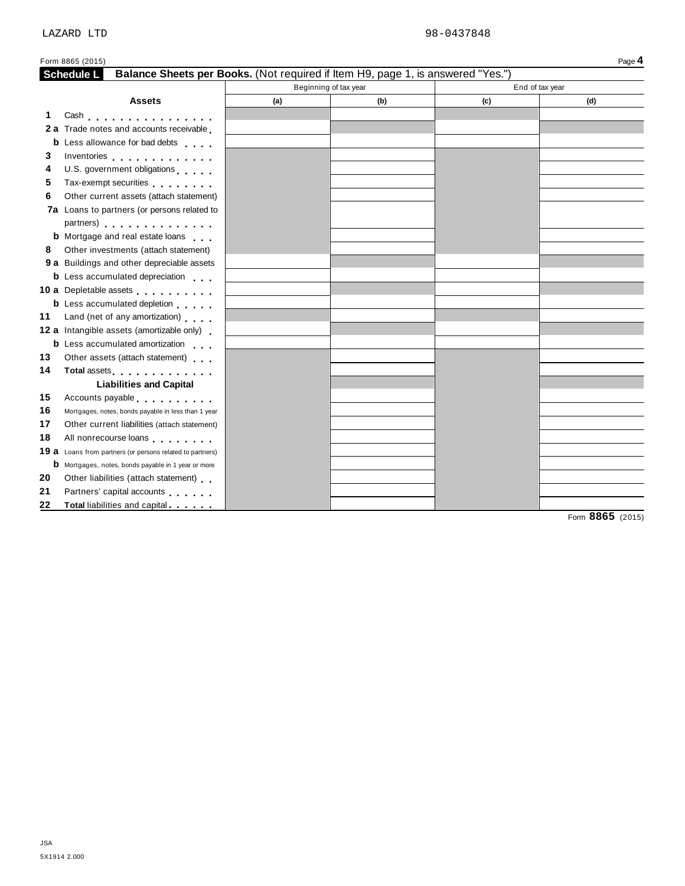|     | Form 8865 (2015)                                                                                                                                                                                                               |     |                       |     | Page 4          |
|-----|--------------------------------------------------------------------------------------------------------------------------------------------------------------------------------------------------------------------------------|-----|-----------------------|-----|-----------------|
|     | <b>Schedule L</b><br>Balance Sheets per Books. (Not required if Item H9, page 1, is answered "Yes.")                                                                                                                           |     |                       |     |                 |
|     |                                                                                                                                                                                                                                |     | Beginning of tax year |     | End of tax year |
|     | <b>Assets</b>                                                                                                                                                                                                                  | (a) | (b)                   | (c) | (d)             |
| 1.  | Cash                                                                                                                                                                                                                           |     |                       |     |                 |
| 2 a | Trade notes and accounts receivable                                                                                                                                                                                            |     |                       |     |                 |
| b   | Less allowance for bad debts                                                                                                                                                                                                   |     |                       |     |                 |
| 3   | Inventories experience and the set of the set of the set of the set of the set of the set of the set of the set of the set of the set of the set of the set of the set of the set of the set of the set of the set of the set  |     |                       |     |                 |
| 4   | U.S. government obligations                                                                                                                                                                                                    |     |                       |     |                 |
| 5   | Tax-exempt securities                                                                                                                                                                                                          |     |                       |     |                 |
| 6   | Other current assets (attach statement)                                                                                                                                                                                        |     |                       |     |                 |
|     | 7a Loans to partners (or persons related to                                                                                                                                                                                    |     |                       |     |                 |
|     | partners) extensive the set of the set of the set of the set of the set of the set of the set of the set of the                                                                                                                |     |                       |     |                 |
|     | <b>b</b> Mortgage and real estate loans                                                                                                                                                                                        |     |                       |     |                 |
| 8   | Other investments (attach statement)                                                                                                                                                                                           |     |                       |     |                 |
|     | 9 a Buildings and other depreciable assets                                                                                                                                                                                     |     |                       |     |                 |
|     | <b>b</b> Less accumulated depreciation                                                                                                                                                                                         |     |                       |     |                 |
|     | 10 a Depletable assets                                                                                                                                                                                                         |     |                       |     |                 |
|     | <b>b</b> Less accumulated depletion                                                                                                                                                                                            |     |                       |     |                 |
| 11  | Land (net of any amortization)                                                                                                                                                                                                 |     |                       |     |                 |
|     | <b>12 a</b> Intangible assets (amortizable only)                                                                                                                                                                               |     |                       |     |                 |
|     | <b>b</b> Less accumulated amortization                                                                                                                                                                                         |     |                       |     |                 |
| 13  | Other assets (attach statement)                                                                                                                                                                                                |     |                       |     |                 |
| 14  | Total assets <b>All According to the Contract of Table 1.</b>                                                                                                                                                                  |     |                       |     |                 |
|     | <b>Liabilities and Capital</b>                                                                                                                                                                                                 |     |                       |     |                 |
| 15  | Accounts payable experience and the set of the set of the set of the set of the set of the set of the set of the set of the set of the set of the set of the set of the set of the set of the set of the set of the set of the |     |                       |     |                 |
| 16  | Mortgages, notes, bonds payable in less than 1 year                                                                                                                                                                            |     |                       |     |                 |
| 17  | Other current liabilities (attach statement)                                                                                                                                                                                   |     |                       |     |                 |
| 18  | All nonrecourse loans experiences                                                                                                                                                                                              |     |                       |     |                 |
|     | 19 a Loans from partners (or persons related to partners)                                                                                                                                                                      |     |                       |     |                 |
|     | <b>b</b> Mortgages, notes, bonds payable in 1 year or more                                                                                                                                                                     |     |                       |     |                 |
| 20  | Other liabilities (attach statement)                                                                                                                                                                                           |     |                       |     |                 |
| 21  | Partners' capital accounts                                                                                                                                                                                                     |     |                       |     |                 |
| 22  | Total liabilities and capital                                                                                                                                                                                                  |     |                       |     |                 |

Form **8865** (2015)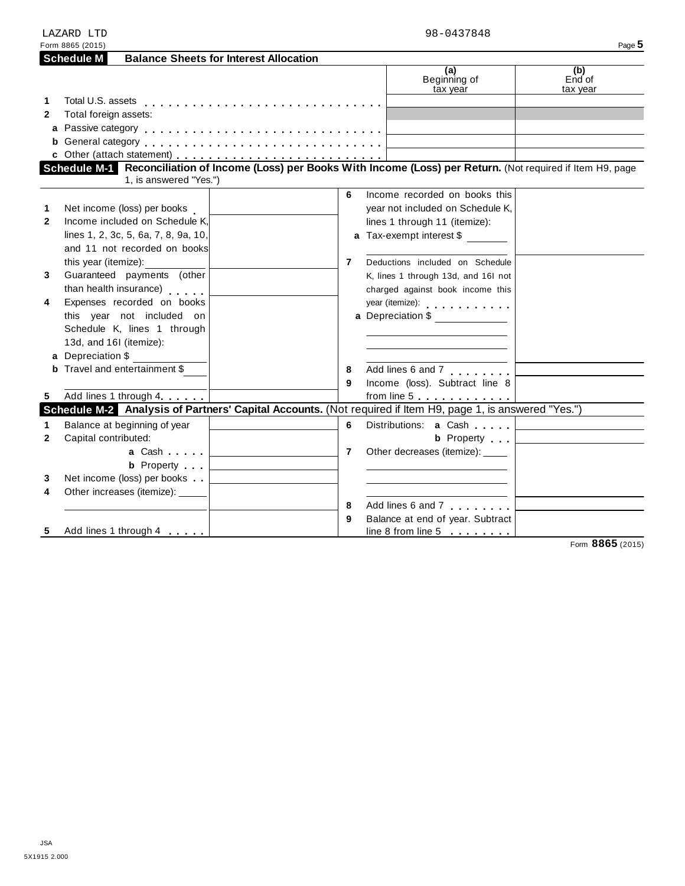|              | LAZARD LTD                                                                                                                                     |                                                   | 98-0437848                                                                                                                                                                                                                     |                           |
|--------------|------------------------------------------------------------------------------------------------------------------------------------------------|---------------------------------------------------|--------------------------------------------------------------------------------------------------------------------------------------------------------------------------------------------------------------------------------|---------------------------|
|              | Form 8865 (2015)                                                                                                                               |                                                   |                                                                                                                                                                                                                                | Page 5                    |
|              | <b>Schedule M</b><br><b>Balance Sheets for Interest Allocation</b>                                                                             |                                                   |                                                                                                                                                                                                                                |                           |
|              |                                                                                                                                                |                                                   | (a)<br>Beginning of<br>tax year                                                                                                                                                                                                | (b)<br>End of<br>tax year |
| 1            |                                                                                                                                                |                                                   |                                                                                                                                                                                                                                |                           |
| $\mathbf{2}$ | Total foreign assets:                                                                                                                          |                                                   |                                                                                                                                                                                                                                |                           |
|              |                                                                                                                                                |                                                   |                                                                                                                                                                                                                                |                           |
|              |                                                                                                                                                |                                                   |                                                                                                                                                                                                                                |                           |
|              |                                                                                                                                                |                                                   |                                                                                                                                                                                                                                |                           |
|              | Schedule M-1 Reconciliation of Income (Loss) per Books With Income (Loss) per Return. (Not required if Item H9, page<br>1, is answered "Yes.") |                                                   |                                                                                                                                                                                                                                |                           |
|              |                                                                                                                                                | 6                                                 | Income recorded on books this                                                                                                                                                                                                  |                           |
| 1            | Net income (loss) per books                                                                                                                    |                                                   | year not included on Schedule K,                                                                                                                                                                                               |                           |
| $\mathbf{2}$ | Income included on Schedule K,                                                                                                                 |                                                   | lines 1 through 11 (itemize):                                                                                                                                                                                                  |                           |
|              | lines 1, 2, 3c, 5, 6a, 7, 8, 9a, 10,                                                                                                           |                                                   | a Tax-exempt interest \$                                                                                                                                                                                                       |                           |
|              | and 11 not recorded on books                                                                                                                   |                                                   |                                                                                                                                                                                                                                |                           |
|              | this year (itemize):                                                                                                                           | $\overline{7}$                                    | Deductions included on Schedule                                                                                                                                                                                                |                           |
| 3            | Guaranteed payments (other                                                                                                                     |                                                   | K, lines 1 through 13d, and 16l not                                                                                                                                                                                            |                           |
|              | than health insurance)                                                                                                                         |                                                   | charged against book income this                                                                                                                                                                                               |                           |
| 4            | Expenses recorded on books                                                                                                                     |                                                   | year (itemize): expansion of the set of the set of the set of the set of the set of the set of the set of the set of the set of the set of the set of the set of the set of the set of the set of the set of the set of the se |                           |
|              | this year not included on                                                                                                                      |                                                   | a Depreciation \$                                                                                                                                                                                                              |                           |
|              | Schedule K, lines 1 through                                                                                                                    |                                                   |                                                                                                                                                                                                                                |                           |
|              | 13d, and 16I (itemize):                                                                                                                        |                                                   |                                                                                                                                                                                                                                |                           |
|              | a Depreciation \$                                                                                                                              |                                                   |                                                                                                                                                                                                                                |                           |
|              | <b>b</b> Travel and entertainment \$                                                                                                           | 8                                                 | Add lines 6 and 7                                                                                                                                                                                                              |                           |
|              |                                                                                                                                                | 9                                                 | Income (loss). Subtract line 8                                                                                                                                                                                                 |                           |
| 5            | Add lines 1 through 4                                                                                                                          |                                                   |                                                                                                                                                                                                                                |                           |
|              | Schedule M-2 Analysis of Partners' Capital Accounts. (Not required if Item H9, page 1, is answered "Yes.")                                     |                                                   |                                                                                                                                                                                                                                |                           |
| 1            | Balance at beginning of year                                                                                                                   | 6                                                 |                                                                                                                                                                                                                                |                           |
| $\mathbf{2}$ | Capital contributed:                                                                                                                           |                                                   | <b>b</b> Property                                                                                                                                                                                                              |                           |
|              | <b>a</b> Cash <b>1997</b>                                                                                                                      | $\overline{7}$                                    | Other decreases (itemize): _____                                                                                                                                                                                               |                           |
|              | <b>b</b> Property                                                                                                                              | <u> 1989 - Andrea State Barbara, amerikan per</u> |                                                                                                                                                                                                                                |                           |
| 3            | Net income (loss) per books                                                                                                                    |                                                   |                                                                                                                                                                                                                                |                           |
| 4            | Other increases (itemize): _____                                                                                                               |                                                   |                                                                                                                                                                                                                                |                           |
|              |                                                                                                                                                | 8                                                 | Add lines 6 and 7                                                                                                                                                                                                              |                           |
|              |                                                                                                                                                | 9                                                 | Balance at end of year. Subtract                                                                                                                                                                                               |                           |
| 5            | Add lines 1 through 4                                                                                                                          |                                                   | line 8 from line $5$                                                                                                                                                                                                           |                           |

Form **8865** (2015)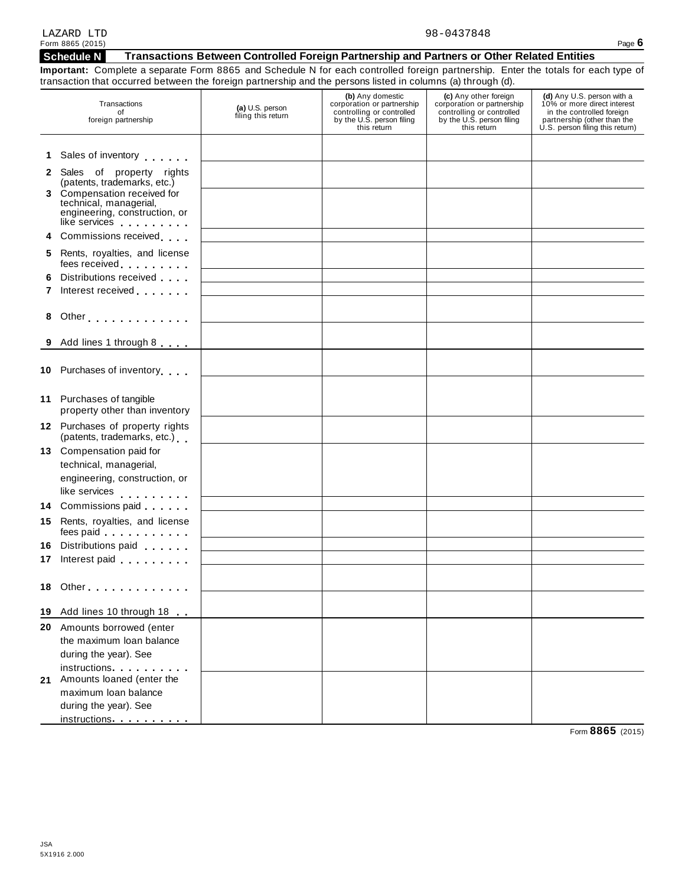| LAZARD LTD       | 98-0437848                                                                                 |          |
|------------------|--------------------------------------------------------------------------------------------|----------|
| Form 8865 (2015) |                                                                                            | Page $6$ |
| Schedule N       | Transactions Between Controlled Foreign Partnership and Partners or Other Related Entities |          |

**Important:** Complete a separate Form 8865 and Schedule N for each controlled foreign partnership. Enter the totals for each type of transaction that occurred between the foreign partnership and the persons listed in columns (a) through (d).

|    | Transactions<br>of<br>foreign partnership                                                                                                                                                                                                                               | (a) U.S. person<br>filing this return | (b) Any domestic<br>corporation or partnership<br>controlling or controlled<br>by the U.S. person filing<br>this return | (c) Any other foreign<br>corporation or partnership<br>controlling or controlled<br>by the U.S. person filing<br>this return | (d) Any U.S. person with a<br>10% or more direct interest<br>in the controlled foreign<br>partnership (other than the<br>U.S. person filing this return) |
|----|-------------------------------------------------------------------------------------------------------------------------------------------------------------------------------------------------------------------------------------------------------------------------|---------------------------------------|-------------------------------------------------------------------------------------------------------------------------|------------------------------------------------------------------------------------------------------------------------------|----------------------------------------------------------------------------------------------------------------------------------------------------------|
|    | 1 Sales of inventory <b>contains the Sales</b>                                                                                                                                                                                                                          |                                       |                                                                                                                         |                                                                                                                              |                                                                                                                                                          |
|    | 2 Sales of property rights<br>(patents, trademarks, etc.)                                                                                                                                                                                                               |                                       |                                                                                                                         |                                                                                                                              |                                                                                                                                                          |
|    | 3 Compensation received for<br>technical, managerial,<br>engineering, construction, or<br>like services                                                                                                                                                                 |                                       |                                                                                                                         |                                                                                                                              |                                                                                                                                                          |
|    | 4 Commissions received                                                                                                                                                                                                                                                  |                                       |                                                                                                                         |                                                                                                                              |                                                                                                                                                          |
|    | 5 Rents, royalties, and license<br>fees received <b>the contract of the set of the set of the set of the set of the set of the set of the set of the set of the set of the set of the set of the set of the set of the set of the set of the set of the set of the </b> |                                       |                                                                                                                         |                                                                                                                              |                                                                                                                                                          |
|    | 6 Distributions received                                                                                                                                                                                                                                                |                                       |                                                                                                                         |                                                                                                                              |                                                                                                                                                          |
|    | 7 Interest received                                                                                                                                                                                                                                                     |                                       |                                                                                                                         |                                                                                                                              |                                                                                                                                                          |
|    | 8 Other                                                                                                                                                                                                                                                                 |                                       |                                                                                                                         |                                                                                                                              |                                                                                                                                                          |
|    | 9 Add lines 1 through 8                                                                                                                                                                                                                                                 |                                       |                                                                                                                         |                                                                                                                              |                                                                                                                                                          |
|    | 10 Purchases of inventory                                                                                                                                                                                                                                               |                                       |                                                                                                                         |                                                                                                                              |                                                                                                                                                          |
|    | 11 Purchases of tangible<br>property other than inventory                                                                                                                                                                                                               |                                       |                                                                                                                         |                                                                                                                              |                                                                                                                                                          |
|    | 12 Purchases of property rights<br>(patents, trademarks, etc.)                                                                                                                                                                                                          |                                       |                                                                                                                         |                                                                                                                              |                                                                                                                                                          |
|    | 13 Compensation paid for                                                                                                                                                                                                                                                |                                       |                                                                                                                         |                                                                                                                              |                                                                                                                                                          |
|    | technical, managerial,                                                                                                                                                                                                                                                  |                                       |                                                                                                                         |                                                                                                                              |                                                                                                                                                          |
|    | engineering, construction, or                                                                                                                                                                                                                                           |                                       |                                                                                                                         |                                                                                                                              |                                                                                                                                                          |
|    | like services experience and the services                                                                                                                                                                                                                               |                                       |                                                                                                                         |                                                                                                                              |                                                                                                                                                          |
|    | 14 Commissions paid                                                                                                                                                                                                                                                     |                                       |                                                                                                                         |                                                                                                                              |                                                                                                                                                          |
|    | 15 Rents, royalties, and license<br>fees paid experience and the set of the set of the set of the set of the set of the set of the set of the set of the set of the set of the set of the set of the set of the set of the set of the set of the set of the set of      |                                       |                                                                                                                         |                                                                                                                              |                                                                                                                                                          |
|    | 16 Distributions paid                                                                                                                                                                                                                                                   |                                       |                                                                                                                         |                                                                                                                              |                                                                                                                                                          |
|    | 17 Interest paid                                                                                                                                                                                                                                                        |                                       |                                                                                                                         |                                                                                                                              |                                                                                                                                                          |
|    | <b>18</b> Other                                                                                                                                                                                                                                                         |                                       |                                                                                                                         |                                                                                                                              |                                                                                                                                                          |
|    | 19 Add lines 10 through 18                                                                                                                                                                                                                                              |                                       |                                                                                                                         |                                                                                                                              |                                                                                                                                                          |
|    | 20 Amounts borrowed (enter                                                                                                                                                                                                                                              |                                       |                                                                                                                         |                                                                                                                              |                                                                                                                                                          |
|    | the maximum loan balance                                                                                                                                                                                                                                                |                                       |                                                                                                                         |                                                                                                                              |                                                                                                                                                          |
|    | during the year). See                                                                                                                                                                                                                                                   |                                       |                                                                                                                         |                                                                                                                              |                                                                                                                                                          |
|    | instructions                                                                                                                                                                                                                                                            |                                       |                                                                                                                         |                                                                                                                              |                                                                                                                                                          |
| 21 | Amounts loaned (enter the                                                                                                                                                                                                                                               |                                       |                                                                                                                         |                                                                                                                              |                                                                                                                                                          |
|    | maximum loan balance                                                                                                                                                                                                                                                    |                                       |                                                                                                                         |                                                                                                                              |                                                                                                                                                          |
|    | during the year). See<br>instructions                                                                                                                                                                                                                                   |                                       |                                                                                                                         |                                                                                                                              |                                                                                                                                                          |
|    |                                                                                                                                                                                                                                                                         |                                       |                                                                                                                         |                                                                                                                              |                                                                                                                                                          |

Form **8865** (2015)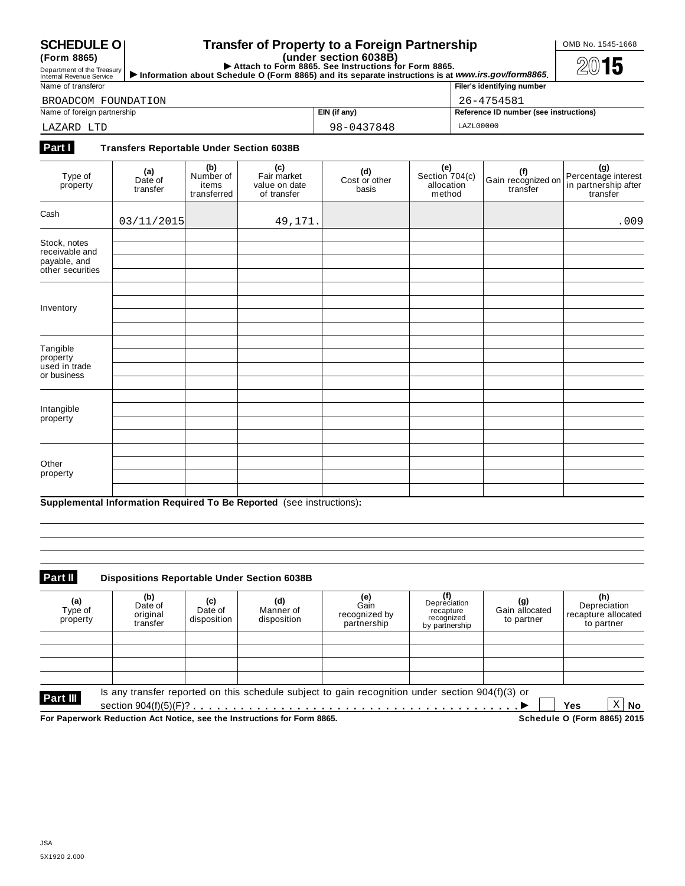**(Form 8865)**

## **SCHEDULE** O **Transfer of Property to a Foreign Partnership COMB No. 1545-1668**

(Form 8865)<br>
Department of the Treasury **Department of the Treasury Department of the Treasury Department of the Treasury Department of the Treasury <b>Department of the Treasury Department of the Treasury Department of the** 

| Name of transferor          | Filer's identifying number |                                        |  |
|-----------------------------|----------------------------|----------------------------------------|--|
| BROADCOM FOUNDATION         | 26-4754581                 |                                        |  |
| Name of foreign partnership | EIN (if any)               | Reference ID number (see instructions) |  |
| LAZARD LTD                  | 98-0437848                 | LAZL00000                              |  |

## **Part I Transfers Reportable Under Section 6038B**

| Type of<br>property                                                | (a)<br>Date of<br>transfer | (b)<br>Number of<br>items<br>transferred | (c)<br>Fair market<br>value on date<br>of transfer | (d)<br>Cost or other<br>basis | $(e)$<br>Section 704(c)<br>allocation<br>method | (f)<br>Gain recognized on<br>transfer | (g)<br>Percentage interest<br>in partnership after<br>transfer |
|--------------------------------------------------------------------|----------------------------|------------------------------------------|----------------------------------------------------|-------------------------------|-------------------------------------------------|---------------------------------------|----------------------------------------------------------------|
| Cash                                                               | 03/11/2015                 |                                          | 49,171.                                            |                               |                                                 |                                       | .009                                                           |
| Stock, notes<br>receivable and<br>payable, and<br>other securities |                            |                                          |                                                    |                               |                                                 |                                       |                                                                |
| Inventory                                                          |                            |                                          |                                                    |                               |                                                 |                                       |                                                                |
| Tangible<br>property<br>used in trade<br>or business               |                            |                                          |                                                    |                               |                                                 |                                       |                                                                |
| Intangible<br>property                                             |                            |                                          |                                                    |                               |                                                 |                                       |                                                                |
| Other<br>property                                                  |                            |                                          |                                                    |                               |                                                 |                                       |                                                                |

**Supplemental Information Required To Be Reported** (see instructions)**:**

#### **Part II Dispositions Reportable Under Section 6038B**

| (a)<br>Type of<br>property                                              | (b)<br>Date of<br>original<br>transfer | (c)<br>Date of<br>disposition | (d)<br>Manner of<br>disposition | <b>(e)</b><br>Gain<br>recognized by<br>partnership                                                 | Depreciation<br>recapture<br>recognized<br>by partnership | (g)<br>Gain allocated<br>to partner | (h)<br>Depreciation<br>recapture allocated<br>to partner |
|-------------------------------------------------------------------------|----------------------------------------|-------------------------------|---------------------------------|----------------------------------------------------------------------------------------------------|-----------------------------------------------------------|-------------------------------------|----------------------------------------------------------|
|                                                                         |                                        |                               |                                 |                                                                                                    |                                                           |                                     |                                                          |
| Part III                                                                |                                        |                               |                                 | Is any transfer reported on this schedule subject to gain recognition under section $904(f)(3)$ or |                                                           |                                     |                                                          |
| For Paperwork Reduction Act Notice, see the Instructions for Form 8865. |                                        |                               |                                 |                                                                                                    |                                                           |                                     | X<br>No<br>Yes<br>Schedule O (Form 8865) 2015            |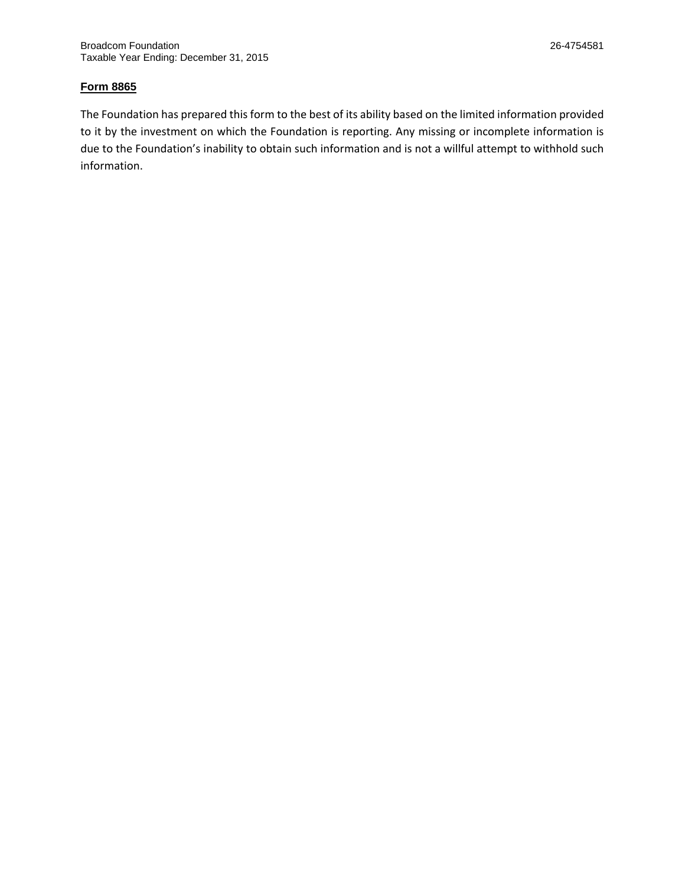## **Form 8865**

The Foundation has prepared this form to the best of its ability based on the limited information provided to it by the investment on which the Foundation is reporting. Any missing or incomplete information is due to the Foundation's inability to obtain such information and is not a willful attempt to withhold such information.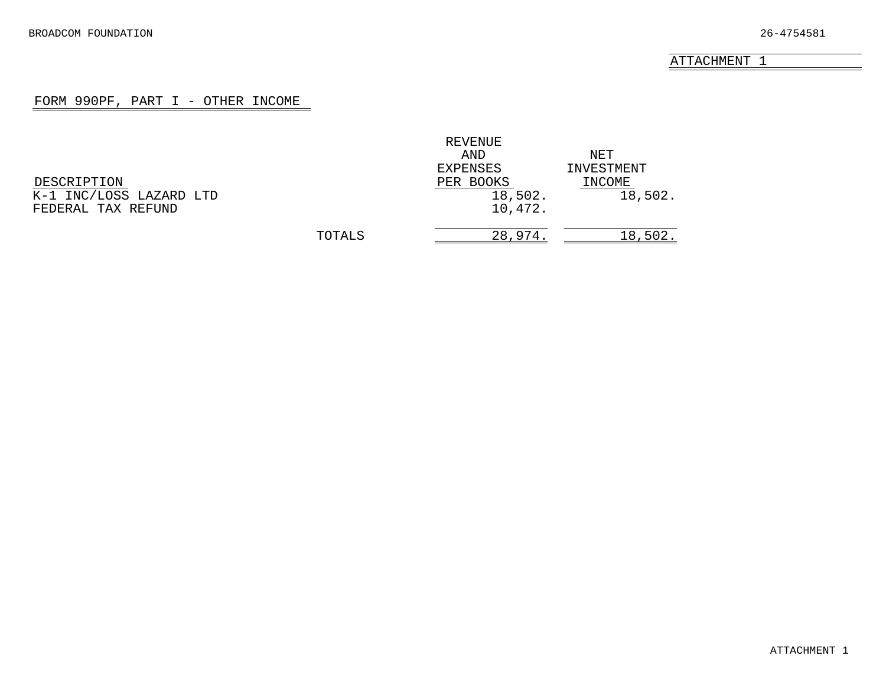### FORM 990PF, PART I - OTHER INCOME

<span id="page-24-0"></span>

|                         |        | REVENUE   |            |
|-------------------------|--------|-----------|------------|
|                         |        | AND       | NET        |
|                         |        | EXPENSES  | INVESTMENT |
| DESCRIPTION             |        | PER BOOKS | INCOME     |
| K-1 INC/LOSS LAZARD LTD |        | 18,502.   | 18,502.    |
| FEDERAL TAX REFUND      |        | 10,472.   |            |
|                         | TOTALS | 28,974.   | 18,502.    |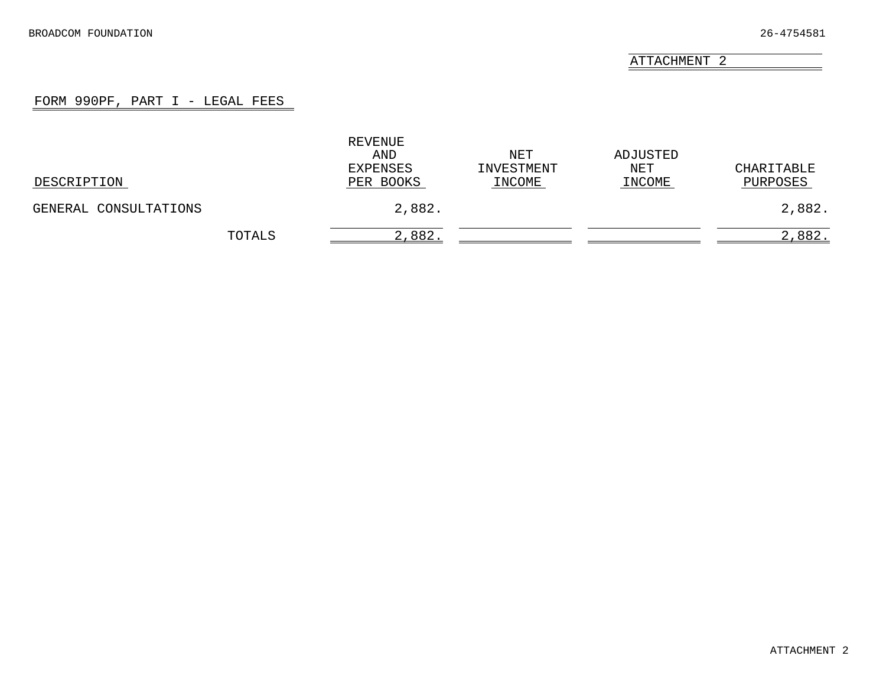#### FORM 990PF, PART I - LEGAL FEES

<span id="page-25-0"></span>

| DESCRIPTION           |        | REVENUE<br>AND<br>EXPENSES<br>PER BOOKS | NET<br>INVESTMENT<br>INCOME | ADJUSTED<br>NET<br>INCOME | CHARITABLE<br>PURPOSES |
|-----------------------|--------|-----------------------------------------|-----------------------------|---------------------------|------------------------|
| GENERAL CONSULTATIONS |        | 2,882.                                  |                             |                           | 2,882.                 |
|                       | TOTALS | 2,882.                                  |                             |                           | 2,882.                 |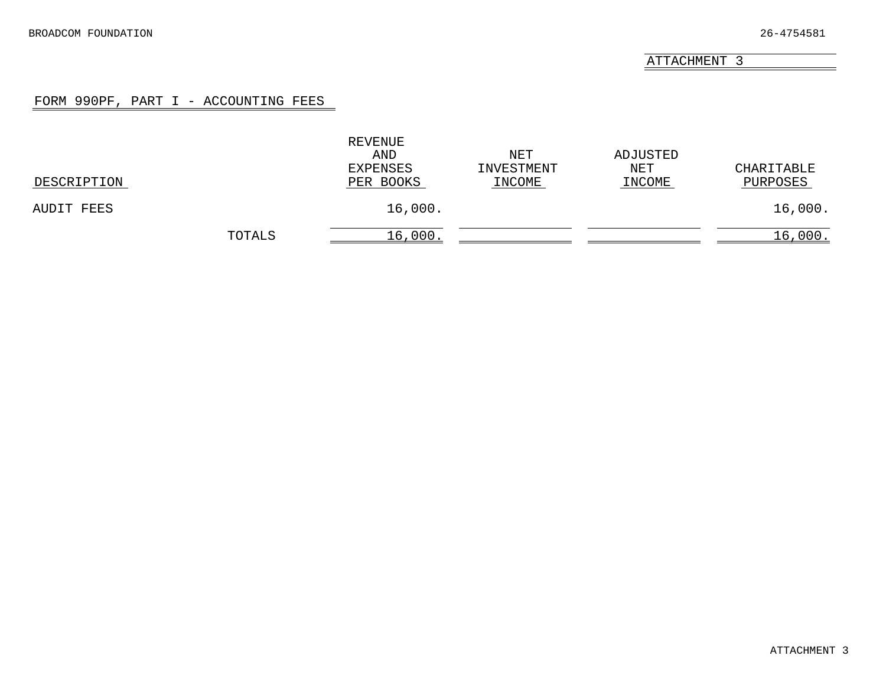### FORM 990PF, PART I - ACCOUNTING FEES

<span id="page-26-0"></span>

| DESCRIPTION |        | REVENUE<br>AND<br>EXPENSES<br>PER BOOKS | NET<br>INVESTMENT<br>INCOME | ADJUSTED<br>NET<br>INCOME | CHARITABLE<br>PURPOSES |
|-------------|--------|-----------------------------------------|-----------------------------|---------------------------|------------------------|
| AUDIT FEES  |        | 16,000.                                 |                             |                           | 16,000.                |
|             | TOTALS | 16,000                                  |                             |                           | 16,000.                |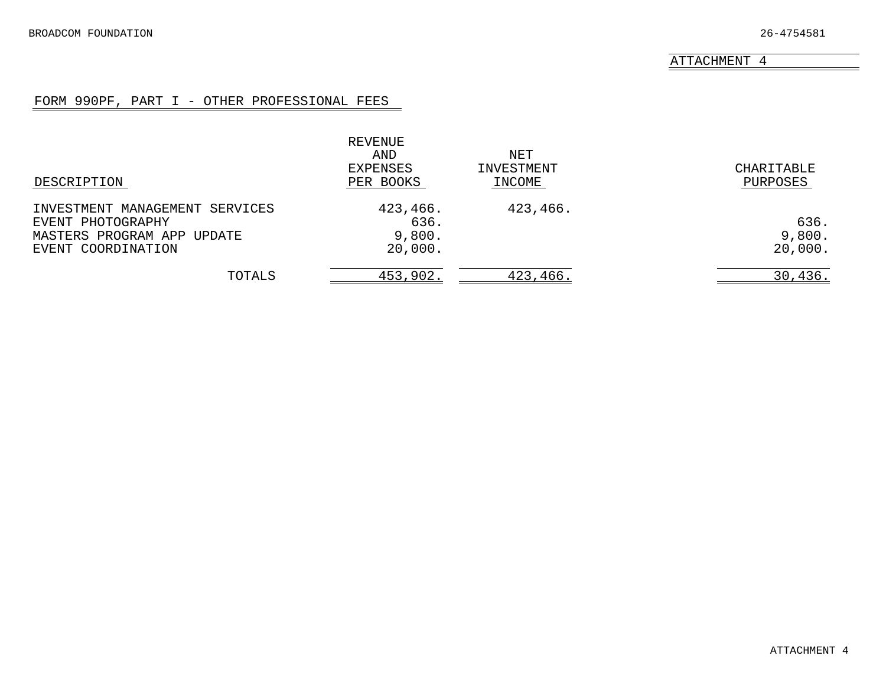## FORM 990PF, PART I - OTHER PROFESSIONAL FEES

<span id="page-27-0"></span>

|                                                                                                         | REVENUE<br>AND<br>EXPENSES            | NET<br>INVESTMENT | CHARITABLE                |
|---------------------------------------------------------------------------------------------------------|---------------------------------------|-------------------|---------------------------|
| DESCRIPTION                                                                                             | PER BOOKS                             | INCOME            | PURPOSES                  |
| INVESTMENT MANAGEMENT SERVICES<br>EVENT PHOTOGRAPHY<br>MASTERS PROGRAM APP UPDATE<br>EVENT COORDINATION | 423,466.<br>636.<br>9,800.<br>20,000. | 423,466.          | 636.<br>9,800.<br>20,000. |
| TOTALS                                                                                                  | 453,902.                              | 423,466.          | 30, 436.                  |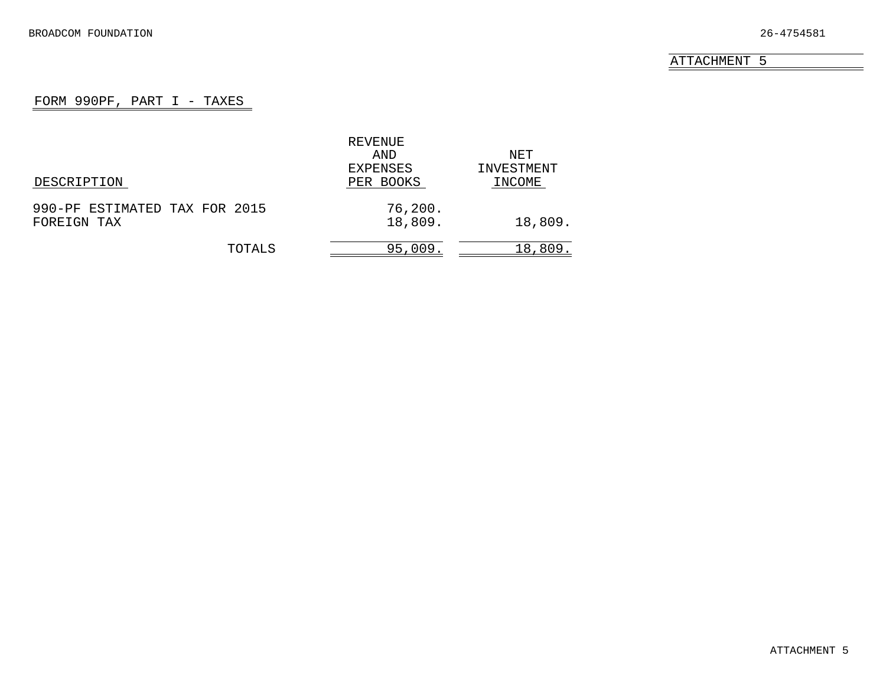## FORM 990PF, PART I - TAXES

<span id="page-28-0"></span>

|                               | REVENUE   |            |
|-------------------------------|-----------|------------|
|                               | AND       | NET        |
|                               | EXPENSES  | INVESTMENT |
| DESCRIPTION                   | PER BOOKS | INCOME     |
| 990-PF ESTIMATED TAX FOR 2015 | 76,200.   |            |
| FOREIGN TAX                   | 18,809.   | 18,809.    |
| TOTALS                        | 95,009.   | 18,809.    |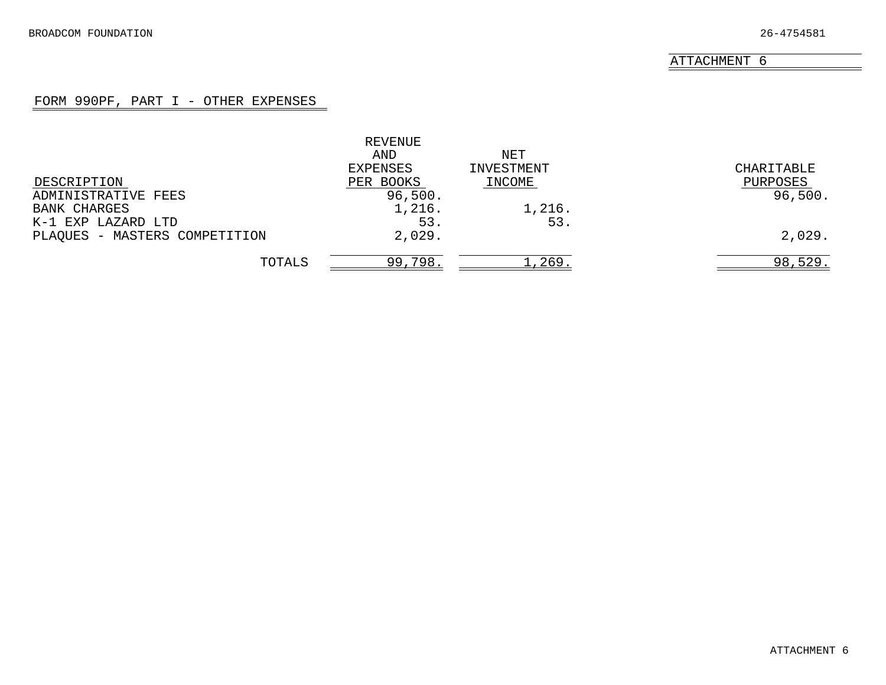## FORM 990PF, PART I - OTHER EXPENSES

<span id="page-29-0"></span>

|                               | REVENUE   |            |            |
|-------------------------------|-----------|------------|------------|
|                               | AND       | NET        |            |
|                               | EXPENSES  | INVESTMENT | CHARITABLE |
| DESCRIPTION                   | PER BOOKS | INCOME     | PURPOSES   |
| ADMINISTRATIVE FEES           | 96,500.   |            | 96,500.    |
| <b>BANK CHARGES</b>           | 1,216.    | 1,216.     |            |
| K-1 EXP LAZARD LTD            | 53.       | 53.        |            |
| PLAQUES - MASTERS COMPETITION | 2,029.    |            | 2,029.     |
| TOTALS                        | 99,798.   | 1,269.     | 98,529.    |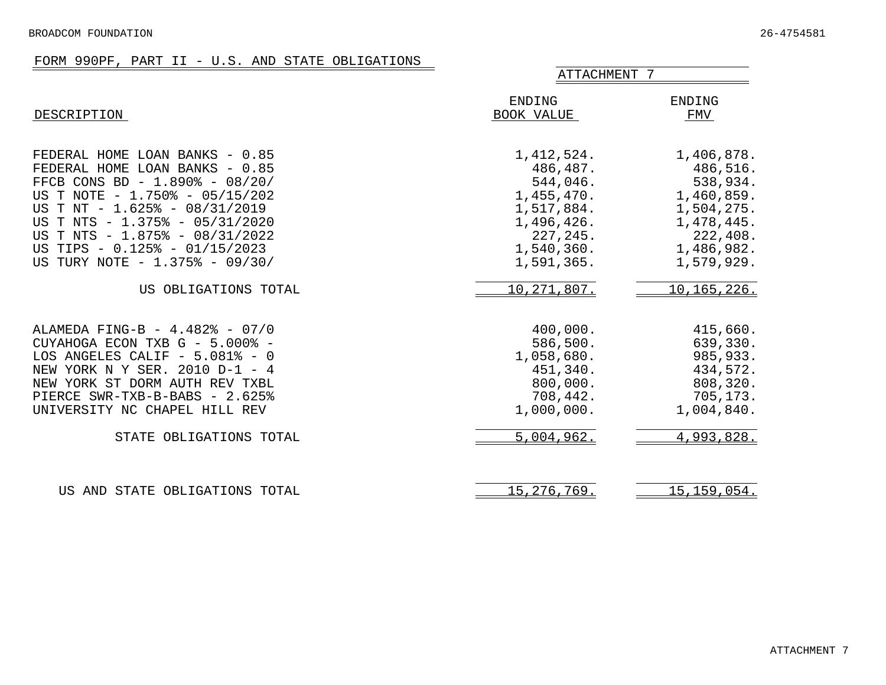## FORM 990PF, PART II - U.S. AND STATE OBLIGATIONS

<span id="page-30-0"></span>

|                                                                                                                                                                                                                                                                                                              | ATTACHMENT 7                                                                                                            |                                                                                                                      |  |  |
|--------------------------------------------------------------------------------------------------------------------------------------------------------------------------------------------------------------------------------------------------------------------------------------------------------------|-------------------------------------------------------------------------------------------------------------------------|----------------------------------------------------------------------------------------------------------------------|--|--|
| DESCRIPTION                                                                                                                                                                                                                                                                                                  | ENDING<br>BOOK VALUE                                                                                                    | ENDING<br>FMV                                                                                                        |  |  |
| FEDERAL HOME LOAN BANKS - 0.85<br>FEDERAL HOME LOAN BANKS - 0.85<br>FFCB CONS BD - 1.890% - 08/20/<br>US T NOTE - 1.750% - 05/15/202<br>US T NT - 1.625% - 08/31/2019<br>US T NTS - 1.375% - 05/31/2020<br>US T NTS - 1.875% - 08/31/2022<br>US TIPS - 0.125% - 01/15/2023<br>US TURY NOTE - 1.375% - 09/30/ | 1, 412, 524.<br>486,487.<br>544,046.<br>1,455,470.<br>1,517,884.<br>1,496,426.<br>227, 245.<br>1,540,360.<br>1,591,365. | 1,406,878.<br>486,516.<br>538,934.<br>1,460,859.<br>1,504,275.<br>1,478,445.<br>222,408.<br>1,486,982.<br>1,579,929. |  |  |
| US OBLIGATIONS TOTAL                                                                                                                                                                                                                                                                                         | 10, 271, 807.                                                                                                           | 10, 165, 226.                                                                                                        |  |  |
| ALAMEDA FING-B - 4.482% - 07/0<br>CUYAHOGA ECON TXB G - 5.000% -<br>LOS ANGELES CALIF $-5.081$ <sup>8</sup> - 0<br>NEW YORK N Y SER. 2010 D-1 - 4<br>NEW YORK ST DORM AUTH REV TXBL<br>PIERCE SWR-TXB-B-BABS - 2.625%<br>UNIVERSITY NC CHAPEL HILL REV                                                       | 400,000.<br>586,500.<br>1,058,680.<br>451,340.<br>800,000.<br>708,442.<br>1,000,000.                                    | 415,660.<br>639,330.<br>985,933.<br>434,572.<br>808,320.<br>705,173.<br>1,004,840.                                   |  |  |
| STATE OBLIGATIONS TOTAL                                                                                                                                                                                                                                                                                      | 5,004,962.                                                                                                              | 4,993,828.                                                                                                           |  |  |
| US AND STATE OBLIGATIONS TOTAL                                                                                                                                                                                                                                                                               | 15, 276, 769.                                                                                                           | 15, 159, 054.                                                                                                        |  |  |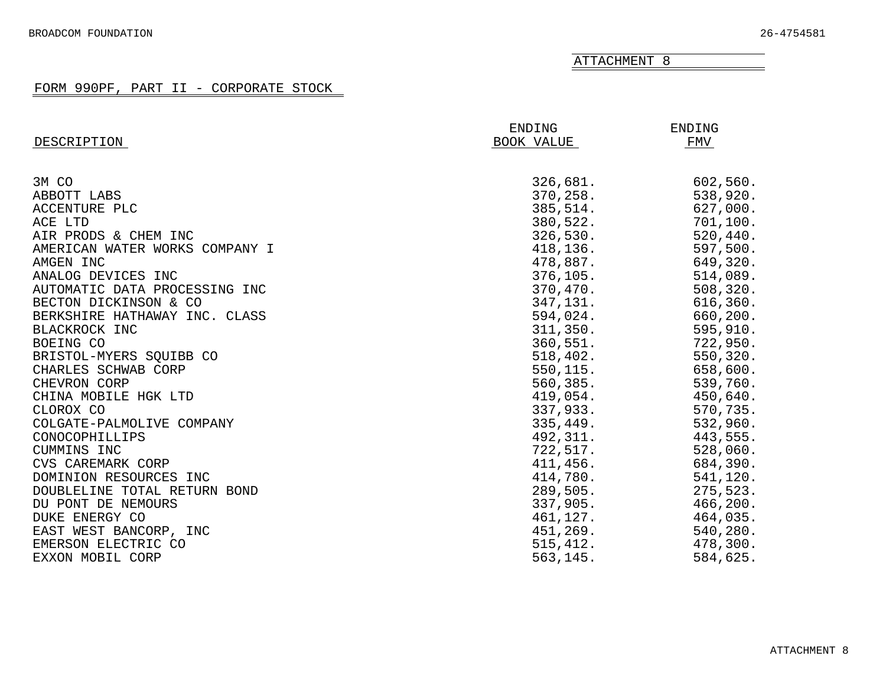## FORM 990PF, PART II - CORPORATE STOCK

<span id="page-31-0"></span>

|                                | ENDING     | ENDING    |
|--------------------------------|------------|-----------|
| DESCRIPTION                    | BOOK VALUE | FMV       |
|                                |            |           |
| 3M CO                          | 326,681.   | 602,560.  |
| ABBOTT LABS                    | 370,258.   | 538,920.  |
| ACCENTURE PLC                  | 385,514.   | 627,000.  |
| ACE LTD                        | 380,522.   | 701,100.  |
| AIR PRODS & CHEM INC           | 326,530.   | 520, 440. |
| AMERICAN WATER WORKS COMPANY I | 418,136.   | 597,500.  |
| AMGEN INC                      | 478,887.   | 649,320.  |
| ANALOG DEVICES INC             | 376, 105.  | 514,089.  |
| AUTOMATIC DATA PROCESSING INC  | 370,470.   | 508,320.  |
| BECTON DICKINSON & CO          | 347,131.   | 616, 360. |
| BERKSHIRE HATHAWAY INC. CLASS  | 594,024.   | 660,200.  |
| BLACKROCK INC                  | 311,350.   | 595,910.  |
| BOEING CO                      | 360, 551.  | 722,950.  |
| BRISTOL-MYERS SQUIBB CO        | 518,402.   | 550,320.  |
| CHARLES SCHWAB CORP            | 550,115.   | 658,600.  |
| CHEVRON CORP                   | 560,385.   | 539,760.  |
| CHINA MOBILE HGK LTD           | 419,054.   | 450,640.  |
| CLOROX CO                      | 337,933.   | 570,735.  |
| COLGATE-PALMOLIVE COMPANY      | 335,449.   | 532,960.  |
| CONOCOPHILLIPS                 | 492,311.   | 443,555.  |
| CUMMINS INC                    | 722,517.   | 528,060.  |
| CVS CAREMARK CORP              | 411,456.   | 684,390.  |
| DOMINION RESOURCES INC         | 414,780.   | 541,120.  |
| DOUBLELINE TOTAL RETURN BOND   | 289,505.   | 275,523.  |
| DU PONT DE NEMOURS             | 337,905.   | 466,200.  |
| DUKE ENERGY CO                 | 461,127.   | 464,035.  |
| EAST WEST BANCORP, INC         | 451,269.   | 540,280.  |
| EMERSON ELECTRIC CO            | 515, 412.  | 478,300.  |
| EXXON MOBIL CORP               | 563,145.   | 584,625.  |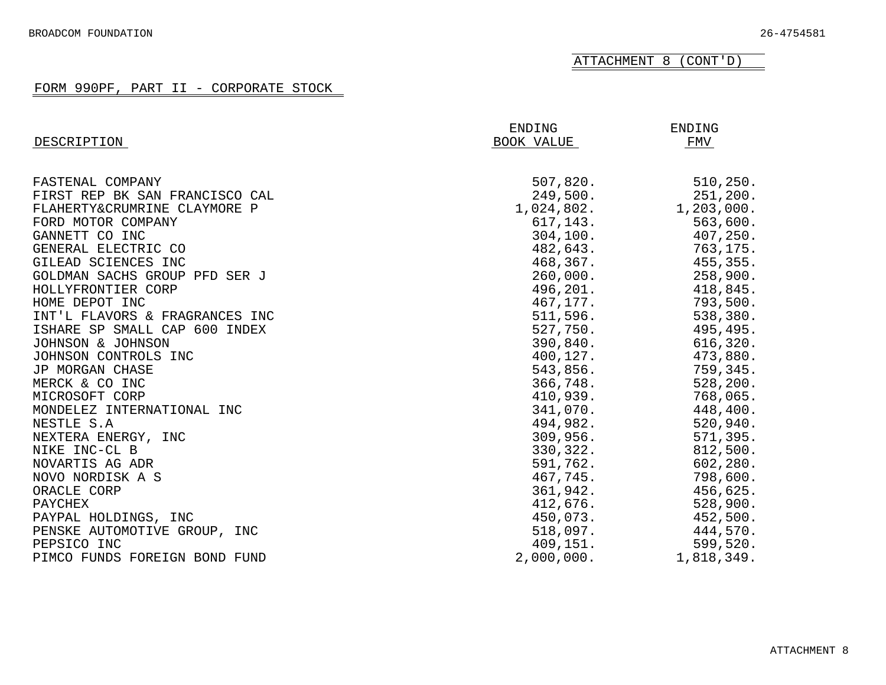ATTACHMENT 8 (CONT'D)

## FORM 990PF, PART II - CORPORATE STOCK

| DESCRIPTION                    | ENDING<br>BOOK VALUE | <b>ENDING</b><br>FMV |
|--------------------------------|----------------------|----------------------|
|                                |                      |                      |
| FASTENAL COMPANY               | 507,820.             | 510, 250.            |
| FIRST REP BK SAN FRANCISCO CAL | 249,500.             | 251, 200.            |
| FLAHERTY&CRUMRINE CLAYMORE P   | 1,024,802.           | 1,203,000.           |
| FORD MOTOR COMPANY             | 617, 143.            | 563,600.             |
| GANNETT CO INC                 | 304, 100.            | 407,250.             |
| GENERAL ELECTRIC CO            | 482,643.             | 763,175.             |
| GILEAD SCIENCES INC            | 468,367.             | 455,355.             |
| GOLDMAN SACHS GROUP PFD SER J  | 260,000.             | 258,900.             |
| HOLLYFRONTIER CORP             | 496,201.             | 418,845.             |
| HOME DEPOT INC                 | 467,177.             | 793,500.             |
| INT'L FLAVORS & FRAGRANCES INC | 511,596.             | 538,380.             |
| ISHARE SP SMALL CAP 600 INDEX  | 527,750.             | 495,495.             |
| JOHNSON & JOHNSON              | 390,840.             | 616,320.             |
| JOHNSON CONTROLS INC           | 400,127.             | 473,880.             |
| JP MORGAN CHASE                | 543,856.             | 759,345.             |
| MERCK & CO INC                 | 366,748.             | 528, 200.            |
| MICROSOFT CORP                 | 410,939.             | 768,065.             |
| MONDELEZ INTERNATIONAL INC     | 341,070.             | 448,400.             |
| NESTLE S.A                     | 494,982.             | 520,940.             |
| NEXTERA ENERGY, INC            | 309,956.             | 571,395.             |
| NIKE INC-CL B                  | 330,322.             | 812,500.             |
| NOVARTIS AG ADR                | 591,762.             | 602,280.             |
| NOVO NORDISK A S               | 467,745.             | 798,600.             |
| ORACLE CORP                    | 361,942.             | 456,625.             |
| PAYCHEX                        | 412,676.             | 528,900.             |
| PAYPAL HOLDINGS, INC           | 450,073.             | 452,500.             |
| PENSKE AUTOMOTIVE GROUP, INC   | 518,097.             | 444,570.             |
| PEPSICO INC                    | 409,151.             | 599,520.             |
| PIMCO FUNDS FOREIGN BOND FUND  | 2,000,000.           | 1,818,349.           |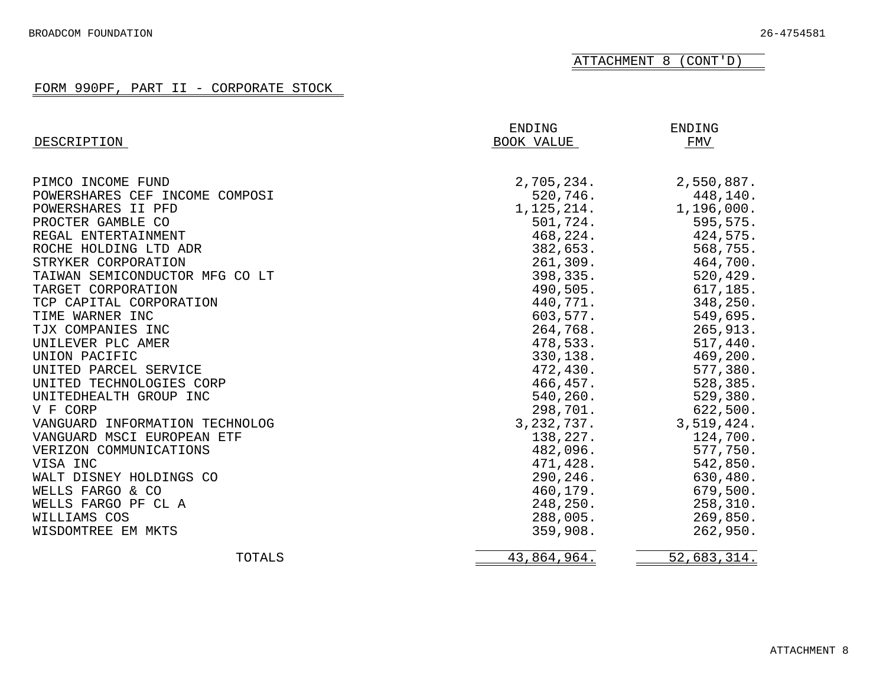ATTACHMENT 8 (CONT'D)

## FORM 990PF, PART II - CORPORATE STOCK

|                                | ENDING       | ENDING      |
|--------------------------------|--------------|-------------|
| DESCRIPTION                    | BOOK VALUE   | FMV         |
| PIMCO INCOME FUND              | 2,705,234.   | 2,550,887.  |
| POWERSHARES CEF INCOME COMPOSI | 520,746.     | 448,140.    |
| POWERSHARES II PFD             | 1, 125, 214. | 1,196,000.  |
| PROCTER GAMBLE CO              | 501,724.     | 595,575.    |
| REGAL ENTERTAINMENT            | 468,224.     | 424,575.    |
| ROCHE HOLDING LTD ADR          | 382,653.     | 568,755.    |
| STRYKER CORPORATION            | 261,309.     | 464,700.    |
| TAIWAN SEMICONDUCTOR MFG CO LT | 398,335.     | 520,429.    |
| TARGET CORPORATION             | 490,505.     | 617,185.    |
| TCP CAPITAL CORPORATION        | 440,771.     | 348,250.    |
| TIME WARNER INC                | 603,577.     | 549,695.    |
| TJX COMPANIES INC              | 264,768.     | 265,913.    |
| UNILEVER PLC AMER              | 478,533.     | 517,440.    |
| UNION PACIFIC                  | 330,138.     | 469,200.    |
| UNITED PARCEL SERVICE          | 472,430.     | 577,380.    |
| UNITED TECHNOLOGIES CORP       | 466,457.     | 528,385.    |
| UNITEDHEALTH GROUP INC         | 540,260.     | 529,380.    |
| V F CORP                       | 298,701.     | 622,500.    |
| VANGUARD INFORMATION TECHNOLOG | 3, 232, 737. | 3,519,424.  |
| VANGUARD MSCI EUROPEAN ETF     | 138,227.     | 124,700.    |
| VERIZON COMMUNICATIONS         | 482,096.     | 577,750.    |
| VISA INC                       | 471,428.     | 542,850.    |
| WALT DISNEY HOLDINGS CO        | 290,246.     | 630,480.    |
| WELLS FARGO & CO               | 460,179.     | 679,500.    |
| WELLS FARGO PF CL A            | 248,250.     | 258,310.    |
| WILLIAMS COS                   | 288,005.     | 269,850.    |
| WISDOMTREE EM MKTS             | 359,908.     | 262,950.    |
| TOTALS                         | 43,864,964.  | 52,683,314. |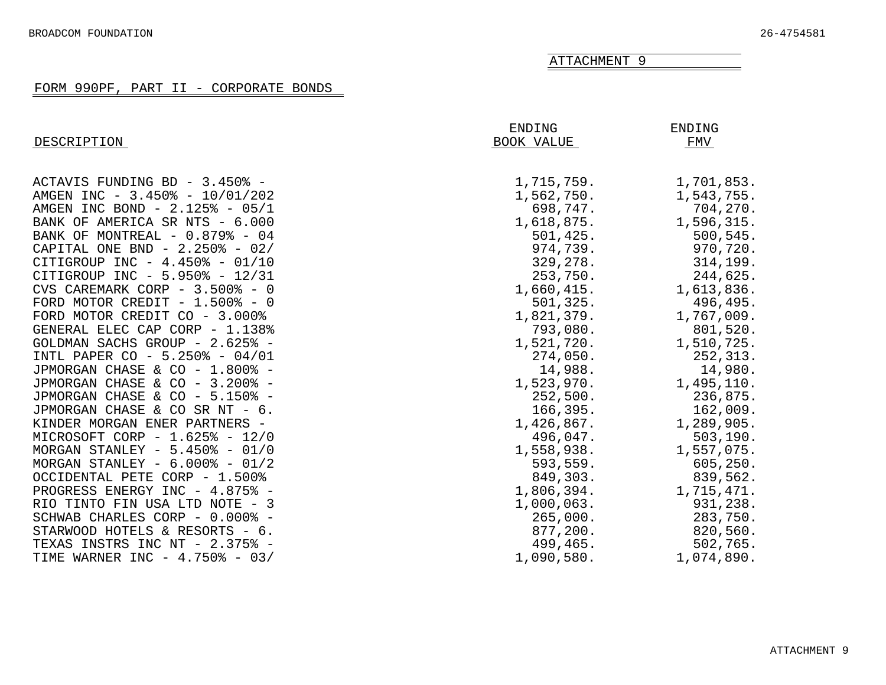#### FORM 990PF, PART II - CORPORATE BONDS

<span id="page-34-0"></span>

| DESCRIPTION                             | <b>ENDING</b><br>BOOK VALUE | <b>ENDING</b><br>FMV |
|-----------------------------------------|-----------------------------|----------------------|
| ACTAVIS FUNDING BD - 3.450% -           | 1,715,759.                  | 1,701,853.           |
| AMGEN INC - 3.450% - 10/01/202          | 1,562,750.                  | 1,543,755.           |
| AMGEN INC BOND - 2.125% - 05/1          | 698,747.                    | 704,270.             |
| BANK OF AMERICA SR NTS - 6.000          | 1,618,875.                  | 1,596,315.           |
| BANK OF MONTREAL - 0.879% - 04          | 501, 425.                   | 500, 545.            |
| CAPITAL ONE BND - 2.250% - 02/          | 974,739.                    | 970,720.             |
| CITIGROUP INC - $4.450\%$ - 01/10       | 329,278.                    | 314, 199.            |
| CITIGROUP INC - 5.950% - 12/31          | 253,750.                    | 244,625.             |
| CVS CAREMARK CORP - 3.500% - 0          | 1,660,415.                  | 1,613,836.           |
| FORD MOTOR CREDIT - $1.500\text{*}$ - 0 | 501,325.                    | 496,495.             |
| FORD MOTOR CREDIT CO - 3.000%           | 1,821,379.                  | 1,767,009.           |
| GENERAL ELEC CAP CORP - 1.138%          | 793,080.                    | 801,520.             |
| GOLDMAN SACHS GROUP - 2.625% -          | 1,521,720.                  | 1,510,725.           |
| INTL PAPER CO - 5.250% - 04/01          | 274,050.                    | 252,313.             |
| JPMORGAN CHASE & CO - 1.800% -          | 14,988.                     | 14,980.              |
| JPMORGAN CHASE & CO - 3.200% -          | 1,523,970.                  | 1,495,110.           |
| JPMORGAN CHASE & CO - 5.150% -          | 252,500.                    | 236,875.             |
| JPMORGAN CHASE & CO SR NT - 6.          | 166,395.                    | 162,009.             |
| KINDER MORGAN ENER PARTNERS -           | 1,426,867.                  | 1,289,905.           |
| MICROSOFT CORP - 1.625% - 12/0          | 496,047.                    | 503, 190.            |
| MORGAN STANLEY - $5.450\%$ - 01/0       | 1,558,938.                  | 1,557,075.           |
| MORGAN STANLEY - $6.000\%$ - 01/2       | 593,559.                    | 605, 250.            |
| OCCIDENTAL PETE CORP - 1.500%           | 849,303.                    | 839,562.             |
| PROGRESS ENERGY INC - 4.875% -          | 1,806,394.                  | 1,715,471.           |
| RIO TINTO FIN USA LTD NOTE - 3          | 1,000,063.                  | 931,238.             |
| SCHWAB CHARLES CORP - 0.000% -          | 265,000.                    | 283,750.             |
| STARWOOD HOTELS & RESORTS - 6.          | 877,200.                    | 820,560.             |
| TEXAS INSTRS INC NT - 2.375% -          | 499,465.                    | 502,765.             |
| TIME WARNER INC - 4.750% - 03/          | 1,090,580.                  | 1,074,890.           |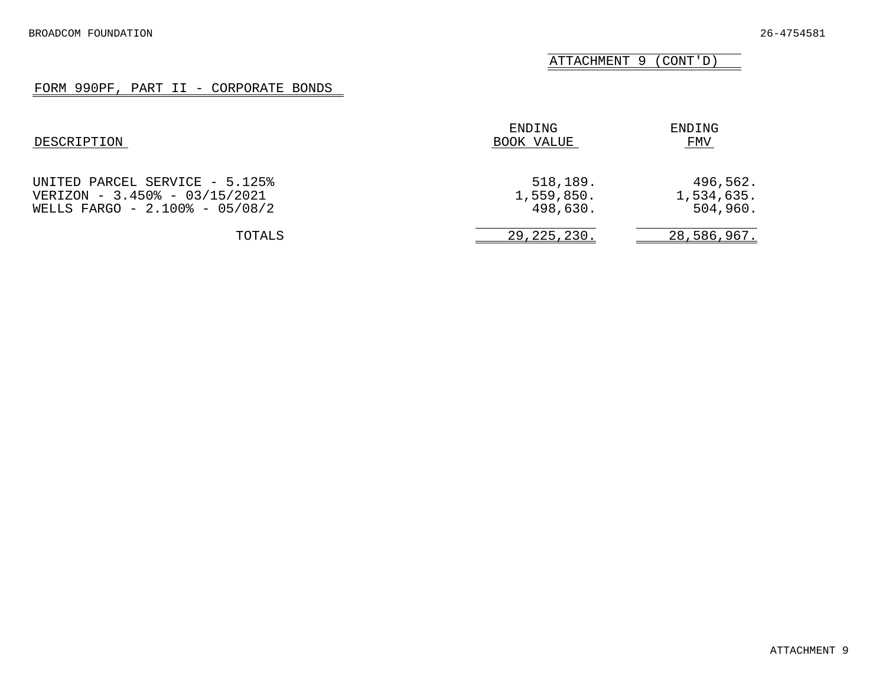ATTACHMENT 9 (CONT'D)

## FORM 990PF, PART II - CORPORATE BONDS

| DESCRIPTION                                                                                       | ENDING<br>BOOK VALUE               | ENDING<br>FMV                      |
|---------------------------------------------------------------------------------------------------|------------------------------------|------------------------------------|
| UNITED PARCEL SERVICE - 5.125%<br>VERIZON - 3.450% - 03/15/2021<br>WELLS FARGO - 2.100% - 05/08/2 | 518,189.<br>1,559,850.<br>498,630. | 496,562.<br>1,534,635.<br>504,960. |
| TOTALS                                                                                            | 29, 225, 230.                      | 28,586,967.                        |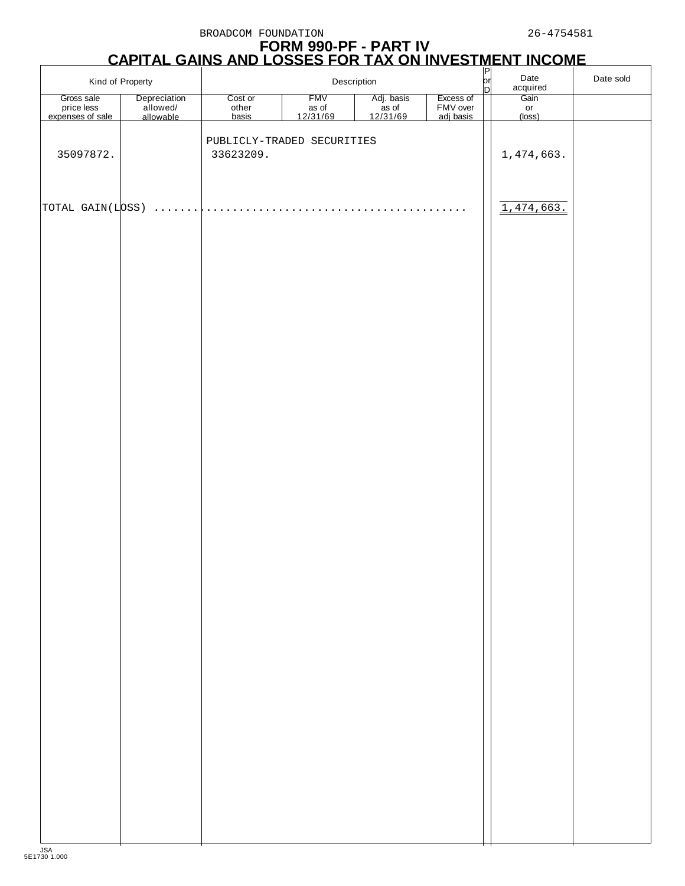## **FORM 990-PF - PART IV CAPITAL GAINS AND LOSSES FOR TAX ON INVESTMENT INCOME**

| Kind of Property                             |                                       | Description               |                                            | $\frac{P}{Q}$<br>Date<br>acquired |                                    | Date sold |                      |  |
|----------------------------------------------|---------------------------------------|---------------------------|--------------------------------------------|-----------------------------------|------------------------------------|-----------|----------------------|--|
| Gross sale<br>price less<br>expenses of sale | Depreciation<br>allowed/<br>allowable | Cost or<br>other<br>basis | <b>FMV</b><br>as of<br>$\frac{12/31/69}{}$ | Adj. basis<br>as of<br>12/31/69   | Excess of<br>FMV over<br>adj basis |           | Gain<br>or<br>(loss) |  |
|                                              |                                       |                           | PUBLICLY-TRADED SECURITIES                 |                                   |                                    |           |                      |  |
| 35097872.                                    |                                       | 33623209.                 |                                            |                                   |                                    |           | 1,474,663.           |  |
|                                              |                                       |                           |                                            |                                   |                                    |           |                      |  |
| TOTAL GAIN(LOSS)                             | .                                     | .                         |                                            | .                                 | .                                  |           | 1,474,663.           |  |
|                                              |                                       |                           |                                            |                                   |                                    |           |                      |  |
|                                              |                                       |                           |                                            |                                   |                                    |           |                      |  |
|                                              |                                       |                           |                                            |                                   |                                    |           |                      |  |
|                                              |                                       |                           |                                            |                                   |                                    |           |                      |  |
|                                              |                                       |                           |                                            |                                   |                                    |           |                      |  |
|                                              |                                       |                           |                                            |                                   |                                    |           |                      |  |
|                                              |                                       |                           |                                            |                                   |                                    |           |                      |  |
|                                              |                                       |                           |                                            |                                   |                                    |           |                      |  |
|                                              |                                       |                           |                                            |                                   |                                    |           |                      |  |
|                                              |                                       |                           |                                            |                                   |                                    |           |                      |  |
|                                              |                                       |                           |                                            |                                   |                                    |           |                      |  |
|                                              |                                       |                           |                                            |                                   |                                    |           |                      |  |
|                                              |                                       |                           |                                            |                                   |                                    |           |                      |  |
|                                              |                                       |                           |                                            |                                   |                                    |           |                      |  |
|                                              |                                       |                           |                                            |                                   |                                    |           |                      |  |
|                                              |                                       |                           |                                            |                                   |                                    |           |                      |  |
|                                              |                                       |                           |                                            |                                   |                                    |           |                      |  |
|                                              |                                       |                           |                                            |                                   |                                    |           |                      |  |
|                                              |                                       |                           |                                            |                                   |                                    |           |                      |  |
|                                              |                                       |                           |                                            |                                   |                                    |           |                      |  |
|                                              |                                       |                           |                                            |                                   |                                    |           |                      |  |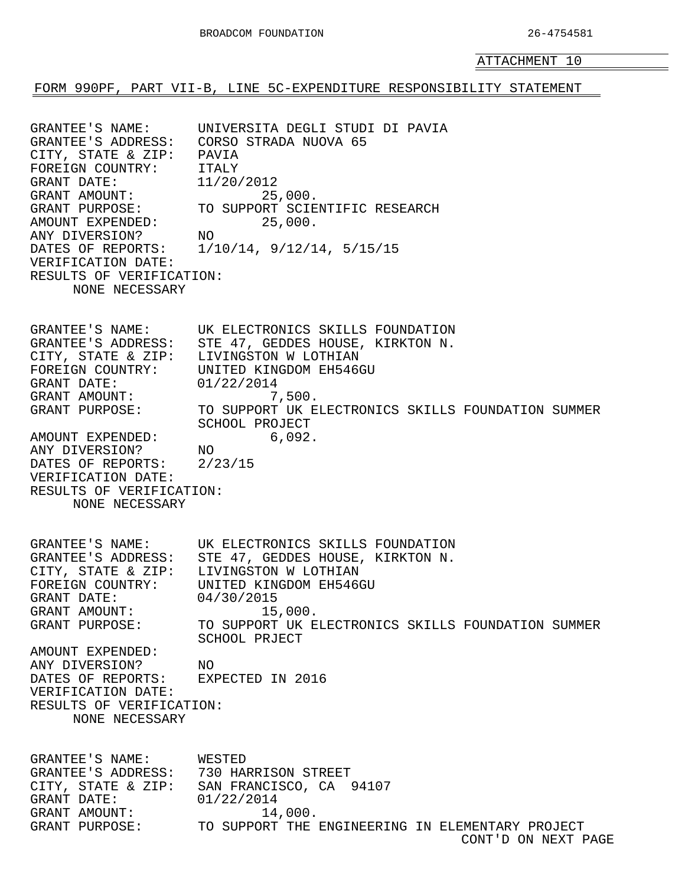<span id="page-37-0"></span>FORM 990PF, PART VII-B, LINE 5C-EXPENDITURE RESPONSIBILITY STATEMENT

GRANTEE'S NAME: UNIVERSITA DEGLI STUDI DI PAVIA GRANTEE'S ADDRESS: CORSO STRADA NUOVA 65 CITY, STATE & ZIP: PAVIA FOREIGN COUNTRY: ITALY GRANT DATE: 11/20/2012<br>GRANT AMOUNT: 25 GRANT AMOUNT: 25,000. GRANT PURPOSE: TO SUPPORT SCIENTIFIC RESEARCH AMOUNT EXPENDED: 25,000. ANY DIVERSION? NO DATES OF REPORTS: 1/10/14, 9/12/14, 5/15/15 VERIFICATION DATE: RESULTS OF VERIFICATION: NONE NECESSARY GRANTEE'S NAME: UK ELECTRONICS SKILLS FOUNDATION GRANTEE'S ADDRESS: STE 47, GEDDES HOUSE, KIRKTON N. CITY, STATE & ZIP: LIVINGSTON W LOTHIAN FOREIGN COUNTRY: UNITED KINGDOM EH546GU GRANT DATE: 01/22/2014 GRANT AMOUNT: 7,500. GRANT PURPOSE: TO SUPPORT UK ELECTRONICS SKILLS FOUNDATION SUMMER SCHOOL PROJECT AMOUNT EXPENDED: 6,092. ANY DIVERSION? NO DATES OF REPORTS: 2/23/15 VERIFICATION DATE: RESULTS OF VERIFICATION: NONE NECESSARY GRANTEE'S NAME: UK ELECTRONICS SKILLS FOUNDATION GRANTEE'S ADDRESS: STE 47, GEDDES HOUSE, KIRKTON N. CITY, STATE & ZIP: LIVINGSTON W LOTHIAN FOREIGN COUNTRY: UNITED KINGDOM EH546GU GRANT DATE: 04/30/2015 GRANT AMOUNT: 15,000.<br>GRANT PURPOSE: TO SUPPORT UK E TO SUPPORT UK ELECTRONICS SKILLS FOUNDATION SUMMER SCHOOL PRJECT AMOUNT EXPENDED: ANY DIVERSION? NO DATES OF REPORTS: EXPECTED IN 2016 VERIFICATION DATE: RESULTS OF VERIFICATION: NONE NECESSARY GRANTEE'S NAME: WESTED GRANTEE'S ADDRESS: 730 HARRISON STREET CITY, STATE & ZIP: SAN FRANCISCO, CA 94107 GRANT DATE: 01/22/2014 GRANT AMOUNT: 14,000. GRANT PURPOSE: TO SUPPORT THE ENGINEERING IN ELEMENTARY PROJECT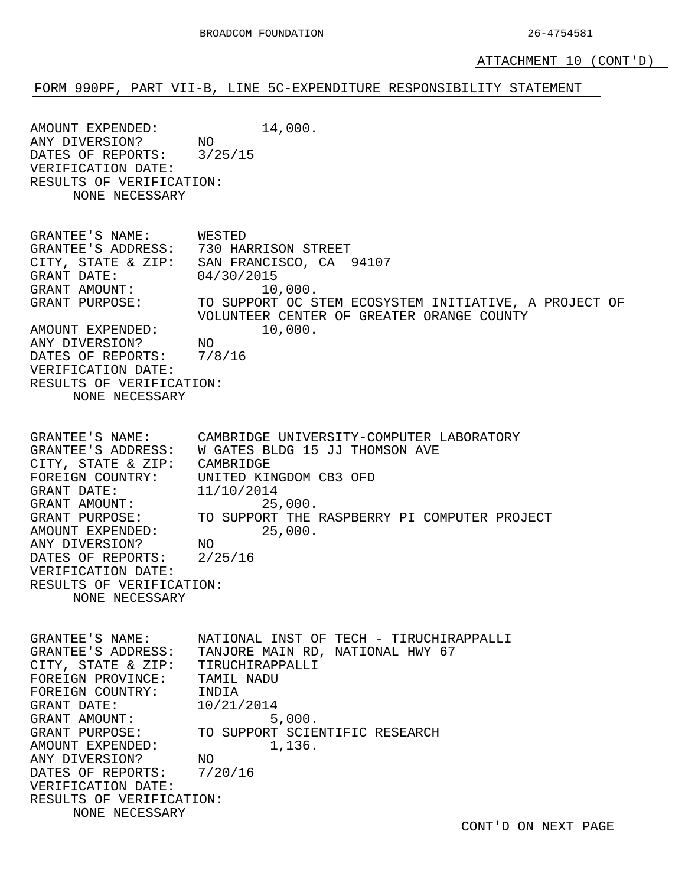ATTACHMENT 10 (CONT'D)

#### FORM 990PF, PART VII-B, LINE 5C-EXPENDITURE RESPONSIBILITY STATEMENT

AMOUNT EXPENDED: 14,000. ANY DIVERSION? NO DATES OF REPORTS: 3/25/15 VERIFICATION DATE: RESULTS OF VERIFICATION: NONE NECESSARY GRANTEE'S NAME: WESTED GRANTEE'S ADDRESS: 730 HARRISON STREET CITY, STATE & ZIP: SAN FRANCISCO, CA 94107 GRANT DATE: 04/30/2015 GRANT AMOUNT:  $10,000$ . GRANT PURPOSE: TO SUPPORT OC STEM ECOSYSTEM INITIATIVE, A PROJECT OF VOLUNTEER CENTER OF GREATER ORANGE COUNTY AMOUNT EXPENDED: 10,000. ANY DIVERSION? NO DATES OF REPORTS: 7/8/16 VERIFICATION DATE: RESULTS OF VERIFICATION: NONE NECESSARY GRANTEE'S NAME: CAMBRIDGE UNIVERSITY-COMPUTER LABORATORY GRANTEE'S ADDRESS: W GATES BLDG 15 JJ THOMSON AVE CITY, STATE & ZIP: CAMBRIDGE FOREIGN COUNTRY: UNITED KINGDOM CB3 OFD GRANT DATE: 11/10/2014 GRANT AMOUNT: 25,000. GRANT PURPOSE: TO SUPPORT THE RASPBERRY PI COMPUTER PROJECT AMOUNT EXPENDED: 25,000. ANY DIVERSION? NO DATES OF REPORTS: 2/25/16 VERIFICATION DATE: RESULTS OF VERIFICATION: NONE NECESSARY GRANTEE'S NAME: NATIONAL INST OF TECH - TIRUCHIRAPPALLI GRANTEE'S ADDRESS: TANJORE MAIN RD, NATIONAL HWY 67 CITY, STATE & ZIP: TIRUCHIRAPPALLI FOREIGN PROVINCE: TAMIL NADU FOREIGN COUNTRY: INDIA GRANT DATE: 10/21/2014 GRANT AMOUNT: 5,000.<br>GRANT PURPOSE: TO SUPPORT SCIE TO SUPPORT SCIENTIFIC RESEARCH AMOUNT EXPENDED: 1,136. ANY DIVERSION? NO DATES OF REPORTS: 7/20/16 VERIFICATION DATE: RESULTS OF VERIFICATION: NONE NECESSARY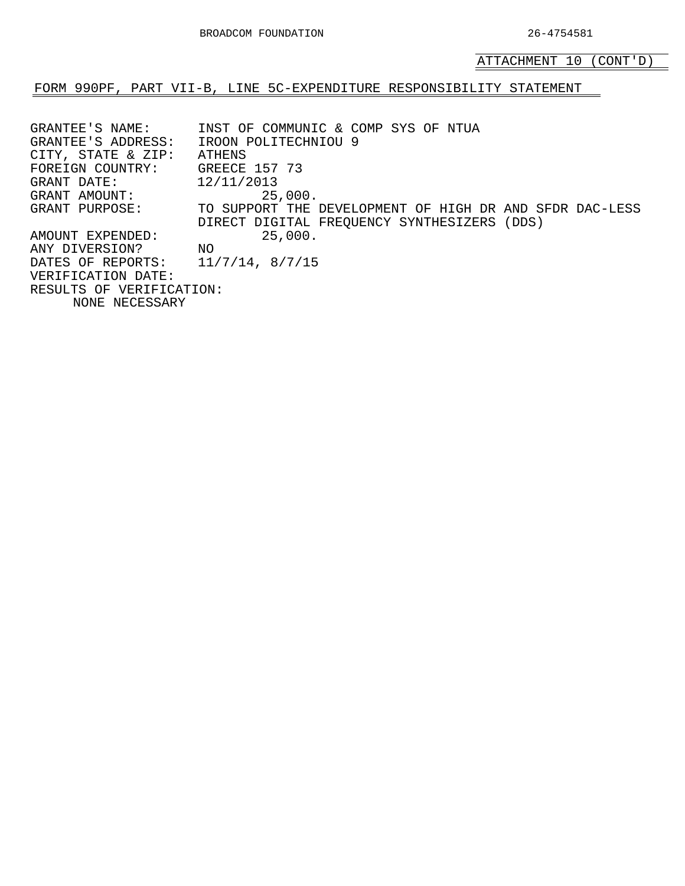ATTACHMENT 10 (CONT'D)

FORM 990PF, PART VII-B, LINE 5C-EXPENDITURE RESPONSIBILITY STATEMENT

GRANTEE'S NAME: INST OF COMMUNIC & COMP SYS OF NTUA GRANTEE'S ADDRESS: IROON POLITECHNIOU 9 CITY, STATE & ZIP: ATHENS FOREIGN COUNTRY: GREECE 157 73 GRANT DATE: 12/11/2013 GRANT AMOUNT: 25,000. GRANT PURPOSE: TO SUPPORT THE DEVELOPMENT OF HIGH DR AND SFDR DAC-LESS DIRECT DIGITAL FREQUENCY SYNTHESIZERS (DDS) AMOUNT EXPENDED: 25,000. ANY DIVERSION? NO DATES OF REPORTS: 11/7/14, 8/7/15 VERIFICATION DATE: RESULTS OF VERIFICATION: NONE NECESSARY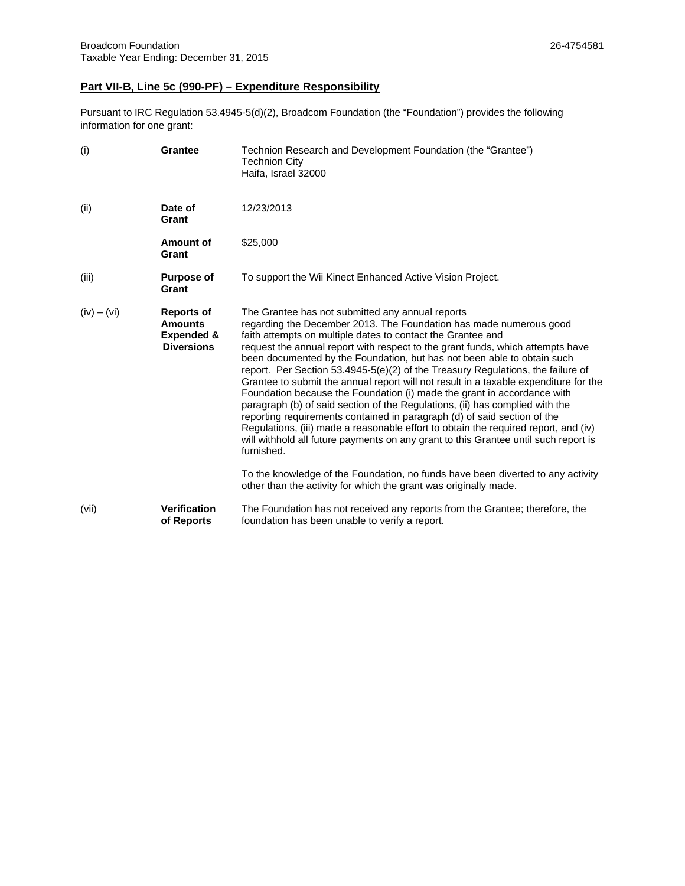## **Part VII-B, Line 5c (990-PF) – Expenditure Responsibility**

Pursuant to IRC Regulation 53.4945-5(d)(2), Broadcom Foundation (the "Foundation") provides the following information for one grant:

| (i)           | <b>Grantee</b>                                                                    | Technion Research and Development Foundation (the "Grantee")<br><b>Technion City</b><br>Haifa, Israel 32000                                                                                                                                                                                                                                                                                                                                                                                                                                                                                                                                                                                                                                                                                                                                                                                                                                                                                                                                                                                                             |
|---------------|-----------------------------------------------------------------------------------|-------------------------------------------------------------------------------------------------------------------------------------------------------------------------------------------------------------------------------------------------------------------------------------------------------------------------------------------------------------------------------------------------------------------------------------------------------------------------------------------------------------------------------------------------------------------------------------------------------------------------------------------------------------------------------------------------------------------------------------------------------------------------------------------------------------------------------------------------------------------------------------------------------------------------------------------------------------------------------------------------------------------------------------------------------------------------------------------------------------------------|
| (ii)          | Date of<br>Grant                                                                  | 12/23/2013                                                                                                                                                                                                                                                                                                                                                                                                                                                                                                                                                                                                                                                                                                                                                                                                                                                                                                                                                                                                                                                                                                              |
|               | Amount of<br>Grant                                                                | \$25,000                                                                                                                                                                                                                                                                                                                                                                                                                                                                                                                                                                                                                                                                                                                                                                                                                                                                                                                                                                                                                                                                                                                |
| (iii)         | <b>Purpose of</b><br>Grant                                                        | To support the Wii Kinect Enhanced Active Vision Project.                                                                                                                                                                                                                                                                                                                                                                                                                                                                                                                                                                                                                                                                                                                                                                                                                                                                                                                                                                                                                                                               |
| $(iv) - (vi)$ | <b>Reports of</b><br><b>Amounts</b><br><b>Expended &amp;</b><br><b>Diversions</b> | The Grantee has not submitted any annual reports<br>regarding the December 2013. The Foundation has made numerous good<br>faith attempts on multiple dates to contact the Grantee and<br>request the annual report with respect to the grant funds, which attempts have<br>been documented by the Foundation, but has not been able to obtain such<br>report. Per Section 53.4945-5(e)(2) of the Treasury Regulations, the failure of<br>Grantee to submit the annual report will not result in a taxable expenditure for the<br>Foundation because the Foundation (i) made the grant in accordance with<br>paragraph (b) of said section of the Regulations, (ii) has complied with the<br>reporting requirements contained in paragraph (d) of said section of the<br>Regulations, (iii) made a reasonable effort to obtain the required report, and (iv)<br>will withhold all future payments on any grant to this Grantee until such report is<br>furnished.<br>To the knowledge of the Foundation, no funds have been diverted to any activity<br>other than the activity for which the grant was originally made. |
| (vii)         | Verification<br>of Reports                                                        | The Foundation has not received any reports from the Grantee; therefore, the<br>foundation has been unable to verify a report.                                                                                                                                                                                                                                                                                                                                                                                                                                                                                                                                                                                                                                                                                                                                                                                                                                                                                                                                                                                          |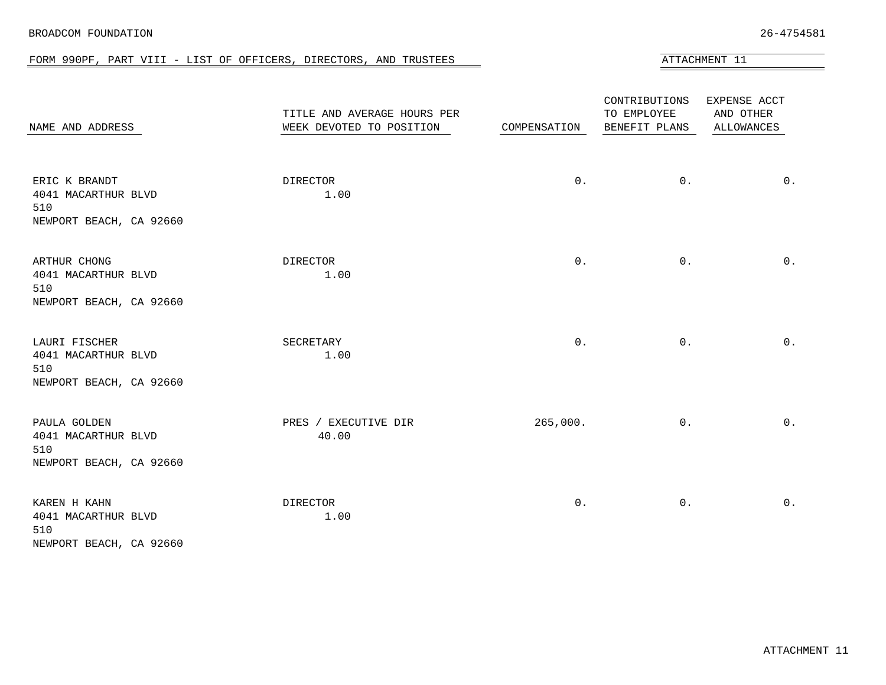| BROADCOM FOUNDATION | 26-4754581 |
|---------------------|------------|
|                     |            |

#### FORM 990PF, PART VIII - LIST OF OFFICERS, DIRECTORS, AND TRUSTEES ATTACHMENT 11

<span id="page-41-0"></span>

| NAME AND ADDRESS                                                       | TITLE AND AVERAGE HOURS PER<br>WEEK DEVOTED TO POSITION | COMPENSATION | CONTRIBUTIONS<br>TO EMPLOYEE<br>BENEFIT PLANS | EXPENSE ACCT<br>AND OTHER<br>ALLOWANCES |
|------------------------------------------------------------------------|---------------------------------------------------------|--------------|-----------------------------------------------|-----------------------------------------|
| ERIC K BRANDT<br>4041 MACARTHUR BLVD<br>510<br>NEWPORT BEACH, CA 92660 | DIRECTOR<br>1.00                                        | $0$ .        | $0$ .                                         | $0$ .                                   |
| ARTHUR CHONG<br>4041 MACARTHUR BLVD<br>510<br>NEWPORT BEACH, CA 92660  | DIRECTOR<br>1.00                                        | $0$ .        | $0$ .                                         | $0$ .                                   |
| LAURI FISCHER<br>4041 MACARTHUR BLVD<br>510<br>NEWPORT BEACH, CA 92660 | SECRETARY<br>1.00                                       | $0$ .        | $0$ .                                         | $0$ .                                   |
| PAULA GOLDEN<br>4041 MACARTHUR BLVD<br>510<br>NEWPORT BEACH, CA 92660  | PRES / EXECUTIVE DIR<br>40.00                           | 265,000.     | $0$ .                                         | $0$ .                                   |
| KAREN H KAHN<br>4041 MACARTHUR BLVD<br>510<br>NEWPORT BEACH, CA 92660  | DIRECTOR<br>1.00                                        | $0$ .        | $0$ .                                         | $0$ .                                   |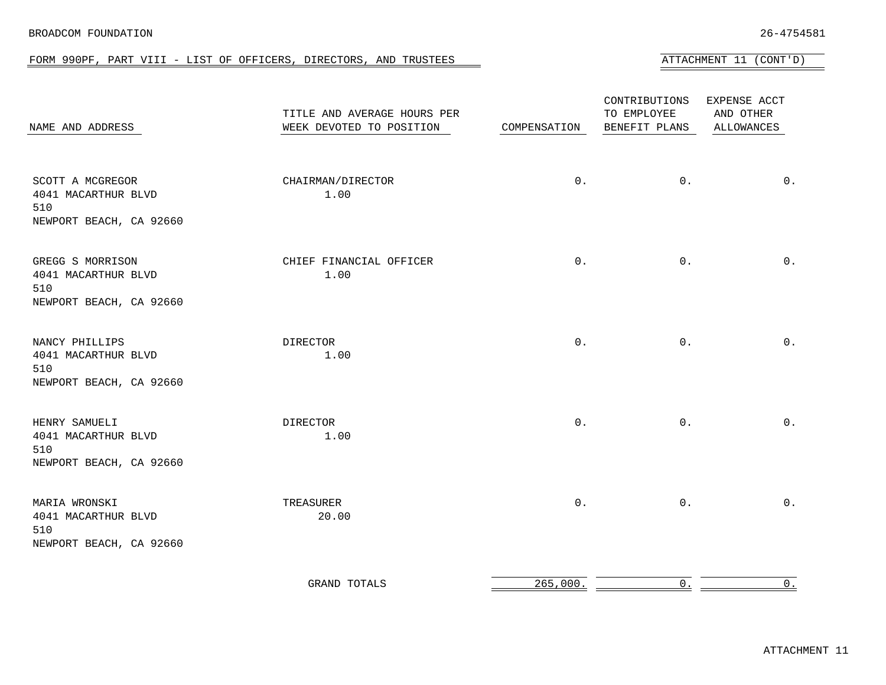#### BROADCOM FOUNDATION 26-4754581

FORM 990PF, PART VIII - LIST OF OFFICERS, DIRECTORS, AND TRUSTEES AT TALL ATTACHMENT 11 (CONT'D)

| NAME AND ADDRESS                                                          | TITLE AND AVERAGE HOURS PER<br>WEEK DEVOTED TO POSITION | COMPENSATION        | CONTRIBUTIONS<br>TO EMPLOYEE<br>BENEFIT PLANS | EXPENSE ACCT<br>AND OTHER<br>ALLOWANCES |
|---------------------------------------------------------------------------|---------------------------------------------------------|---------------------|-----------------------------------------------|-----------------------------------------|
| SCOTT A MCGREGOR<br>4041 MACARTHUR BLVD<br>510<br>NEWPORT BEACH, CA 92660 | CHAIRMAN/DIRECTOR<br>1.00                               | $0$ .               | $0$ .                                         | $0$ .                                   |
| GREGG S MORRISON<br>4041 MACARTHUR BLVD<br>510<br>NEWPORT BEACH, CA 92660 | CHIEF FINANCIAL OFFICER<br>1.00                         | $0$ .               | $0$ .                                         | $0$ .                                   |
| NANCY PHILLIPS<br>4041 MACARTHUR BLVD<br>510<br>NEWPORT BEACH, CA 92660   | DIRECTOR<br>1.00                                        | $0$ .               | $0$ .                                         | $0$ .                                   |
| HENRY SAMUELI<br>4041 MACARTHUR BLVD<br>510<br>NEWPORT BEACH, CA 92660    | DIRECTOR<br>1.00                                        | $0$ .               | $0$ .                                         | $0$ .                                   |
| MARIA WRONSKI<br>4041 MACARTHUR BLVD<br>510<br>NEWPORT BEACH, CA 92660    | TREASURER<br>20.00                                      | $0$ .               | $0$ .                                         | $0$ .                                   |
|                                                                           | <b>GRAND TOTALS</b>                                     | $265,000.$ $\qquad$ | 0.                                            | $0$ .                                   |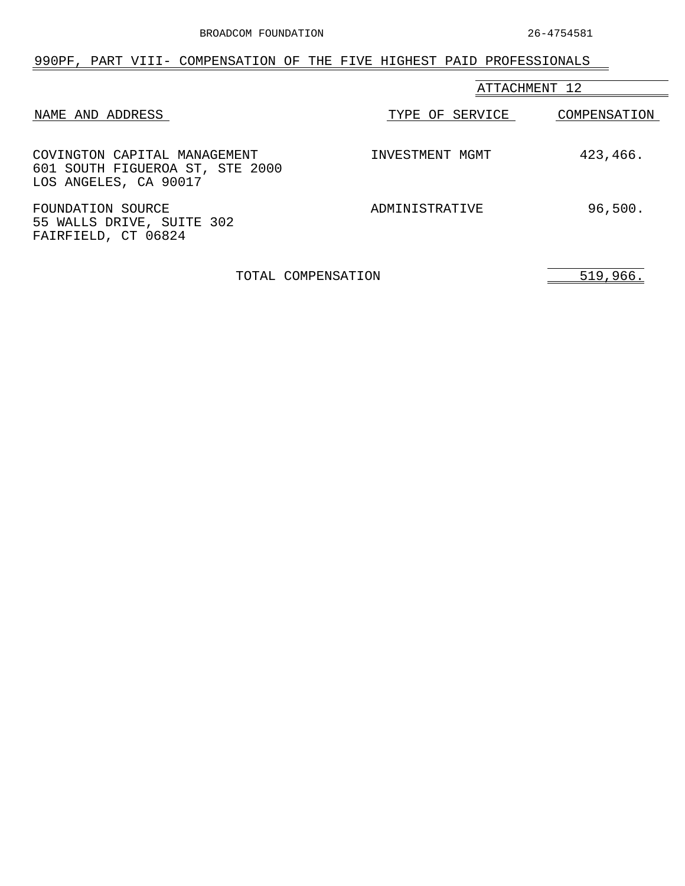<span id="page-43-0"></span>

| 990PF, PART VIII- COMPENSATION OF THE FIVE HIGHEST PAID PROFESSIONALS                    |                 |              |
|------------------------------------------------------------------------------------------|-----------------|--------------|
|                                                                                          | ATTACHMENT 12   |              |
| NAME AND ADDRESS                                                                         | TYPE OF SERVICE | COMPENSATION |
| COVINGTON CAPITAL MANAGEMENT<br>601 SOUTH FIGUEROA ST, STE 2000<br>LOS ANGELES, CA 90017 | INVESTMENT MGMT | 423,466.     |
| FOUNDATION SOURCE<br>55 WALLS DRIVE, SUITE 302<br>FAIRFIELD, CT 06824                    | ADMINISTRATIVE  | 96,500.      |

TOTAL COMPENSATION 519,966.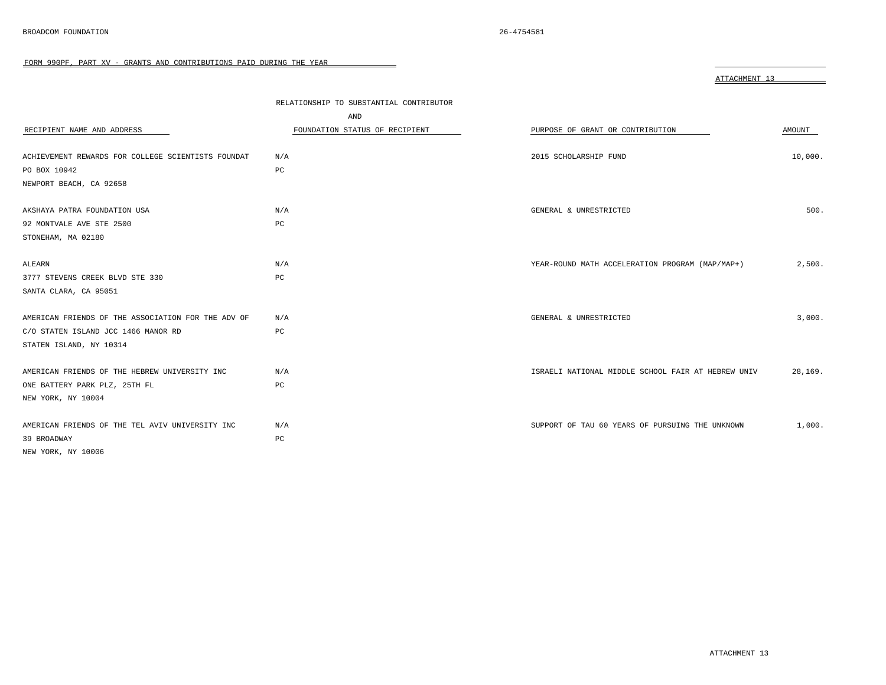<span id="page-44-0"></span>

|                                                    |                                         | ATTACHMENT 13                                      |         |
|----------------------------------------------------|-----------------------------------------|----------------------------------------------------|---------|
|                                                    | RELATIONSHIP TO SUBSTANTIAL CONTRIBUTOR |                                                    |         |
|                                                    | AND                                     |                                                    |         |
| RECIPIENT NAME AND ADDRESS                         | FOUNDATION STATUS OF RECIPIENT          | PURPOSE OF GRANT OR CONTRIBUTION                   | AMOUNT  |
| ACHIEVEMENT REWARDS FOR COLLEGE SCIENTISTS FOUNDAT | N/A                                     | 2015 SCHOLARSHIP FUND                              | 10,000. |
| PO BOX 10942                                       | PC                                      |                                                    |         |
| NEWPORT BEACH, CA 92658                            |                                         |                                                    |         |
| AKSHAYA PATRA FOUNDATION USA                       | N/A                                     | GENERAL & UNRESTRICTED                             | 500.    |
| 92 MONTVALE AVE STE 2500                           | PC                                      |                                                    |         |
| STONEHAM, MA 02180                                 |                                         |                                                    |         |
| ALEARN                                             | N/A                                     | YEAR-ROUND MATH ACCELERATION PROGRAM (MAP/MAP+)    | 2,500.  |
| 3777 STEVENS CREEK BLVD STE 330                    | PC                                      |                                                    |         |
| SANTA CLARA, CA 95051                              |                                         |                                                    |         |
| AMERICAN FRIENDS OF THE ASSOCIATION FOR THE ADV OF | N/A                                     | GENERAL & UNRESTRICTED                             | 3,000.  |
| C/O STATEN ISLAND JCC 1466 MANOR RD                | PC                                      |                                                    |         |
| STATEN ISLAND, NY 10314                            |                                         |                                                    |         |
| AMERICAN FRIENDS OF THE HEBREW UNIVERSITY INC      | N/A                                     | ISRAELI NATIONAL MIDDLE SCHOOL FAIR AT HEBREW UNIV | 28,169. |
| ONE BATTERY PARK PLZ, 25TH FL                      | PC                                      |                                                    |         |
| NEW YORK, NY 10004                                 |                                         |                                                    |         |
| AMERICAN FRIENDS OF THE TEL AVIV UNIVERSITY INC    | N/A                                     | SUPPORT OF TAU 60 YEARS OF PURSUING THE UNKNOWN    | 1,000.  |
| 39 BROADWAY                                        | PC                                      |                                                    |         |
| NEW YORK, NY 10006                                 |                                         |                                                    |         |
|                                                    |                                         |                                                    |         |

 $\qquad \qquad =$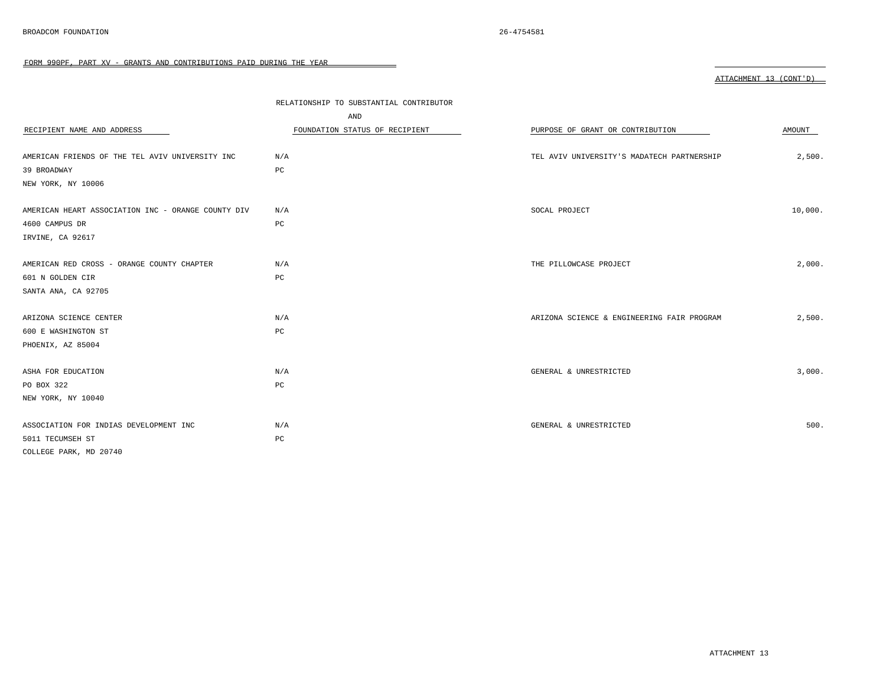| RECIPIENT NAME AND ADDRESS                         | RELATIONSHIP TO SUBSTANTIAL CONTRIBUTOR<br>AND<br>FOUNDATION STATUS OF RECIPIENT | PURPOSE OF GRANT OR CONTRIBUTION           | AMOUNT  |
|----------------------------------------------------|----------------------------------------------------------------------------------|--------------------------------------------|---------|
| AMERICAN FRIENDS OF THE TEL AVIV UNIVERSITY INC    | N/A                                                                              | TEL AVIV UNIVERSITY'S MADATECH PARTNERSHIP | 2,500.  |
| 39 BROADWAY                                        | PC                                                                               |                                            |         |
| NEW YORK, NY 10006                                 |                                                                                  |                                            |         |
|                                                    |                                                                                  |                                            |         |
| AMERICAN HEART ASSOCIATION INC - ORANGE COUNTY DIV | N/A                                                                              | SOCAL PROJECT                              | 10,000. |
| 4600 CAMPUS DR                                     | $_{\rm PC}$                                                                      |                                            |         |
| IRVINE, CA 92617                                   |                                                                                  |                                            |         |
|                                                    |                                                                                  |                                            |         |
| AMERICAN RED CROSS - ORANGE COUNTY CHAPTER         | N/A                                                                              | THE PILLOWCASE PROJECT                     | 2,000.  |
| 601 N GOLDEN CIR                                   | $_{\rm PC}$                                                                      |                                            |         |
| SANTA ANA, CA 92705                                |                                                                                  |                                            |         |
|                                                    |                                                                                  |                                            |         |
| ARIZONA SCIENCE CENTER                             | N/A                                                                              | ARIZONA SCIENCE & ENGINEERING FAIR PROGRAM | 2,500.  |
| 600 E WASHINGTON ST                                | $_{\rm PC}$                                                                      |                                            |         |
| PHOENIX, AZ 85004                                  |                                                                                  |                                            |         |
|                                                    |                                                                                  |                                            |         |
| ASHA FOR EDUCATION                                 | N/A                                                                              | GENERAL & UNRESTRICTED                     | 3,000.  |
| PO BOX 322                                         | $_{\rm PC}$                                                                      |                                            |         |
| NEW YORK, NY 10040                                 |                                                                                  |                                            |         |
|                                                    |                                                                                  |                                            |         |
| ASSOCIATION FOR INDIAS DEVELOPMENT INC             | N/A                                                                              | GENERAL & UNRESTRICTED                     | 500.    |
| 5011 TECUMSEH ST                                   | $_{\rm PC}$                                                                      |                                            |         |
| COLLEGE PARK, MD 20740                             |                                                                                  |                                            |         |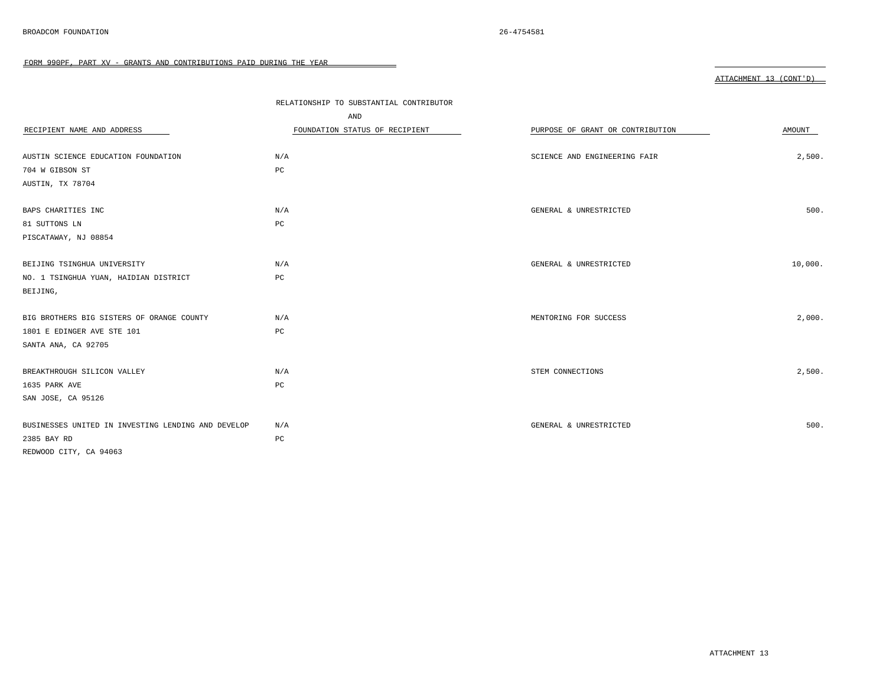|                                                    | RELATIONSHIP TO SUBSTANTIAL CONTRIBUTOR |                                  |         |
|----------------------------------------------------|-----------------------------------------|----------------------------------|---------|
|                                                    | AND                                     |                                  |         |
| RECIPIENT NAME AND ADDRESS                         | FOUNDATION STATUS OF RECIPIENT          | PURPOSE OF GRANT OR CONTRIBUTION | AMOUNT  |
|                                                    |                                         |                                  |         |
| AUSTIN SCIENCE EDUCATION FOUNDATION                | N/A                                     | SCIENCE AND ENGINEERING FAIR     | 2,500.  |
| 704 W GIBSON ST                                    | PC                                      |                                  |         |
| AUSTIN, TX 78704                                   |                                         |                                  |         |
|                                                    |                                         |                                  |         |
| BAPS CHARITIES INC                                 | N/A                                     | GENERAL & UNRESTRICTED           | 500.    |
| 81 SUTTONS LN                                      | PC                                      |                                  |         |
| PISCATAWAY, NJ 08854                               |                                         |                                  |         |
|                                                    |                                         |                                  |         |
| BEIJING TSINGHUA UNIVERSITY                        | N/A                                     | GENERAL & UNRESTRICTED           | 10,000. |
| NO. 1 TSINGHUA YUAN, HAIDIAN DISTRICT              | $_{\rm PC}$                             |                                  |         |
| BEIJING,                                           |                                         |                                  |         |
|                                                    |                                         |                                  |         |
| BIG BROTHERS BIG SISTERS OF ORANGE COUNTY          | N/A                                     | MENTORING FOR SUCCESS            | 2,000.  |
| 1801 E EDINGER AVE STE 101                         | PC                                      |                                  |         |
| SANTA ANA, CA 92705                                |                                         |                                  |         |
|                                                    |                                         |                                  |         |
| BREAKTHROUGH SILICON VALLEY                        | N/A                                     | STEM CONNECTIONS                 | 2,500.  |
| 1635 PARK AVE                                      | $_{\rm PC}$                             |                                  |         |
| SAN JOSE, CA 95126                                 |                                         |                                  |         |
|                                                    |                                         |                                  |         |
| BUSINESSES UNITED IN INVESTING LENDING AND DEVELOP | N/A                                     | GENERAL & UNRESTRICTED           | 500.    |
| 2385 BAY RD                                        | PC                                      |                                  |         |
| REDWOOD CITY, CA 94063                             |                                         |                                  |         |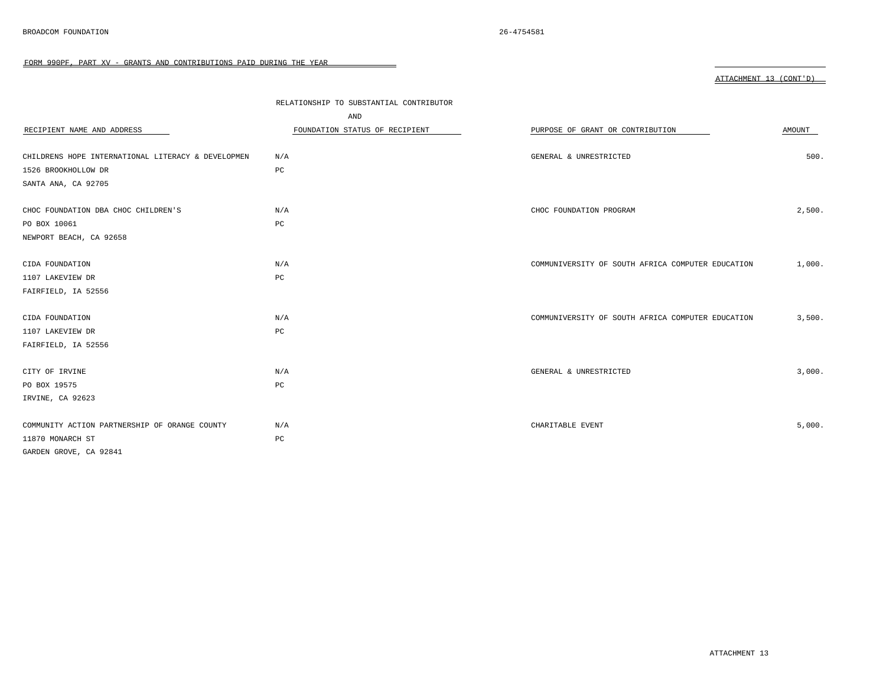|                                                    | RELATIONSHIP TO SUBSTANTIAL CONTRIBUTOR |                                                   |        |
|----------------------------------------------------|-----------------------------------------|---------------------------------------------------|--------|
|                                                    | AND                                     |                                                   |        |
| RECIPIENT NAME AND ADDRESS                         | FOUNDATION STATUS OF RECIPIENT          | PURPOSE OF GRANT OR CONTRIBUTION                  | AMOUNT |
|                                                    |                                         |                                                   |        |
| CHILDRENS HOPE INTERNATIONAL LITERACY & DEVELOPMEN | N/A                                     | GENERAL & UNRESTRICTED                            | 500.   |
| 1526 BROOKHOLLOW DR                                | PC                                      |                                                   |        |
| SANTA ANA, CA 92705                                |                                         |                                                   |        |
|                                                    |                                         |                                                   |        |
| CHOC FOUNDATION DBA CHOC CHILDREN'S                | N/A                                     | CHOC FOUNDATION PROGRAM                           | 2,500. |
| PO BOX 10061                                       | PC                                      |                                                   |        |
| NEWPORT BEACH, CA 92658                            |                                         |                                                   |        |
|                                                    |                                         |                                                   |        |
| CIDA FOUNDATION                                    | N/A                                     | COMMUNIVERSITY OF SOUTH AFRICA COMPUTER EDUCATION | 1,000. |
| 1107 LAKEVIEW DR                                   | $_{\rm PC}$                             |                                                   |        |
| FAIRFIELD, IA 52556                                |                                         |                                                   |        |
|                                                    |                                         |                                                   |        |
| CIDA FOUNDATION                                    | N/A                                     | COMMUNIVERSITY OF SOUTH AFRICA COMPUTER EDUCATION | 3,500. |
| 1107 LAKEVIEW DR                                   | PC                                      |                                                   |        |
| FAIRFIELD, IA 52556                                |                                         |                                                   |        |
|                                                    |                                         |                                                   |        |
| CITY OF IRVINE                                     | N/A                                     | GENERAL & UNRESTRICTED                            | 3,000. |
| PO BOX 19575                                       | $_{\rm PC}$                             |                                                   |        |
| IRVINE, CA 92623                                   |                                         |                                                   |        |
|                                                    |                                         |                                                   |        |
| COMMUNITY ACTION PARTNERSHIP OF ORANGE COUNTY      | N/A                                     | CHARITABLE EVENT                                  | 5,000. |
| 11870 MONARCH ST                                   | PC                                      |                                                   |        |
| GARDEN GROVE, CA 92841                             |                                         |                                                   |        |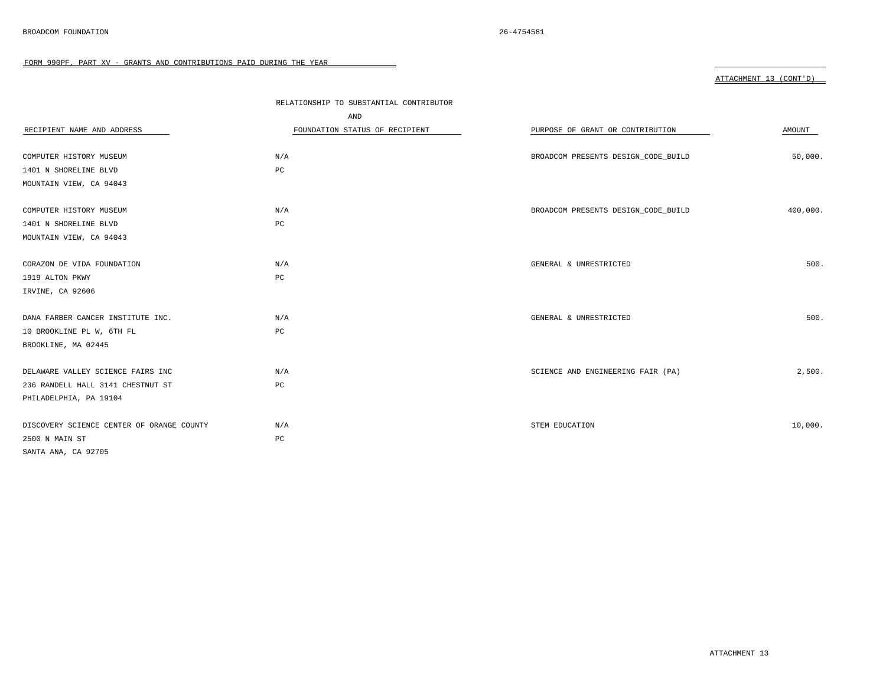|                                           | RELATIONSHIP TO SUBSTANTIAL CONTRIBUTOR |                                     |          |
|-------------------------------------------|-----------------------------------------|-------------------------------------|----------|
|                                           | AND                                     |                                     |          |
| RECIPIENT NAME AND ADDRESS                | FOUNDATION STATUS OF RECIPIENT          | PURPOSE OF GRANT OR CONTRIBUTION    | AMOUNT   |
|                                           |                                         |                                     |          |
| COMPUTER HISTORY MUSEUM                   | N/A                                     | BROADCOM PRESENTS DESIGN_CODE_BUILD | 50,000.  |
| 1401 N SHORELINE BLVD                     | $_{\rm PC}$                             |                                     |          |
| MOUNTAIN VIEW, CA 94043                   |                                         |                                     |          |
|                                           |                                         |                                     |          |
| COMPUTER HISTORY MUSEUM                   | N/A                                     | BROADCOM PRESENTS DESIGN_CODE_BUILD | 400,000. |
| 1401 N SHORELINE BLVD                     | PC                                      |                                     |          |
| MOUNTAIN VIEW, CA 94043                   |                                         |                                     |          |
|                                           |                                         |                                     |          |
| CORAZON DE VIDA FOUNDATION                | N/A                                     | GENERAL & UNRESTRICTED              | 500.     |
| 1919 ALTON PKWY                           | PC                                      |                                     |          |
| IRVINE, CA 92606                          |                                         |                                     |          |
|                                           |                                         |                                     |          |
| DANA FARBER CANCER INSTITUTE INC.         | N/A                                     | GENERAL & UNRESTRICTED              | 500.     |
| 10 BROOKLINE PL W, 6TH FL                 | $_{\rm PC}$                             |                                     |          |
| BROOKLINE, MA 02445                       |                                         |                                     |          |
|                                           |                                         |                                     |          |
| DELAWARE VALLEY SCIENCE FAIRS INC         | N/A                                     | SCIENCE AND ENGINEERING FAIR (PA)   | 2,500.   |
| 236 RANDELL HALL 3141 CHESTNUT ST         | PC                                      |                                     |          |
| PHILADELPHIA, PA 19104                    |                                         |                                     |          |
|                                           |                                         |                                     |          |
| DISCOVERY SCIENCE CENTER OF ORANGE COUNTY | N/A                                     | STEM EDUCATION                      | 10,000.  |
| 2500 N MAIN ST                            | PC                                      |                                     |          |
| SANTA ANA, CA 92705                       |                                         |                                     |          |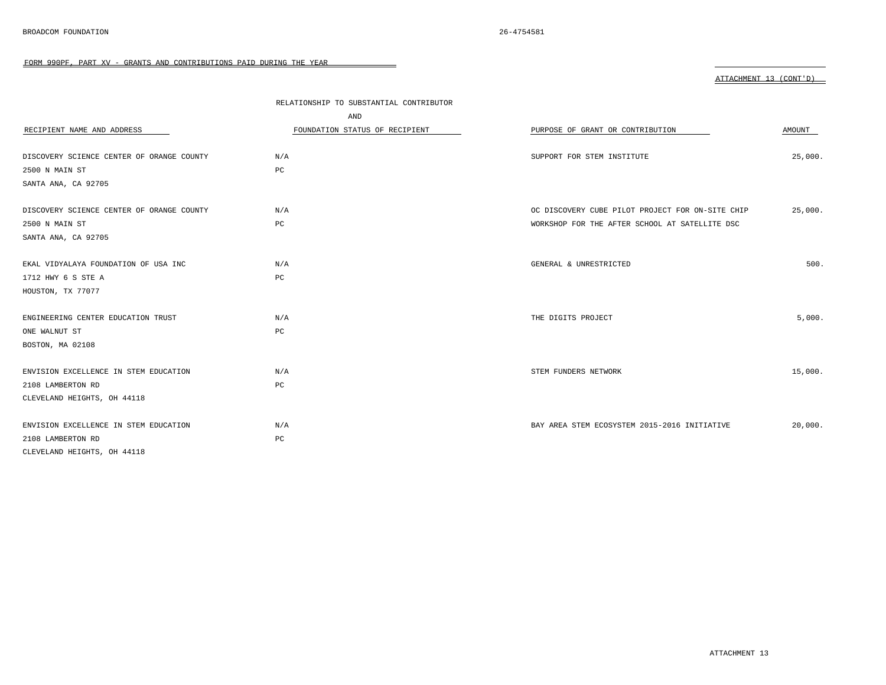| . .<br>u. |  |
|-----------|--|
|-----------|--|

|                                           | RELATIONSHIP TO SUBSTANTIAL CONTRIBUTOR |                                                  |         |
|-------------------------------------------|-----------------------------------------|--------------------------------------------------|---------|
|                                           | AND                                     |                                                  |         |
| RECIPIENT NAME AND ADDRESS                | FOUNDATION STATUS OF RECIPIENT          | PURPOSE OF GRANT OR CONTRIBUTION                 | AMOUNT  |
|                                           |                                         |                                                  |         |
| DISCOVERY SCIENCE CENTER OF ORANGE COUNTY | N/A                                     | SUPPORT FOR STEM INSTITUTE                       | 25,000. |
| 2500 N MAIN ST                            | PC                                      |                                                  |         |
| SANTA ANA, CA 92705                       |                                         |                                                  |         |
| DISCOVERY SCIENCE CENTER OF ORANGE COUNTY | N/A                                     | OC DISCOVERY CUBE PILOT PROJECT FOR ON-SITE CHIP | 25,000. |
| 2500 N MAIN ST                            | PC                                      | WORKSHOP FOR THE AFTER SCHOOL AT SATELLITE DSC   |         |
| SANTA ANA, CA 92705                       |                                         |                                                  |         |
|                                           |                                         |                                                  | 500.    |
| EKAL VIDYALAYA FOUNDATION OF USA INC      | N/A                                     | GENERAL & UNRESTRICTED                           |         |
| 1712 HWY 6 S STE A                        | $_{\rm PC}$                             |                                                  |         |
| HOUSTON, TX 77077                         |                                         |                                                  |         |
| ENGINEERING CENTER EDUCATION TRUST        | N/A                                     | THE DIGITS PROJECT                               | 5,000.  |
| ONE WALNUT ST                             | PC                                      |                                                  |         |
| BOSTON, MA 02108                          |                                         |                                                  |         |
| ENVISION EXCELLENCE IN STEM EDUCATION     | N/A                                     | STEM FUNDERS NETWORK                             | 15,000. |
| 2108 LAMBERTON RD                         | PC                                      |                                                  |         |
|                                           |                                         |                                                  |         |
| CLEVELAND HEIGHTS, OH 44118               |                                         |                                                  |         |
| ENVISION EXCELLENCE IN STEM EDUCATION     | N/A                                     | BAY AREA STEM ECOSYSTEM 2015-2016 INITIATIVE     | 20,000. |
| 2108 LAMBERTON RD                         | $_{\rm PC}$                             |                                                  |         |
| CLEVELAND HEIGHTS, OH 44118               |                                         |                                                  |         |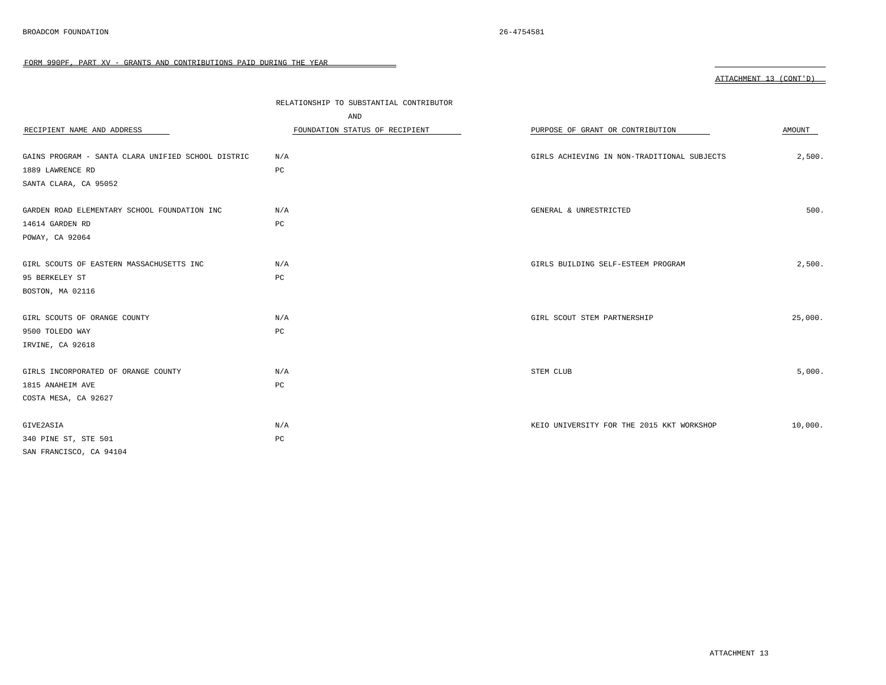|                                                    | RELATIONSHIP TO SUBSTANTIAL CONTRIBUTOR |                                             |         |
|----------------------------------------------------|-----------------------------------------|---------------------------------------------|---------|
|                                                    | AND                                     |                                             |         |
| RECIPIENT NAME AND ADDRESS                         | FOUNDATION STATUS OF RECIPIENT          | PURPOSE OF GRANT OR CONTRIBUTION            | AMOUNT  |
|                                                    |                                         |                                             |         |
| GAINS PROGRAM - SANTA CLARA UNIFIED SCHOOL DISTRIC | N/A                                     | GIRLS ACHIEVING IN NON-TRADITIONAL SUBJECTS | 2,500.  |
| 1889 LAWRENCE RD                                   | PC                                      |                                             |         |
| SANTA CLARA, CA 95052                              |                                         |                                             |         |
|                                                    |                                         |                                             |         |
| GARDEN ROAD ELEMENTARY SCHOOL FOUNDATION INC       | N/A                                     | GENERAL & UNRESTRICTED                      | 500.    |
| 14614 GARDEN RD                                    | $_{\rm PC}$                             |                                             |         |
| POWAY, CA 92064                                    |                                         |                                             |         |
|                                                    |                                         |                                             |         |
| GIRL SCOUTS OF EASTERN MASSACHUSETTS INC           | N/A                                     | GIRLS BUILDING SELF-ESTEEM PROGRAM          | 2,500.  |
| 95 BERKELEY ST                                     | $_{\rm PC}$                             |                                             |         |
| BOSTON, MA 02116                                   |                                         |                                             |         |
|                                                    |                                         |                                             |         |
| GIRL SCOUTS OF ORANGE COUNTY                       | N/A                                     | GIRL SCOUT STEM PARTNERSHIP                 | 25,000. |
| 9500 TOLEDO WAY                                    | $_{\rm PC}$                             |                                             |         |
| IRVINE, CA 92618                                   |                                         |                                             |         |
|                                                    |                                         |                                             |         |
| GIRLS INCORPORATED OF ORANGE COUNTY                | N/A                                     | STEM CLUB                                   | 5,000.  |
| 1815 ANAHEIM AVE                                   | $_{\rm PC}$                             |                                             |         |
| COSTA MESA, CA 92627                               |                                         |                                             |         |
|                                                    |                                         |                                             |         |
| GIVE2ASIA                                          | N/A                                     | KEIO UNIVERSITY FOR THE 2015 KKT WORKSHOP   | 10,000. |
| 340 PINE ST, STE 501                               | $_{\rm PC}$                             |                                             |         |
| SAN FRANCISCO, CA 94104                            |                                         |                                             |         |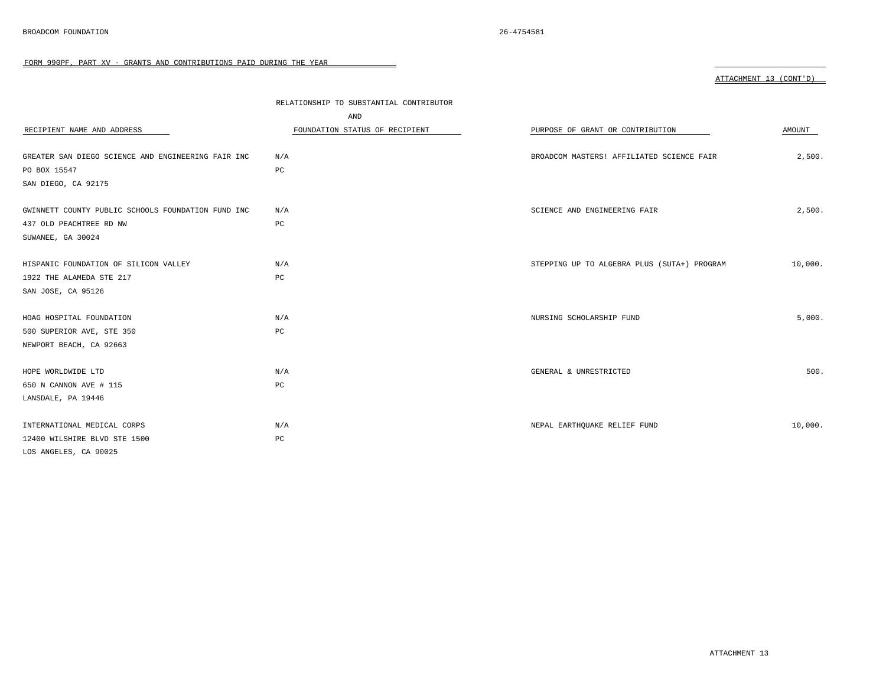| RECIPIENT NAME AND ADDRESS                         | RELATIONSHIP TO SUBSTANTIAL CONTRIBUTOR<br>AND<br>FOUNDATION STATUS OF RECIPIENT | PURPOSE OF GRANT OR CONTRIBUTION            | AMOUNT  |
|----------------------------------------------------|----------------------------------------------------------------------------------|---------------------------------------------|---------|
| GREATER SAN DIEGO SCIENCE AND ENGINEERING FAIR INC | N/A                                                                              | BROADCOM MASTERS! AFFILIATED SCIENCE FAIR   | 2,500.  |
| PO BOX 15547                                       | $_{\rm PC}$                                                                      |                                             |         |
| SAN DIEGO, CA 92175                                |                                                                                  |                                             |         |
|                                                    |                                                                                  |                                             |         |
| GWINNETT COUNTY PUBLIC SCHOOLS FOUNDATION FUND INC | N/A                                                                              | SCIENCE AND ENGINEERING FAIR                | 2,500.  |
| 437 OLD PEACHTREE RD NW                            | PC                                                                               |                                             |         |
| SUWANEE, GA 30024                                  |                                                                                  |                                             |         |
|                                                    |                                                                                  |                                             |         |
| HISPANIC FOUNDATION OF SILICON VALLEY              | N/A                                                                              | STEPPING UP TO ALGEBRA PLUS (SUTA+) PROGRAM | 10,000. |
| 1922 THE ALAMEDA STE 217                           | PC                                                                               |                                             |         |
| SAN JOSE, CA 95126                                 |                                                                                  |                                             |         |
|                                                    |                                                                                  |                                             |         |
| HOAG HOSPITAL FOUNDATION                           | N/A                                                                              | NURSING SCHOLARSHIP FUND                    | 5,000.  |
| 500 SUPERIOR AVE, STE 350                          | PC                                                                               |                                             |         |
| NEWPORT BEACH, CA 92663                            |                                                                                  |                                             |         |
|                                                    |                                                                                  |                                             |         |
| HOPE WORLDWIDE LTD                                 | N/A                                                                              | GENERAL & UNRESTRICTED                      | 500.    |
| 650 N CANNON AVE # 115                             | $_{\rm PC}$                                                                      |                                             |         |
| LANSDALE, PA 19446                                 |                                                                                  |                                             |         |
|                                                    |                                                                                  |                                             |         |
| INTERNATIONAL MEDICAL CORPS                        | N/A                                                                              | NEPAL EARTHQUAKE RELIEF FUND                | 10,000. |
| 12400 WILSHIRE BLVD STE 1500                       | PC                                                                               |                                             |         |
| LOS ANGELES, CA 90025                              |                                                                                  |                                             |         |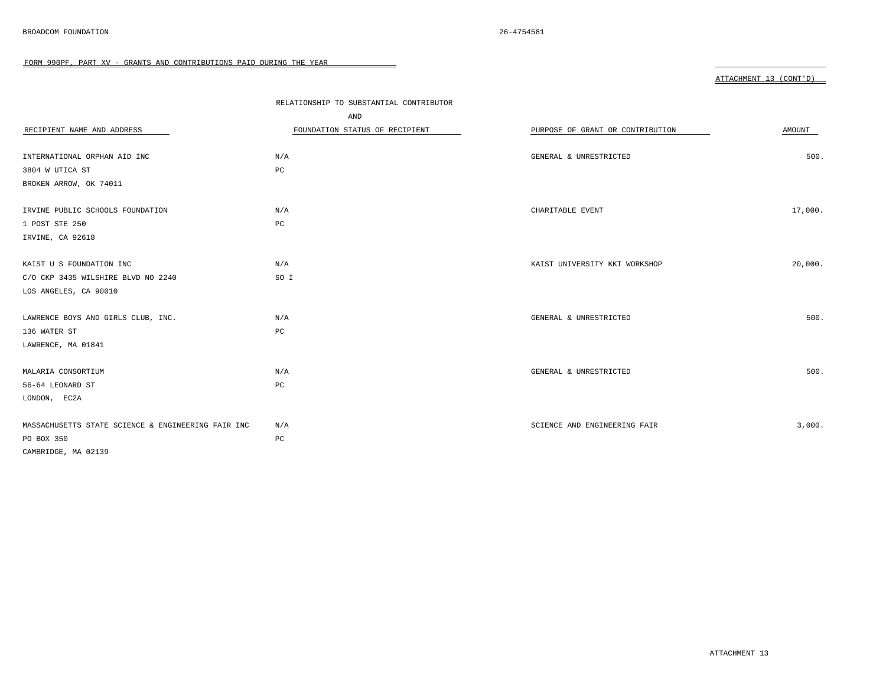|                                                    | RELATIONSHIP TO SUBSTANTIAL CONTRIBUTOR |                                  |         |
|----------------------------------------------------|-----------------------------------------|----------------------------------|---------|
|                                                    | AND                                     |                                  |         |
| RECIPIENT NAME AND ADDRESS                         | FOUNDATION STATUS OF RECIPIENT          | PURPOSE OF GRANT OR CONTRIBUTION | AMOUNT  |
|                                                    |                                         |                                  |         |
| INTERNATIONAL ORPHAN AID INC                       | N/A                                     | GENERAL & UNRESTRICTED           | 500.    |
| 3804 W UTICA ST                                    | PC                                      |                                  |         |
| BROKEN ARROW, OK 74011                             |                                         |                                  |         |
|                                                    |                                         |                                  |         |
| IRVINE PUBLIC SCHOOLS FOUNDATION                   | N/A                                     | CHARITABLE EVENT                 | 17,000. |
| 1 POST STE 250                                     | PC                                      |                                  |         |
| IRVINE, CA 92618                                   |                                         |                                  |         |
|                                                    |                                         |                                  |         |
| KAIST U S FOUNDATION INC                           | N/A                                     | KAIST UNIVERSITY KKT WORKSHOP    | 20,000. |
| C/O CKP 3435 WILSHIRE BLVD NO 2240                 | SO I                                    |                                  |         |
| LOS ANGELES, CA 90010                              |                                         |                                  |         |
|                                                    |                                         |                                  |         |
| LAWRENCE BOYS AND GIRLS CLUB, INC.                 | N/A                                     | GENERAL & UNRESTRICTED           | 500.    |
| 136 WATER ST                                       | PC                                      |                                  |         |
| LAWRENCE, MA 01841                                 |                                         |                                  |         |
|                                                    |                                         |                                  |         |
| MALARIA CONSORTIUM                                 | N/A                                     | GENERAL & UNRESTRICTED           | 500.    |
| 56-64 LEONARD ST                                   | $_{\rm PC}$                             |                                  |         |
| LONDON, EC2A                                       |                                         |                                  |         |
|                                                    |                                         |                                  |         |
| MASSACHUSETTS STATE SCIENCE & ENGINEERING FAIR INC | N/A                                     | SCIENCE AND ENGINEERING FAIR     | 3,000.  |
| PO BOX 350                                         | PC                                      |                                  |         |
| CAMBRIDGE, MA 02139                                |                                         |                                  |         |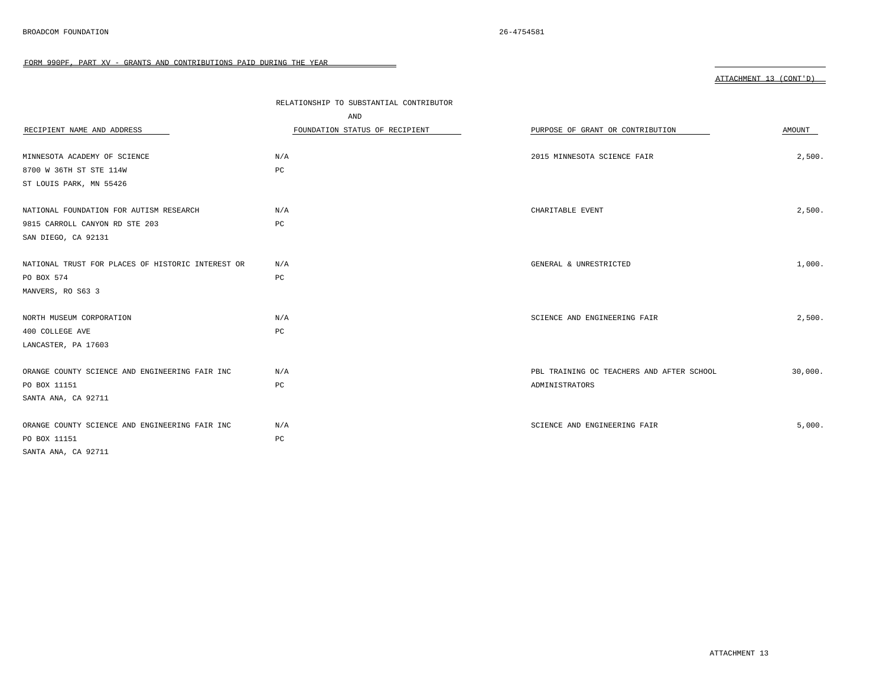|                                                   | RELATIONSHIP TO SUBSTANTIAL CONTRIBUTOR |                                           |         |
|---------------------------------------------------|-----------------------------------------|-------------------------------------------|---------|
|                                                   | AND                                     |                                           |         |
| RECIPIENT NAME AND ADDRESS                        | FOUNDATION STATUS OF RECIPIENT          | PURPOSE OF GRANT OR CONTRIBUTION          | AMOUNT  |
|                                                   |                                         |                                           |         |
| MINNESOTA ACADEMY OF SCIENCE                      | N/A                                     | 2015 MINNESOTA SCIENCE FAIR               | 2,500.  |
| 8700 W 36TH ST STE 114W                           | $_{\rm PC}$                             |                                           |         |
| ST LOUIS PARK, MN 55426                           |                                         |                                           |         |
|                                                   |                                         |                                           |         |
| NATIONAL FOUNDATION FOR AUTISM RESEARCH           | N/A                                     | CHARITABLE EVENT                          | 2,500.  |
| 9815 CARROLL CANYON RD STE 203                    | $_{\rm PC}$                             |                                           |         |
| SAN DIEGO, CA 92131                               |                                         |                                           |         |
|                                                   |                                         |                                           |         |
| NATIONAL TRUST FOR PLACES OF HISTORIC INTEREST OR | N/A                                     | GENERAL & UNRESTRICTED                    | 1,000.  |
| PO BOX 574                                        | $_{\rm PC}$                             |                                           |         |
| MANVERS, RO S63 3                                 |                                         |                                           |         |
|                                                   |                                         |                                           |         |
| NORTH MUSEUM CORPORATION                          | N/A                                     | SCIENCE AND ENGINEERING FAIR              | 2,500.  |
| 400 COLLEGE AVE                                   | $_{\rm PC}$                             |                                           |         |
| LANCASTER, PA 17603                               |                                         |                                           |         |
|                                                   |                                         |                                           |         |
| ORANGE COUNTY SCIENCE AND ENGINEERING FAIR INC    | N/A                                     | PBL TRAINING OC TEACHERS AND AFTER SCHOOL | 30,000. |
| PO BOX 11151                                      | PC                                      | ADMINISTRATORS                            |         |
| SANTA ANA, CA 92711                               |                                         |                                           |         |
|                                                   |                                         |                                           |         |
| ORANGE COUNTY SCIENCE AND ENGINEERING FAIR INC    | N/A                                     | SCIENCE AND ENGINEERING FAIR              | 5,000.  |
| PO BOX 11151                                      | $_{\rm PC}$                             |                                           |         |
| SANTA ANA, CA 92711                               |                                         |                                           |         |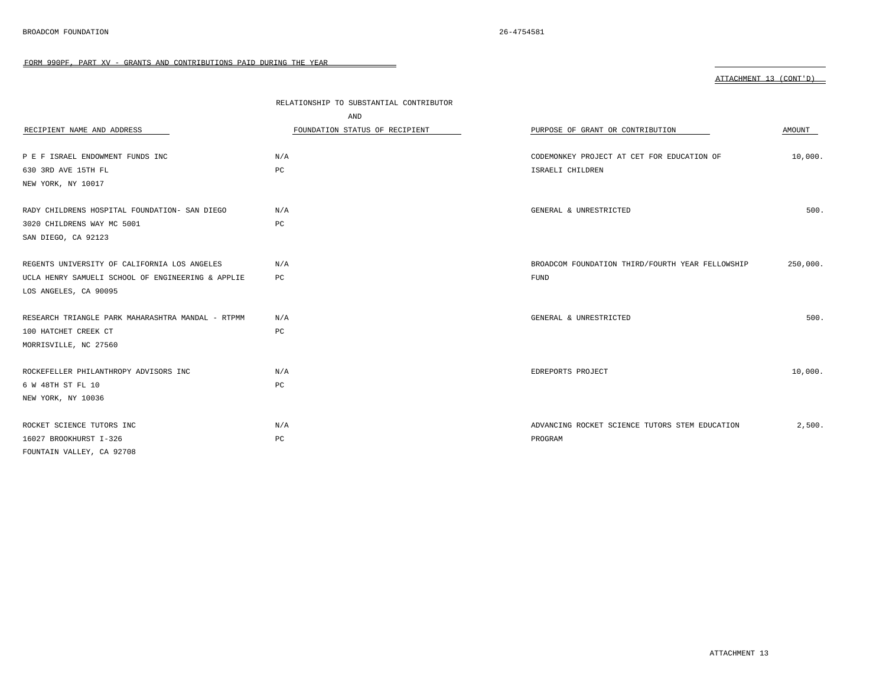| RECIPIENT NAME AND ADDRESS                        | RELATIONSHIP TO SUBSTANTIAL CONTRIBUTOR<br>AND<br>FOUNDATION STATUS OF RECIPIENT | PURPOSE OF GRANT OR CONTRIBUTION                 | AMOUNT   |
|---------------------------------------------------|----------------------------------------------------------------------------------|--------------------------------------------------|----------|
| P E F ISRAEL ENDOWMENT FUNDS INC                  | N/A                                                                              | CODEMONKEY PROJECT AT CET FOR EDUCATION OF       | 10,000.  |
| 630 3RD AVE 15TH FL                               | $_{\rm PC}$                                                                      | ISRAELI CHILDREN                                 |          |
| NEW YORK, NY 10017                                |                                                                                  |                                                  |          |
|                                                   |                                                                                  |                                                  |          |
| RADY CHILDRENS HOSPITAL FOUNDATION- SAN DIEGO     | N/A                                                                              | GENERAL & UNRESTRICTED                           | 500.     |
| 3020 CHILDRENS WAY MC 5001                        | PC                                                                               |                                                  |          |
| SAN DIEGO, CA 92123                               |                                                                                  |                                                  |          |
|                                                   |                                                                                  |                                                  |          |
| REGENTS UNIVERSITY OF CALIFORNIA LOS ANGELES      | N/A                                                                              | BROADCOM FOUNDATION THIRD/FOURTH YEAR FELLOWSHIP | 250,000. |
| UCLA HENRY SAMUELI SCHOOL OF ENGINEERING & APPLIE | PC                                                                               | <b>FUND</b>                                      |          |
| LOS ANGELES, CA 90095                             |                                                                                  |                                                  |          |
|                                                   |                                                                                  |                                                  |          |
| RESEARCH TRIANGLE PARK MAHARASHTRA MANDAL - RTPMM | N/A                                                                              | GENERAL & UNRESTRICTED                           | 500.     |
| 100 HATCHET CREEK CT                              | PC                                                                               |                                                  |          |
| MORRISVILLE, NC 27560                             |                                                                                  |                                                  |          |
|                                                   |                                                                                  |                                                  |          |
| ROCKEFELLER PHILANTHROPY ADVISORS INC             | N/A                                                                              | EDREPORTS PROJECT                                | 10,000.  |
| 6 W 48TH ST FL 10                                 | PC                                                                               |                                                  |          |
| NEW YORK, NY 10036                                |                                                                                  |                                                  |          |
|                                                   |                                                                                  |                                                  |          |
| ROCKET SCIENCE TUTORS INC                         | N/A                                                                              | ADVANCING ROCKET SCIENCE TUTORS STEM EDUCATION   | 2,500.   |
| 16027 BROOKHURST I-326                            | PC                                                                               | PROGRAM                                          |          |
| FOUNTAIN VALLEY, CA 92708                         |                                                                                  |                                                  |          |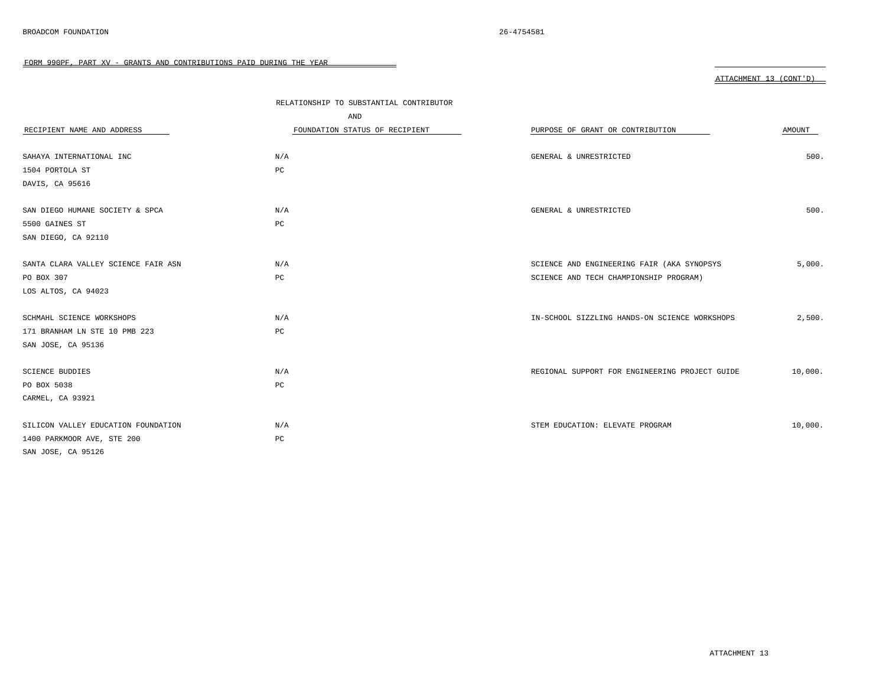|                                     | RELATIONSHIP TO SUBSTANTIAL CONTRIBUTOR |                                                |         |
|-------------------------------------|-----------------------------------------|------------------------------------------------|---------|
|                                     | AND                                     |                                                |         |
| RECIPIENT NAME AND ADDRESS          | FOUNDATION STATUS OF RECIPIENT          | PURPOSE OF GRANT OR CONTRIBUTION               | AMOUNT  |
|                                     |                                         |                                                |         |
| SAHAYA INTERNATIONAL INC            | N/A                                     | GENERAL & UNRESTRICTED                         | 500.    |
| 1504 PORTOLA ST                     | PC                                      |                                                |         |
| DAVIS, CA 95616                     |                                         |                                                |         |
|                                     |                                         |                                                |         |
| SAN DIEGO HUMANE SOCIETY & SPCA     | N/A                                     | GENERAL & UNRESTRICTED                         | 500.    |
| 5500 GAINES ST                      | $_{\rm PC}$                             |                                                |         |
| SAN DIEGO, CA 92110                 |                                         |                                                |         |
|                                     |                                         |                                                |         |
| SANTA CLARA VALLEY SCIENCE FAIR ASN | N/A                                     | SCIENCE AND ENGINEERING FAIR (AKA SYNOPSYS     | 5,000.  |
| PO BOX 307                          | PC                                      | SCIENCE AND TECH CHAMPIONSHIP PROGRAM)         |         |
| LOS ALTOS, CA 94023                 |                                         |                                                |         |
|                                     |                                         |                                                |         |
| SCHMAHL SCIENCE WORKSHOPS           | N/A                                     | IN-SCHOOL SIZZLING HANDS-ON SCIENCE WORKSHOPS  | 2,500.  |
| 171 BRANHAM LN STE 10 PMB 223       | $_{\rm PC}$                             |                                                |         |
| SAN JOSE, CA 95136                  |                                         |                                                |         |
|                                     |                                         |                                                |         |
| <b>SCIENCE BUDDIES</b>              | N/A                                     | REGIONAL SUPPORT FOR ENGINEERING PROJECT GUIDE | 10,000. |
| PO BOX 5038                         | PC                                      |                                                |         |
| CARMEL, CA 93921                    |                                         |                                                |         |
|                                     |                                         |                                                |         |
| SILICON VALLEY EDUCATION FOUNDATION | N/A                                     | STEM EDUCATION: ELEVATE PROGRAM                | 10,000. |
| 1400 PARKMOOR AVE, STE 200          | PC                                      |                                                |         |
| SAN JOSE, CA 95126                  |                                         |                                                |         |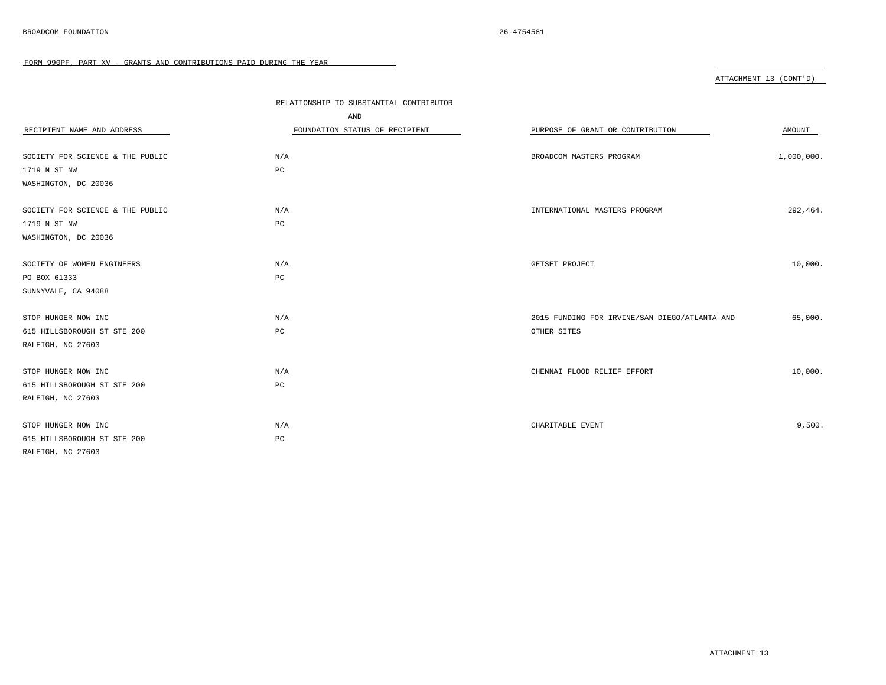|                                  | RELATIONSHIP TO SUBSTANTIAL CONTRIBUTOR |                                               |            |
|----------------------------------|-----------------------------------------|-----------------------------------------------|------------|
|                                  | AND                                     |                                               |            |
| RECIPIENT NAME AND ADDRESS       | FOUNDATION STATUS OF RECIPIENT          | PURPOSE OF GRANT OR CONTRIBUTION              | AMOUNT     |
|                                  |                                         |                                               |            |
| SOCIETY FOR SCIENCE & THE PUBLIC | N/A                                     | BROADCOM MASTERS PROGRAM                      | 1,000,000. |
| 1719 N ST NW                     | PC                                      |                                               |            |
| WASHINGTON, DC 20036             |                                         |                                               |            |
|                                  |                                         |                                               |            |
| SOCIETY FOR SCIENCE & THE PUBLIC | N/A                                     | INTERNATIONAL MASTERS PROGRAM                 | 292,464.   |
| 1719 N ST NW                     | PC                                      |                                               |            |
| WASHINGTON, DC 20036             |                                         |                                               |            |
|                                  |                                         |                                               |            |
| SOCIETY OF WOMEN ENGINEERS       | N/A                                     | GETSET PROJECT                                | 10,000.    |
| PO BOX 61333                     | PC                                      |                                               |            |
| SUNNYVALE, CA 94088              |                                         |                                               |            |
|                                  |                                         |                                               |            |
| STOP HUNGER NOW INC              | N/A                                     | 2015 FUNDING FOR IRVINE/SAN DIEGO/ATLANTA AND | 65,000.    |
| 615 HILLSBOROUGH ST STE 200      | $_{\rm PC}$                             | OTHER SITES                                   |            |
| RALEIGH, NC 27603                |                                         |                                               |            |
|                                  |                                         |                                               |            |
| STOP HUNGER NOW INC              | N/A                                     | CHENNAI FLOOD RELIEF EFFORT                   | 10,000.    |
| 615 HILLSBOROUGH ST STE 200      | PC                                      |                                               |            |
| RALEIGH, NC 27603                |                                         |                                               |            |
|                                  |                                         |                                               |            |
| STOP HUNGER NOW INC              | N/A                                     | CHARITABLE EVENT                              | 9,500.     |
| 615 HILLSBOROUGH ST STE 200      | $_{\rm PC}$                             |                                               |            |
| RALEIGH, NC 27603                |                                         |                                               |            |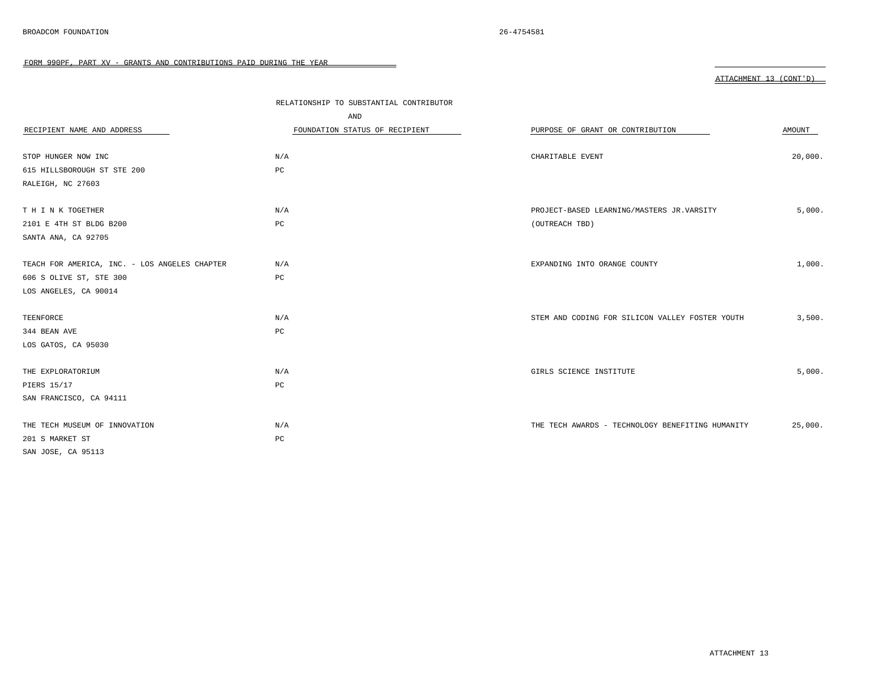|                                               | RELATIONSHIP TO SUBSTANTIAL CONTRIBUTOR |                                                  |         |
|-----------------------------------------------|-----------------------------------------|--------------------------------------------------|---------|
|                                               | AND                                     |                                                  |         |
| RECIPIENT NAME AND ADDRESS                    | FOUNDATION STATUS OF RECIPIENT          | PURPOSE OF GRANT OR CONTRIBUTION                 | AMOUNT  |
|                                               |                                         |                                                  |         |
| STOP HUNGER NOW INC                           | N/A                                     | CHARITABLE EVENT                                 | 20,000. |
| 615 HILLSBOROUGH ST STE 200                   | PC                                      |                                                  |         |
| RALEIGH, NC 27603                             |                                         |                                                  |         |
|                                               |                                         |                                                  |         |
| T H I N K TOGETHER                            | N/A                                     | PROJECT-BASED LEARNING/MASTERS JR.VARSITY        | 5,000.  |
| 2101 E 4TH ST BLDG B200                       | $_{\rm PC}$                             | (OUTREACH TBD)                                   |         |
| SANTA ANA, CA 92705                           |                                         |                                                  |         |
|                                               |                                         |                                                  |         |
| TEACH FOR AMERICA, INC. - LOS ANGELES CHAPTER | N/A                                     | EXPANDING INTO ORANGE COUNTY                     | 1,000.  |
| 606 S OLIVE ST, STE 300                       | PC                                      |                                                  |         |
| LOS ANGELES, CA 90014                         |                                         |                                                  |         |
|                                               |                                         |                                                  |         |
| TEENFORCE                                     | N/A                                     | STEM AND CODING FOR SILICON VALLEY FOSTER YOUTH  | 3,500.  |
| 344 BEAN AVE                                  | PC                                      |                                                  |         |
| LOS GATOS, CA 95030                           |                                         |                                                  |         |
|                                               |                                         |                                                  |         |
| THE EXPLORATORIUM                             | N/A                                     | GIRLS SCIENCE INSTITUTE                          | 5,000.  |
| PIERS 15/17                                   | PC                                      |                                                  |         |
| SAN FRANCISCO, CA 94111                       |                                         |                                                  |         |
|                                               |                                         |                                                  |         |
| THE TECH MUSEUM OF INNOVATION                 | N/A                                     | THE TECH AWARDS - TECHNOLOGY BENEFITING HUMANITY | 25,000. |
| 201 S MARKET ST                               | PC                                      |                                                  |         |
| SAN JOSE, CA 95113                            |                                         |                                                  |         |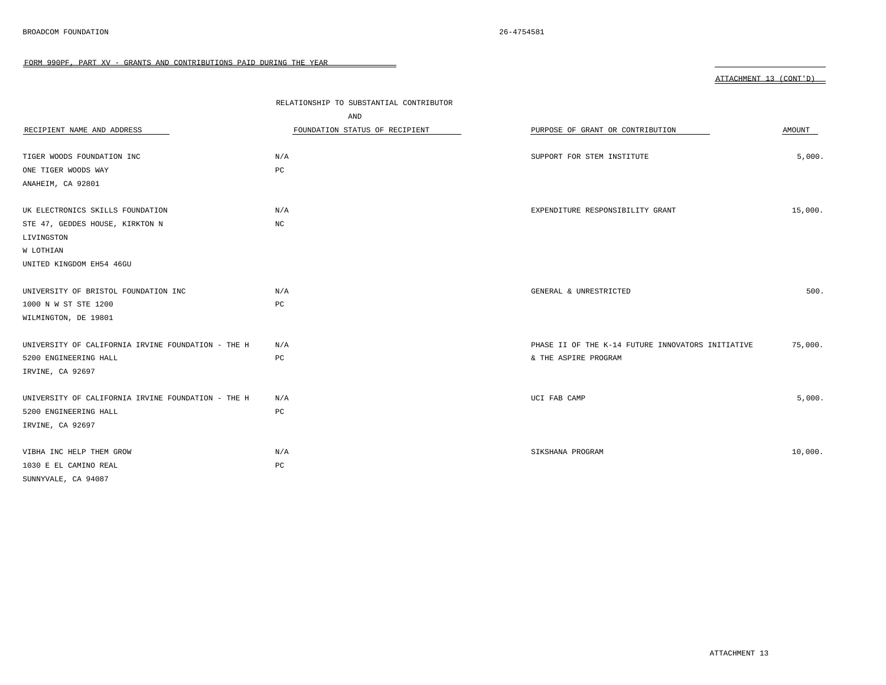|                                                    | RELATIONSHIP TO SUBSTANTIAL CONTRIBUTOR |                                                   |         |
|----------------------------------------------------|-----------------------------------------|---------------------------------------------------|---------|
|                                                    | AND                                     |                                                   |         |
| RECIPIENT NAME AND ADDRESS                         | FOUNDATION STATUS OF RECIPIENT          | PURPOSE OF GRANT OR CONTRIBUTION                  | AMOUNT  |
|                                                    |                                         |                                                   |         |
| TIGER WOODS FOUNDATION INC                         | N/A                                     | SUPPORT FOR STEM INSTITUTE                        | 5,000.  |
| ONE TIGER WOODS WAY                                | PC                                      |                                                   |         |
| ANAHEIM, CA 92801                                  |                                         |                                                   |         |
|                                                    |                                         |                                                   |         |
| UK ELECTRONICS SKILLS FOUNDATION                   | N/A                                     | EXPENDITURE RESPONSIBILITY GRANT                  | 15,000. |
| STE 47, GEDDES HOUSE, KIRKTON N                    | NC                                      |                                                   |         |
| LIVINGSTON                                         |                                         |                                                   |         |
| W LOTHIAN                                          |                                         |                                                   |         |
| UNITED KINGDOM EH54 46GU                           |                                         |                                                   |         |
|                                                    |                                         |                                                   |         |
| UNIVERSITY OF BRISTOL FOUNDATION INC               | N/A                                     | GENERAL & UNRESTRICTED                            | 500.    |
| 1000 N W ST STE 1200                               | PC                                      |                                                   |         |
| WILMINGTON, DE 19801                               |                                         |                                                   |         |
|                                                    |                                         |                                                   |         |
| UNIVERSITY OF CALIFORNIA IRVINE FOUNDATION - THE H | N/A                                     | PHASE II OF THE K-14 FUTURE INNOVATORS INITIATIVE | 75,000. |
| 5200 ENGINEERING HALL                              | $_{\rm PC}$                             | & THE ASPIRE PROGRAM                              |         |
| IRVINE, CA 92697                                   |                                         |                                                   |         |
|                                                    |                                         |                                                   |         |
| UNIVERSITY OF CALIFORNIA IRVINE FOUNDATION - THE H | N/A                                     | UCI FAB CAMP                                      | 5,000.  |
| 5200 ENGINEERING HALL                              | PC                                      |                                                   |         |
| IRVINE, CA 92697                                   |                                         |                                                   |         |
|                                                    |                                         |                                                   |         |
| VIBHA INC HELP THEM GROW                           | N/A                                     | SIKSHANA PROGRAM                                  | 10,000. |
| 1030 E EL CAMINO REAL                              | PC                                      |                                                   |         |
| SUNNYVALE, CA 94087                                |                                         |                                                   |         |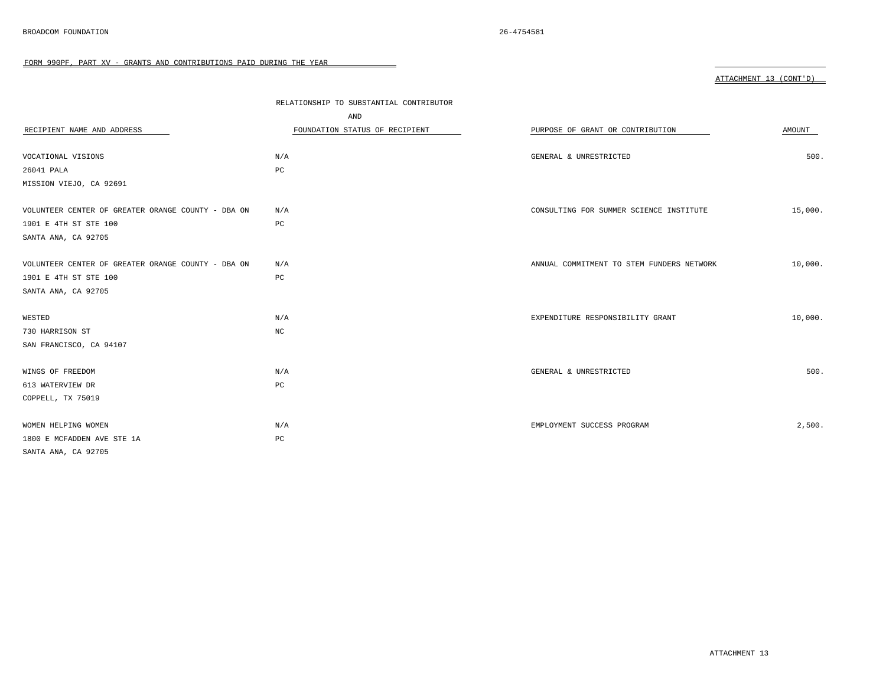| RECIPIENT NAME AND ADDRESS                         | RELATIONSHIP TO SUBSTANTIAL CONTRIBUTOR<br>AND<br>FOUNDATION STATUS OF RECIPIENT | PURPOSE OF GRANT OR CONTRIBUTION          | AMOUNT  |
|----------------------------------------------------|----------------------------------------------------------------------------------|-------------------------------------------|---------|
|                                                    |                                                                                  |                                           |         |
| VOCATIONAL VISIONS                                 | N/A                                                                              | GENERAL & UNRESTRICTED                    | 500.    |
| 26041 PALA                                         | $_{\rm PC}$                                                                      |                                           |         |
| MISSION VIEJO, CA 92691                            |                                                                                  |                                           |         |
|                                                    |                                                                                  |                                           |         |
| VOLUNTEER CENTER OF GREATER ORANGE COUNTY - DBA ON | N/A                                                                              | CONSULTING FOR SUMMER SCIENCE INSTITUTE   | 15,000. |
| 1901 E 4TH ST STE 100                              | PC                                                                               |                                           |         |
| SANTA ANA, CA 92705                                |                                                                                  |                                           |         |
|                                                    |                                                                                  |                                           |         |
| VOLUNTEER CENTER OF GREATER ORANGE COUNTY - DBA ON | N/A                                                                              | ANNUAL COMMITMENT TO STEM FUNDERS NETWORK | 10,000. |
| 1901 E 4TH ST STE 100                              | $_{\rm PC}$                                                                      |                                           |         |
| SANTA ANA, CA 92705                                |                                                                                  |                                           |         |
|                                                    |                                                                                  |                                           |         |
| WESTED                                             | N/A                                                                              | EXPENDITURE RESPONSIBILITY GRANT          | 10,000. |
| 730 HARRISON ST                                    | $_{\mathrm{NC}}$                                                                 |                                           |         |
| SAN FRANCISCO, CA 94107                            |                                                                                  |                                           |         |
|                                                    |                                                                                  |                                           |         |
| WINGS OF FREEDOM                                   | N/A                                                                              | GENERAL & UNRESTRICTED                    | 500.    |
| 613 WATERVIEW DR                                   | PC                                                                               |                                           |         |
| COPPELL, TX 75019                                  |                                                                                  |                                           |         |
|                                                    |                                                                                  |                                           |         |
| WOMEN HELPING WOMEN                                | N/A                                                                              | EMPLOYMENT SUCCESS PROGRAM                | 2,500.  |
| 1800 E MCFADDEN AVE STE 1A                         | PC                                                                               |                                           |         |
| SANTA ANA, CA 92705                                |                                                                                  |                                           |         |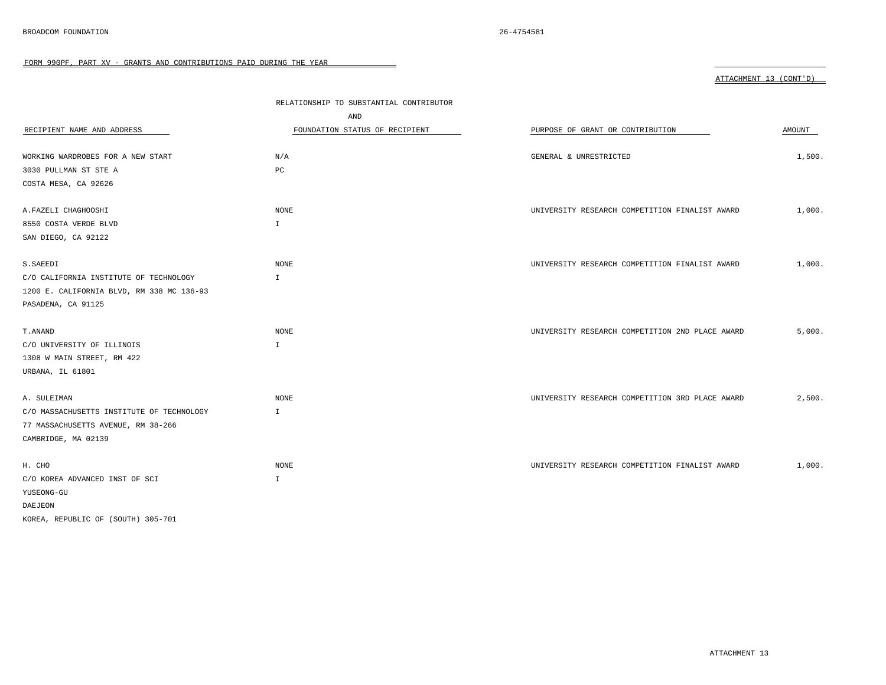FORM 990PF, PART XV - GRANTS AND CONTRIBUTIONS PAID DURING THE YEAR

|                                           |                                         |                                                 | ATTACHMENT 13 (CONT'D) |
|-------------------------------------------|-----------------------------------------|-------------------------------------------------|------------------------|
|                                           |                                         |                                                 |                        |
|                                           | RELATIONSHIP TO SUBSTANTIAL CONTRIBUTOR |                                                 |                        |
|                                           | AND                                     |                                                 |                        |
| RECIPIENT NAME AND ADDRESS                | FOUNDATION STATUS OF RECIPIENT          | PURPOSE OF GRANT OR CONTRIBUTION                | AMOUNT                 |
| WORKING WARDROBES FOR A NEW START         | N/A                                     | GENERAL & UNRESTRICTED                          | 1,500.                 |
| 3030 PULLMAN ST STE A                     | PC                                      |                                                 |                        |
| COSTA MESA, CA 92626                      |                                         |                                                 |                        |
| A. FAZELI CHAGHOOSHI                      | NONE                                    | UNIVERSITY RESEARCH COMPETITION FINALIST AWARD  | 1,000.                 |
| 8550 COSTA VERDE BLVD                     | $\mathbf{I}$                            |                                                 |                        |
| SAN DIEGO, CA 92122                       |                                         |                                                 |                        |
|                                           |                                         |                                                 |                        |
| S. SAEEDI                                 | <b>NONE</b>                             | UNIVERSITY RESEARCH COMPETITION FINALIST AWARD  | 1,000.                 |
| C/O CALIFORNIA INSTITUTE OF TECHNOLOGY    | $\mathbf{I}$                            |                                                 |                        |
| 1200 E. CALIFORNIA BLVD, RM 338 MC 136-93 |                                         |                                                 |                        |
| PASADENA, CA 91125                        |                                         |                                                 |                        |
| T. ANAND                                  | NONE                                    | UNIVERSITY RESEARCH COMPETITION 2ND PLACE AWARD | 5,000.                 |
| C/O UNIVERSITY OF ILLINOIS                | $\mathbb{I}$                            |                                                 |                        |
| 1308 W MAIN STREET, RM 422                |                                         |                                                 |                        |
| URBANA, IL 61801                          |                                         |                                                 |                        |
| A. SULEIMAN                               | <b>NONE</b>                             | UNIVERSITY RESEARCH COMPETITION 3RD PLACE AWARD | 2,500.                 |
| C/O MASSACHUSETTS INSTITUTE OF TECHNOLOGY | $\mathbf{I}$                            |                                                 |                        |
| 77 MASSACHUSETTS AVENUE, RM 38-266        |                                         |                                                 |                        |
| CAMBRIDGE, MA 02139                       |                                         |                                                 |                        |
| H. CHO                                    | NONE                                    | UNIVERSITY RESEARCH COMPETITION FINALIST AWARD  | 1,000.                 |
|                                           |                                         |                                                 |                        |

 $\sim$ 

YUSEONG-GU DAEJEON

KOREA, REPUBLIC OF (SOUTH) 305-701

C/O KOREA ADVANCED INST OF SCI I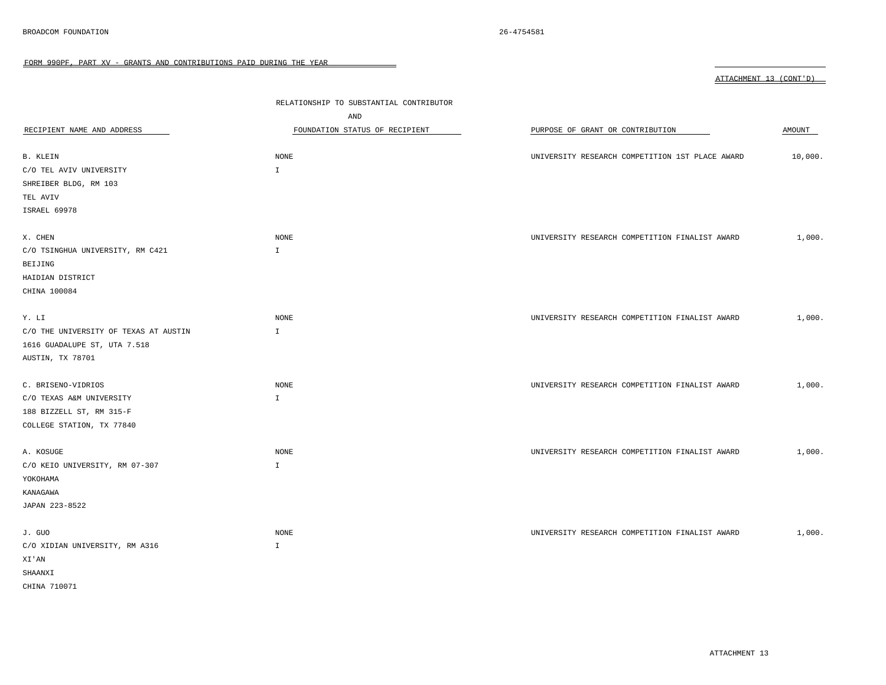FORM 990PF, PART XV - GRANTS AND CONTRIBUTIONS PAID DURING THE YEAR 

|                                       |                                         |                                                 | ATTACHMENT 13 (CONT'D) |
|---------------------------------------|-----------------------------------------|-------------------------------------------------|------------------------|
|                                       |                                         |                                                 |                        |
|                                       | RELATIONSHIP TO SUBSTANTIAL CONTRIBUTOR |                                                 |                        |
|                                       | AND                                     |                                                 |                        |
| RECIPIENT NAME AND ADDRESS            | FOUNDATION STATUS OF RECIPIENT          | PURPOSE OF GRANT OR CONTRIBUTION                | AMOUNT                 |
| B. KLEIN                              | NONE                                    | UNIVERSITY RESEARCH COMPETITION 1ST PLACE AWARD | 10,000.                |
| C/O TEL AVIV UNIVERSITY               | $\mathbbm{1}$                           |                                                 |                        |
| SHREIBER BLDG, RM 103                 |                                         |                                                 |                        |
| TEL AVIV                              |                                         |                                                 |                        |
| ISRAEL 69978                          |                                         |                                                 |                        |
|                                       |                                         |                                                 |                        |
| X. CHEN                               | NONE                                    | UNIVERSITY RESEARCH COMPETITION FINALIST AWARD  | 1,000.                 |
| C/O TSINGHUA UNIVERSITY, RM C421      | $\mathbbm{1}$                           |                                                 |                        |
| BEIJING                               |                                         |                                                 |                        |
| HAIDIAN DISTRICT                      |                                         |                                                 |                        |
| CHINA 100084                          |                                         |                                                 |                        |
| Y. LI                                 | NONE                                    | UNIVERSITY RESEARCH COMPETITION FINALIST AWARD  | 1,000.                 |
| C/O THE UNIVERSITY OF TEXAS AT AUSTIN | $\mathbbm{I}$                           |                                                 |                        |
| 1616 GUADALUPE ST, UTA 7.518          |                                         |                                                 |                        |
| AUSTIN, TX 78701                      |                                         |                                                 |                        |
| C. BRISENO-VIDRIOS                    | NONE                                    | UNIVERSITY RESEARCH COMPETITION FINALIST AWARD  | 1,000.                 |
| C/O TEXAS A&M UNIVERSITY              | $\mathbbm{I}$                           |                                                 |                        |
| 188 BIZZELL ST, RM 315-F              |                                         |                                                 |                        |
| COLLEGE STATION, TX 77840             |                                         |                                                 |                        |
| A. KOSUGE                             | <b>NONE</b>                             | UNIVERSITY RESEARCH COMPETITION FINALIST AWARD  | 1,000.                 |
| C/O KEIO UNIVERSITY, RM 07-307        | $\mathbf{I}$                            |                                                 |                        |
| YOKOHAMA                              |                                         |                                                 |                        |
| KANAGAWA                              |                                         |                                                 |                        |
| JAPAN 223-8522                        |                                         |                                                 |                        |
| J. GUO                                | <b>NONE</b>                             | UNIVERSITY RESEARCH COMPETITION FINALIST AWARD  | 1,000.                 |
| C/O XIDIAN UNIVERSITY, RM A316        | $\mathbb{I}$                            |                                                 |                        |
| XI'AN                                 |                                         |                                                 |                        |
| SHAANXI                               |                                         |                                                 |                        |

CHINA 710071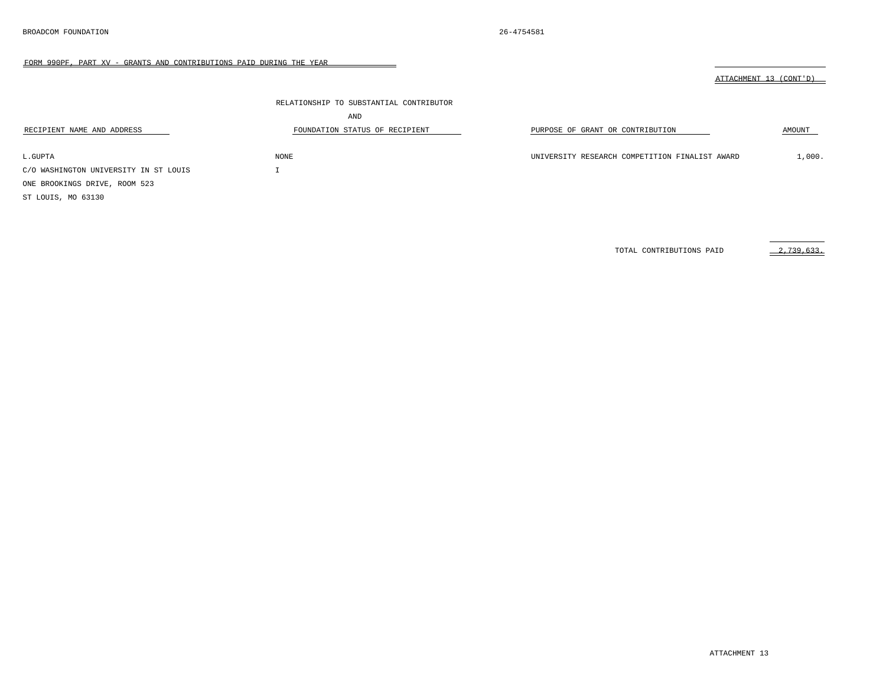RECIPIENT NAME AND ADDRESS

FORM 990PF, PART XV - GRANTS AND CONTRIBUTIONS PAID DURING THE YEAR

 $\overline{\phantom{0}}$ 

|                                         |                                  | CONT'D<br>"ACHMENT<br>ATT |
|-----------------------------------------|----------------------------------|---------------------------|
| RELATIONSHIP TO SUBSTANTIAL CONTRIBUTOR |                                  |                           |
| AND                                     |                                  |                           |
| FOUNDATION STATUS OF RECIPIENT          | PURPOSE OF GRANT OR CONTRIBUTION | AMOUNT                    |

 $\text{L.GUPTA} \qquad \qquad \text{MONE} \qquad \qquad \text{L.GUPTATION FINALIST AWARD} \qquad \qquad \text{L/O00.}$ C/O WASHINGTON UNIVERSITY IN ST LOUIS I ONE BROOKINGS DRIVE, ROOM 523 ST LOUIS, MO 63130

TOTAL CONTRIBUTIONS PAID 2,739,633.